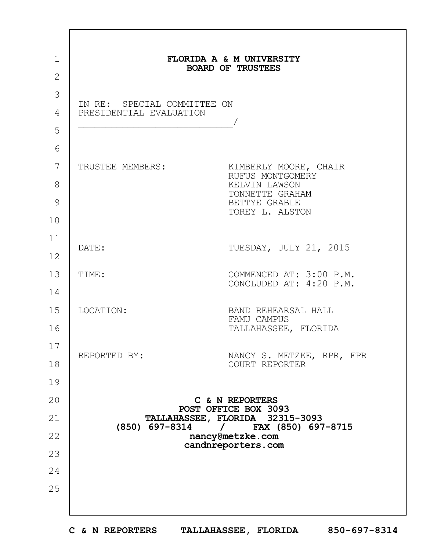| $\mathbf{1}$<br>$\overline{2}$ |                                                                                                                                             | FLORIDA A & M UNIVERSITY<br><b>BOARD OF TRUSTEES</b>                                                              |
|--------------------------------|---------------------------------------------------------------------------------------------------------------------------------------------|-------------------------------------------------------------------------------------------------------------------|
| 3<br>4<br>5                    | IN RE: SPECIAL COMMITTEE ON<br>PRESIDENTIAL EVALUATION                                                                                      |                                                                                                                   |
| 6<br>7<br>8<br>9<br>10         | TRUSTEE MEMBERS:                                                                                                                            | KIMBERLY MOORE, CHAIR<br>RUFUS MONTGOMERY<br>KELVIN LAWSON<br>TONNETTE GRAHAM<br>BETTYE GRABLE<br>TOREY L. ALSTON |
| 11<br>12                       | DATE:                                                                                                                                       | TUESDAY, JULY 21, 2015                                                                                            |
| 13<br>14                       | TIME:                                                                                                                                       | COMMENCED AT: 3:00 P.M.<br>CONCLUDED AT: 4:20 P.M.                                                                |
| 15<br>16                       | LOCATION:                                                                                                                                   | BAND REHEARSAL HALL<br>FAMU CAMPUS<br>TALLAHASSEE, FLORIDA                                                        |
| 17<br>18                       | REPORTED BY:                                                                                                                                | NANCY S. METZKE, RPR, FPR<br>COURT REPORTER                                                                       |
| 19<br>20                       |                                                                                                                                             | C & N REPORTERS                                                                                                   |
| 21                             | POST OFFICE BOX 3093<br>TALLAHASSEE, FLORIDA 32315-3093<br>(850) 697-8314<br>/ FAX (850) 697-8715<br>nancy@metzke.com<br>candnreporters.com |                                                                                                                   |
| 22<br>23                       |                                                                                                                                             |                                                                                                                   |
| 24<br>25                       |                                                                                                                                             |                                                                                                                   |

 $\Gamma$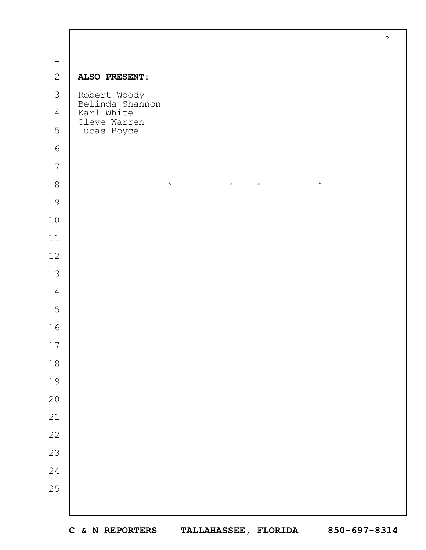|                |                                          | $\overline{2}$ |
|----------------|------------------------------------------|----------------|
| $\mathbf 1$    |                                          |                |
| $\mathbf{2}$   | ALSO PRESENT:                            |                |
| $\mathcal{S}$  | Robert Woody<br>Belinda Shannon          |                |
| $\overline{4}$ | Karl White<br>Cleve Warren               |                |
| 5              | Lucas Boyce                              |                |
| $\epsilon$     |                                          |                |
| $\overline{7}$ |                                          |                |
| $\,8\,$        | $\star$<br>$\star$<br>$\star$<br>$\star$ |                |
| $\mathcal{G}$  |                                          |                |
| $10$           |                                          |                |
| $11$           |                                          |                |
| $12$           |                                          |                |
| $13$           |                                          |                |
| 14             |                                          |                |
| 15             |                                          |                |
| 16             |                                          |                |
| $17\,$         |                                          |                |
| $1\,8$         |                                          |                |
| 19             |                                          |                |
| $20$           |                                          |                |
| $2\sqrt{1}$    |                                          |                |
| 22             |                                          |                |
| 23             |                                          |                |
| 24             |                                          |                |
| 25             |                                          |                |
|                |                                          |                |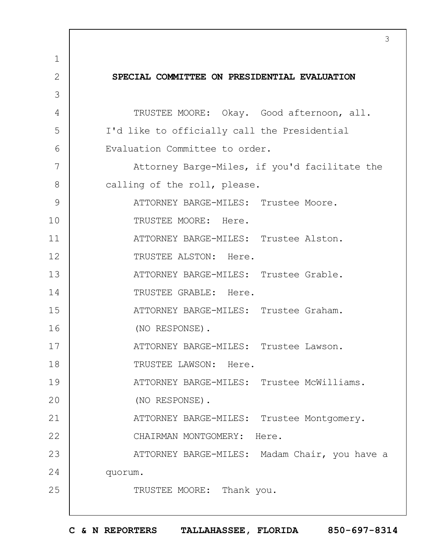|              | 3                                             |
|--------------|-----------------------------------------------|
| 1            |                                               |
| $\mathbf{2}$ | SPECIAL COMMITTEE ON PRESIDENTIAL EVALUATION  |
| 3            |                                               |
| 4            | TRUSTEE MOORE: Okay. Good afternoon, all.     |
| 5            | I'd like to officially call the Presidential  |
| 6            | Evaluation Committee to order.                |
| 7            | Attorney Barge-Miles, if you'd facilitate the |
| 8            | calling of the roll, please.                  |
| 9            | ATTORNEY BARGE-MILES: Trustee Moore.          |
| 10           | TRUSTEE MOORE: Here.                          |
| 11           | ATTORNEY BARGE-MILES: Trustee Alston.         |
| 12           | TRUSTEE ALSTON: Here.                         |
| 13           | ATTORNEY BARGE-MILES: Trustee Grable.         |
| 14           | TRUSTEE GRABLE: Here.                         |
| 15           | ATTORNEY BARGE-MILES: Trustee Graham.         |
| 16           | (NO RESPONSE).                                |
| 17           | ATTORNEY BARGE-MILES: Trustee Lawson.         |
| 18           | TRUSTEE LAWSON: Here.                         |
| 19           | ATTORNEY BARGE-MILES: Trustee McWilliams.     |
| 20           | (NO RESPONSE).                                |
| 21           | ATTORNEY BARGE-MILES: Trustee Montgomery.     |
| 22           | CHAIRMAN MONTGOMERY: Here.                    |
| 23           | ATTORNEY BARGE-MILES: Madam Chair, you have a |
| 24           | quorum.                                       |
| 25           | TRUSTEE MOORE: Thank you.                     |
|              |                                               |

 $\Gamma$ 

**C & N REPORTERS TALLAHASSEE, FLORIDA 850-697-8314**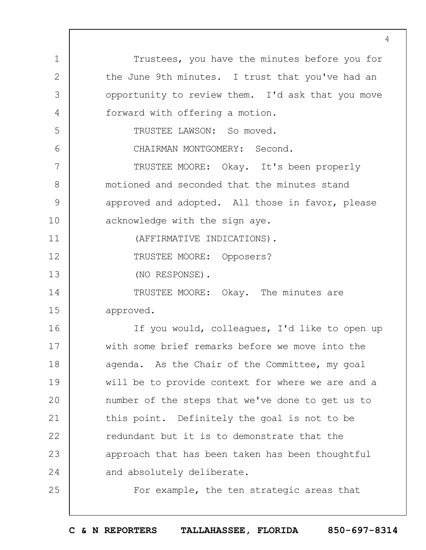1 2 3 4 5 6 7 8 9 10 11 12 13 14 15 16 17 18 19  $20$ 21 22 23 24 25 Trustees, you have the minutes before you for the June 9th minutes. I trust that you've had an opportunity to review them. I'd ask that you move forward with offering a motion. TRUSTEE LAWSON: So moved. CHAIRMAN MONTGOMERY: Second. TRUSTEE MOORE: Okay. It's been properly motioned and seconded that the minutes stand approved and adopted. All those in favor, please acknowledge with the sign aye. (AFFIRMATIVE INDICATIONS). TRUSTEE MOORE: Opposers? (NO RESPONSE). TRUSTEE MOORE: Okay. The minutes are approved. If you would, colleagues, I'd like to open up with some brief remarks before we move into the agenda. As the Chair of the Committee, my goal will be to provide context for where we are and a number of the steps that we've done to get us to this point. Definitely the goal is not to be redundant but it is to demonstrate that the approach that has been taken has been thoughtful and absolutely deliberate. For example, the ten strategic areas that

 $\Delta$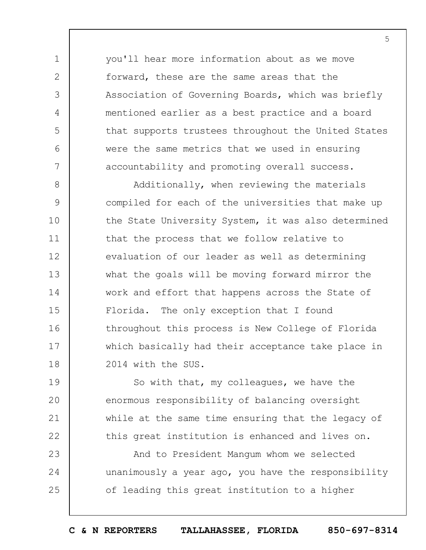you'll hear more information about as we move forward, these are the same areas that the Association of Governing Boards, which was briefly mentioned earlier as a best practice and a board that supports trustees throughout the United States were the same metrics that we used in ensuring accountability and promoting overall success.

1

2

3

4

5

6

7

8 9 10 11 12 13 14 15 16 17 18 Additionally, when reviewing the materials compiled for each of the universities that make up the State University System, it was also determined that the process that we follow relative to evaluation of our leader as well as determining what the goals will be moving forward mirror the work and effort that happens across the State of Florida. The only exception that I found throughout this process is New College of Florida which basically had their acceptance take place in 2014 with the SUS.

19  $20$ 21 22 So with that, my colleagues, we have the enormous responsibility of balancing oversight while at the same time ensuring that the legacy of this great institution is enhanced and lives on.

23 24 25 And to President Mangum whom we selected unanimously a year ago, you have the responsibility of leading this great institution to a higher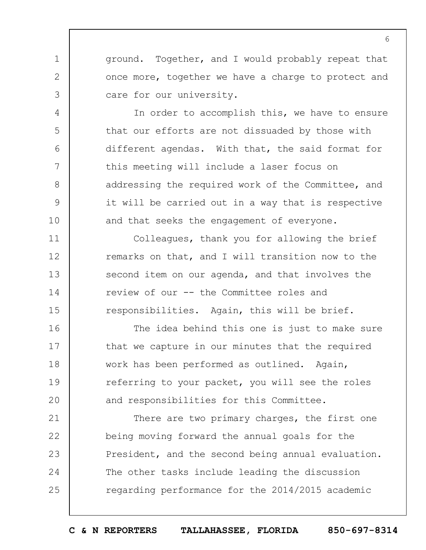ground. Together, and I would probably repeat that once more, together we have a charge to protect and care for our university.

1

2

3

4

5

6

7

8

9

10

11

12

13

14

15

In order to accomplish this, we have to ensure that our efforts are not dissuaded by those with different agendas. With that, the said format for this meeting will include a laser focus on addressing the required work of the Committee, and it will be carried out in a way that is respective and that seeks the engagement of everyone.

Colleagues, thank you for allowing the brief remarks on that, and I will transition now to the second item on our agenda, and that involves the review of our -- the Committee roles and responsibilities. Again, this will be brief.

16 17 18 19  $20$ The idea behind this one is just to make sure that we capture in our minutes that the required work has been performed as outlined. Again, referring to your packet, you will see the roles and responsibilities for this Committee.

21 22 23 24 25 There are two primary charges, the first one being moving forward the annual goals for the President, and the second being annual evaluation. The other tasks include leading the discussion regarding performance for the 2014/2015 academic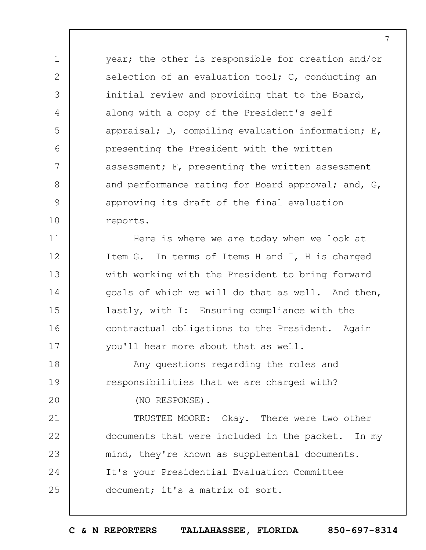year; the other is responsible for creation and/or selection of an evaluation tool; C, conducting an initial review and providing that to the Board, along with a copy of the President's self appraisal; D, compiling evaluation information; E, presenting the President with the written assessment; F, presenting the written assessment and performance rating for Board approval; and, G, approving its draft of the final evaluation reports.

11 12 13 14 15 16 17 Here is where we are today when we look at Item G. In terms of Items H and I, H is charged with working with the President to bring forward goals of which we will do that as well. And then, lastly, with I: Ensuring compliance with the contractual obligations to the President. Again you'll hear more about that as well.

18 19 Any questions regarding the roles and responsibilities that we are charged with?

(NO RESPONSE).

1

2

3

4

5

6

7

8

9

10

 $20$ 

21 22 23 24 25 TRUSTEE MOORE: Okay. There were two other documents that were included in the packet. In my mind, they're known as supplemental documents. It's your Presidential Evaluation Committee document; it's a matrix of sort.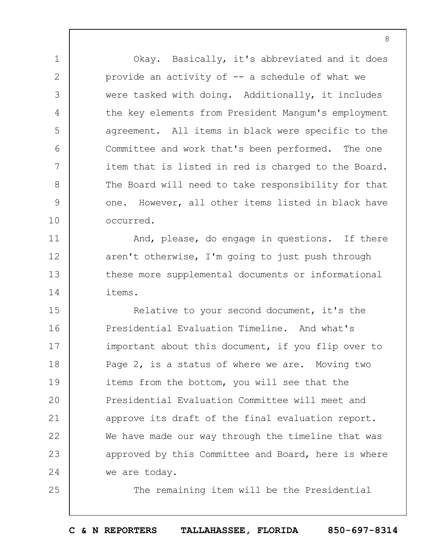Okay. Basically, it's abbreviated and it does provide an activity of -- a schedule of what we were tasked with doing. Additionally, it includes the key elements from President Mangum's employment agreement. All items in black were specific to the Committee and work that's been performed. The one item that is listed in red is charged to the Board. The Board will need to take responsibility for that one. However, all other items listed in black have occurred.

1

2

3

4

5

6

7

8

9

10

11

12

13

14

25

And, please, do engage in questions. If there aren't otherwise, I'm going to just push through these more supplemental documents or informational items.

15 16 17 18 19  $20$ 21 22 23 24 Relative to your second document, it's the Presidential Evaluation Timeline. And what's important about this document, if you flip over to Page 2, is a status of where we are. Moving two items from the bottom, you will see that the Presidential Evaluation Committee will meet and approve its draft of the final evaluation report. We have made our way through the timeline that was approved by this Committee and Board, here is where we are today.

The remaining item will be the Presidential

**C & N REPORTERS TALLAHASSEE, FLORIDA 850-697-8314**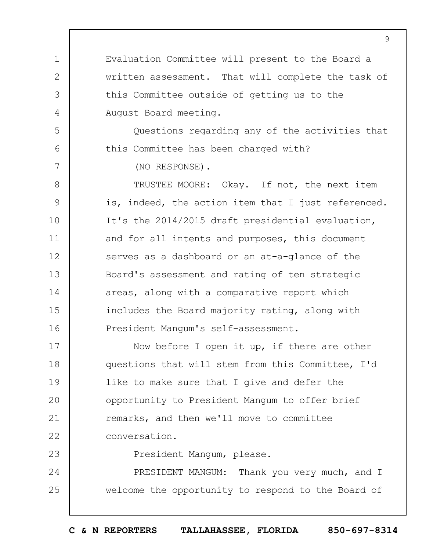Evaluation Committee will present to the Board a written assessment. That will complete the task of this Committee outside of getting us to the August Board meeting.

Questions regarding any of the activities that this Committee has been charged with?

(NO RESPONSE).

1

2

3

4

5

6

7

23

8 9 10 11 12 13 14 15 16 TRUSTEE MOORE: Okay. If not, the next item is, indeed, the action item that I just referenced. It's the 2014/2015 draft presidential evaluation, and for all intents and purposes, this document serves as a dashboard or an at-a-glance of the Board's assessment and rating of ten strategic areas, along with a comparative report which includes the Board majority rating, along with President Mangum's self-assessment.

17 18 19  $20$ 21 22 Now before I open it up, if there are other questions that will stem from this Committee, I'd like to make sure that I give and defer the opportunity to President Mangum to offer brief remarks, and then we'll move to committee conversation.

President Mangum, please.

24 25 PRESIDENT MANGUM: Thank you very much, and I welcome the opportunity to respond to the Board of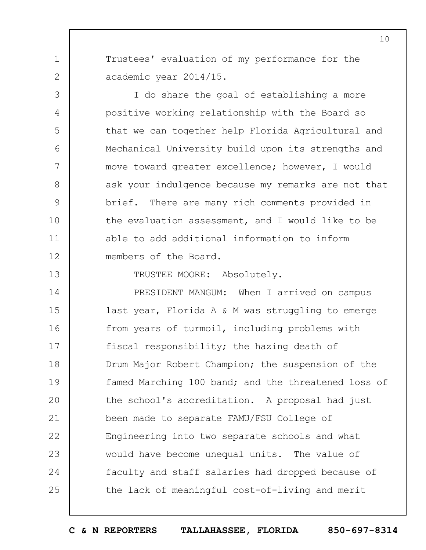Trustees' evaluation of my performance for the academic year 2014/15.

1

2

3

4

5

6

7

8

9

10

11

12

13

I do share the goal of establishing a more positive working relationship with the Board so that we can together help Florida Agricultural and Mechanical University build upon its strengths and move toward greater excellence; however, I would ask your indulgence because my remarks are not that brief. There are many rich comments provided in the evaluation assessment, and I would like to be able to add additional information to inform members of the Board.

TRUSTEE MOORE: Absolutely.

14 15 16 17 18 19  $20$ 21 22 23 24 25 PRESIDENT MANGUM: When I arrived on campus last year, Florida A & M was struggling to emerge from years of turmoil, including problems with fiscal responsibility; the hazing death of Drum Major Robert Champion; the suspension of the famed Marching 100 band; and the threatened loss of the school's accreditation. A proposal had just been made to separate FAMU/FSU College of Engineering into two separate schools and what would have become unequal units. The value of faculty and staff salaries had dropped because of the lack of meaningful cost-of-living and merit

**C & N REPORTERS TALLAHASSEE, FLORIDA 850-697-8314**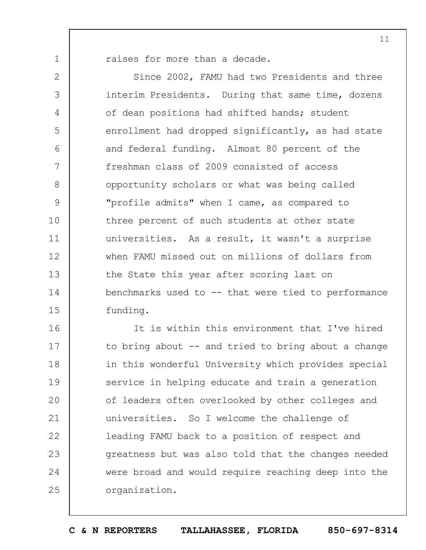raises for more than a decade.

1

2

3

4

5

6

7

8

9

10

11

12

13

14

15

Since 2002, FAMU had two Presidents and three interim Presidents. During that same time, dozens of dean positions had shifted hands; student enrollment had dropped significantly, as had state and federal funding. Almost 80 percent of the freshman class of 2009 consisted of access opportunity scholars or what was being called "profile admits" when I came, as compared to three percent of such students at other state universities. As a result, it wasn't a surprise when FAMU missed out on millions of dollars from the State this year after scoring last on benchmarks used to -- that were tied to performance funding.

16 17 18 19  $20$ 21 22 23 24 25 It is within this environment that I've hired to bring about  $-$  and tried to bring about a change in this wonderful University which provides special service in helping educate and train a generation of leaders often overlooked by other colleges and universities. So I welcome the challenge of leading FAMU back to a position of respect and greatness but was also told that the changes needed were broad and would require reaching deep into the organization.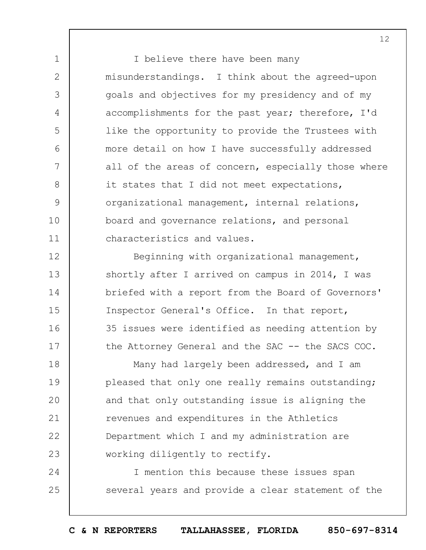I believe there have been many misunderstandings. I think about the agreed-upon goals and objectives for my presidency and of my accomplishments for the past year; therefore, I'd like the opportunity to provide the Trustees with more detail on how I have successfully addressed all of the areas of concern, especially those where it states that I did not meet expectations, organizational management, internal relations, board and governance relations, and personal characteristics and values.

1

2

3

4

5

6

7

8

9

10

11

12 13 14 15 16 17 Beginning with organizational management, shortly after I arrived on campus in 2014, I was briefed with a report from the Board of Governors' Inspector General's Office. In that report, 35 issues were identified as needing attention by the Attorney General and the SAC -- the SACS COC.

18 19  $20$ 21 22 23 Many had largely been addressed, and I am pleased that only one really remains outstanding; and that only outstanding issue is aligning the revenues and expenditures in the Athletics Department which I and my administration are working diligently to rectify.

24 25 I mention this because these issues span several years and provide a clear statement of the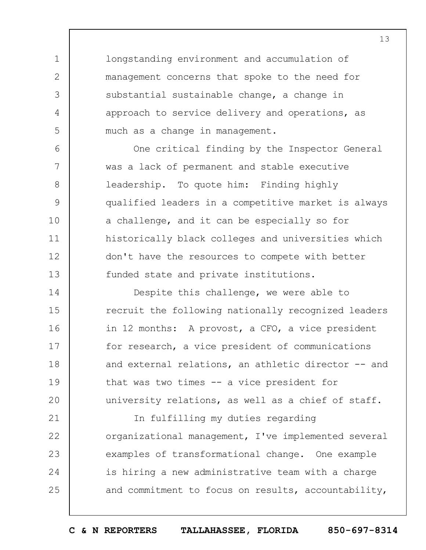longstanding environment and accumulation of management concerns that spoke to the need for substantial sustainable change, a change in approach to service delivery and operations, as much as a change in management.

1

2

3

4

5

6

7

8

9

10

11

12

13

One critical finding by the Inspector General was a lack of permanent and stable executive leadership. To quote him: Finding highly qualified leaders in a competitive market is always a challenge, and it can be especially so for historically black colleges and universities which don't have the resources to compete with better funded state and private institutions.

14 15 16 17 18 19  $20$ Despite this challenge, we were able to recruit the following nationally recognized leaders in 12 months: A provost, a CFO, a vice president for research, a vice president of communications and external relations, an athletic director -- and that was two times -- a vice president for university relations, as well as a chief of staff.

21 22 23 24 25 In fulfilling my duties regarding organizational management, I've implemented several examples of transformational change. One example is hiring a new administrative team with a charge and commitment to focus on results, accountability,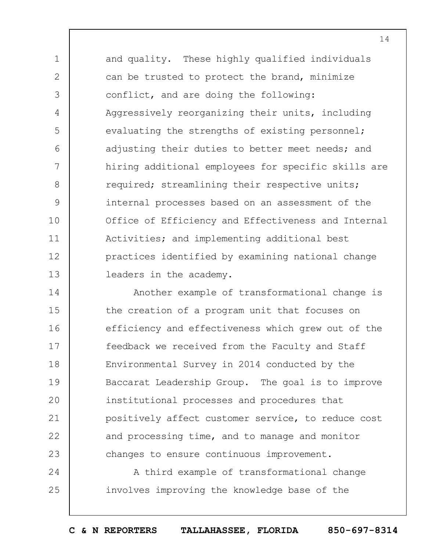1 2 3 4 5 6 7 8 9 10 11 12 13 and quality. These highly qualified individuals can be trusted to protect the brand, minimize conflict, and are doing the following: Aggressively reorganizing their units, including evaluating the strengths of existing personnel; adjusting their duties to better meet needs; and hiring additional employees for specific skills are required; streamlining their respective units; internal processes based on an assessment of the Office of Efficiency and Effectiveness and Internal Activities; and implementing additional best practices identified by examining national change leaders in the academy.

14 15 16 17 18 19  $20$ 21 22 23 Another example of transformational change is the creation of a program unit that focuses on efficiency and effectiveness which grew out of the feedback we received from the Faculty and Staff Environmental Survey in 2014 conducted by the Baccarat Leadership Group. The goal is to improve institutional processes and procedures that positively affect customer service, to reduce cost and processing time, and to manage and monitor changes to ensure continuous improvement.

24 25 A third example of transformational change involves improving the knowledge base of the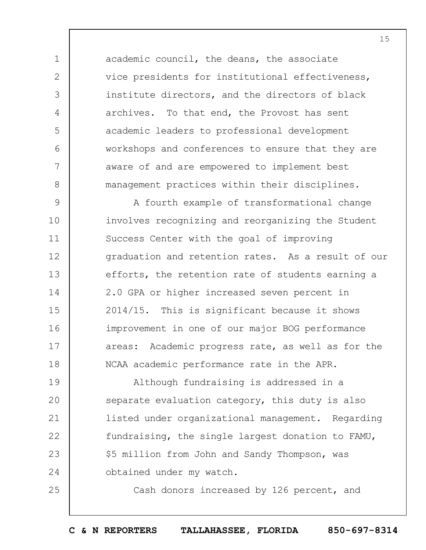academic council, the deans, the associate vice presidents for institutional effectiveness, institute directors, and the directors of black archives. To that end, the Provost has sent academic leaders to professional development workshops and conferences to ensure that they are aware of and are empowered to implement best management practices within their disciplines.

1

2

3

4

5

6

7

8

25

9 10 11 12 13 14 15 16 17 18 A fourth example of transformational change involves recognizing and reorganizing the Student Success Center with the goal of improving graduation and retention rates. As a result of our efforts, the retention rate of students earning a 2.0 GPA or higher increased seven percent in 2014/15. This is significant because it shows improvement in one of our major BOG performance areas: Academic progress rate, as well as for the NCAA academic performance rate in the APR.

19  $20$ 21 22 23 24 Although fundraising is addressed in a separate evaluation category, this duty is also listed under organizational management. Regarding fundraising, the single largest donation to FAMU, \$5 million from John and Sandy Thompson, was obtained under my watch.

Cash donors increased by 126 percent, and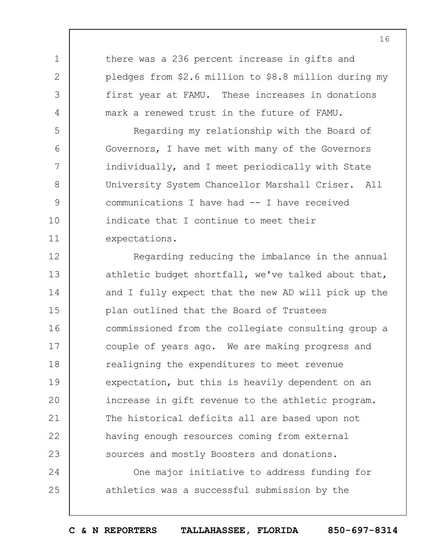there was a 236 percent increase in gifts and pledges from \$2.6 million to \$8.8 million during my first year at FAMU. These increases in donations mark a renewed trust in the future of FAMU.

1

2

3

4

5

6

7

8

9

10

11

Regarding my relationship with the Board of Governors, I have met with many of the Governors individually, and I meet periodically with State University System Chancellor Marshall Criser. All communications I have had -- I have received indicate that I continue to meet their expectations.

12 13 14 15 16 17 18 19  $20$ 21 22 23 Regarding reducing the imbalance in the annual athletic budget shortfall, we've talked about that, and I fully expect that the new AD will pick up the plan outlined that the Board of Trustees commissioned from the collegiate consulting group a couple of years ago. We are making progress and realigning the expenditures to meet revenue expectation, but this is heavily dependent on an increase in gift revenue to the athletic program. The historical deficits all are based upon not having enough resources coming from external sources and mostly Boosters and donations.

24 25 One major initiative to address funding for athletics was a successful submission by the

**C & N REPORTERS TALLAHASSEE, FLORIDA 850-697-8314**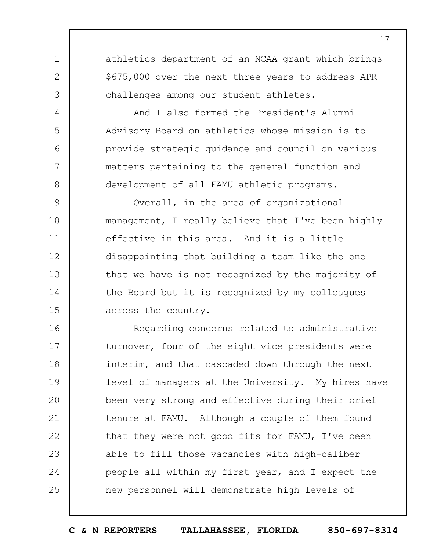athletics department of an NCAA grant which brings \$675,000 over the next three years to address APR challenges among our student athletes.

1

2

3

4

5

6

7

8

And I also formed the President's Alumni Advisory Board on athletics whose mission is to provide strategic guidance and council on various matters pertaining to the general function and development of all FAMU athletic programs.

9 10 11 12 13 14 15 Overall, in the area of organizational management, I really believe that I've been highly effective in this area. And it is a little disappointing that building a team like the one that we have is not recognized by the majority of the Board but it is recognized by my colleagues across the country.

16 17 18 19  $20$ 21 22 23 24 25 Regarding concerns related to administrative turnover, four of the eight vice presidents were interim, and that cascaded down through the next level of managers at the University. My hires have been very strong and effective during their brief tenure at FAMU. Although a couple of them found that they were not good fits for FAMU, I've been able to fill those vacancies with high-caliber people all within my first year, and I expect the new personnel will demonstrate high levels of

**C & N REPORTERS TALLAHASSEE, FLORIDA 850-697-8314**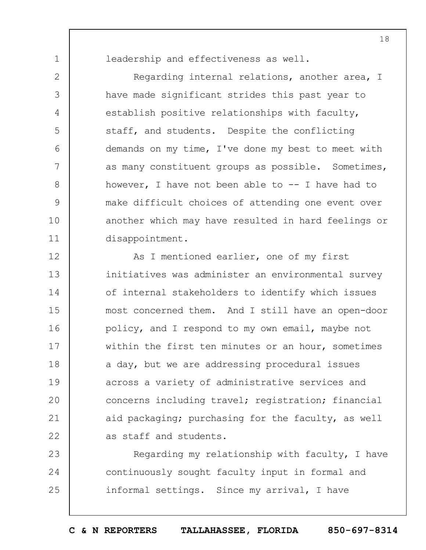1

2

3

4

5

6

7

8

9

10

11

leadership and effectiveness as well.

Regarding internal relations, another area, I have made significant strides this past year to establish positive relationships with faculty, staff, and students. Despite the conflicting demands on my time, I've done my best to meet with as many constituent groups as possible. Sometimes, however, I have not been able to  $--$  I have had to make difficult choices of attending one event over another which may have resulted in hard feelings or disappointment.

12 13 14 15 16 17 18 19  $20$ 21 22 As I mentioned earlier, one of my first initiatives was administer an environmental survey of internal stakeholders to identify which issues most concerned them. And I still have an open-door policy, and I respond to my own email, maybe not within the first ten minutes or an hour, sometimes a day, but we are addressing procedural issues across a variety of administrative services and concerns including travel; registration; financial aid packaging; purchasing for the faculty, as well as staff and students.

23 24 25 Regarding my relationship with faculty, I have continuously sought faculty input in formal and informal settings. Since my arrival, I have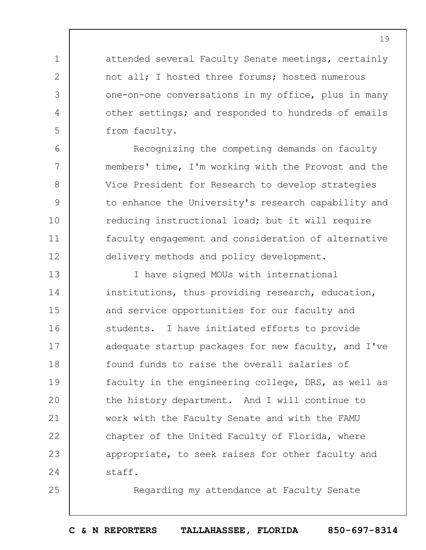attended several Faculty Senate meetings, certainly not all; I hosted three forums; hosted numerous one-on-one conversations in my office, plus in many other settings; and responded to hundreds of emails from faculty.

1

2

3

4

5

6

7

8

9

10

11

12

25

Recognizing the competing demands on faculty members' time, I'm working with the Provost and the Vice President for Research to develop strategies to enhance the University's research capability and reducing instructional load; but it will require faculty engagement and consideration of alternative delivery methods and policy development.

13 14 15 16 17 18 19  $20$ 21 22 23 24 I have signed MOUs with international institutions, thus providing research, education, and service opportunities for our faculty and students. I have initiated efforts to provide adequate startup packages for new faculty, and I've found funds to raise the overall salaries of faculty in the engineering college, DRS, as well as the history department. And I will continue to work with the Faculty Senate and with the FAMU chapter of the United Faculty of Florida, where appropriate, to seek raises for other faculty and staff.

Regarding my attendance at Faculty Senate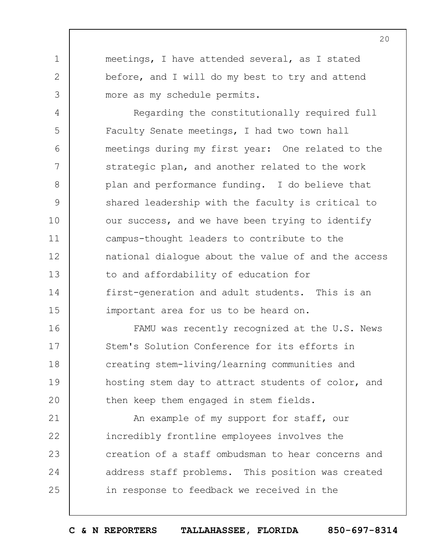meetings, I have attended several, as I stated before, and I will do my best to try and attend more as my schedule permits.

1

2

3

4 5 6 7 8 9 10 11 12 13 14 15 Regarding the constitutionally required full Faculty Senate meetings, I had two town hall meetings during my first year: One related to the strategic plan, and another related to the work plan and performance funding. I do believe that shared leadership with the faculty is critical to our success, and we have been trying to identify campus-thought leaders to contribute to the national dialogue about the value of and the access to and affordability of education for first-generation and adult students. This is an important area for us to be heard on.

16 17 18 19  $20$ FAMU was recently recognized at the U.S. News Stem's Solution Conference for its efforts in creating stem-living/learning communities and hosting stem day to attract students of color, and then keep them engaged in stem fields.

21 22 23 24 25 An example of my support for staff, our incredibly frontline employees involves the creation of a staff ombudsman to hear concerns and address staff problems. This position was created in response to feedback we received in the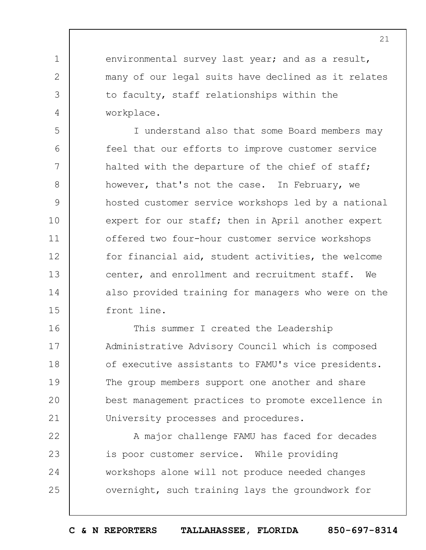environmental survey last year; and as a result, many of our legal suits have declined as it relates to faculty, staff relationships within the workplace.

1

2

3

4

5 6 7 8 9 10 11 12 13 14 15 I understand also that some Board members may feel that our efforts to improve customer service halted with the departure of the chief of staff; however, that's not the case. In February, we hosted customer service workshops led by a national expert for our staff; then in April another expert offered two four-hour customer service workshops for financial aid, student activities, the welcome center, and enrollment and recruitment staff. We also provided training for managers who were on the front line.

16 17 18 19  $20$ 21 This summer I created the Leadership Administrative Advisory Council which is composed of executive assistants to FAMU's vice presidents. The group members support one another and share best management practices to promote excellence in University processes and procedures.

22 23 24 25 A major challenge FAMU has faced for decades is poor customer service. While providing workshops alone will not produce needed changes overnight, such training lays the groundwork for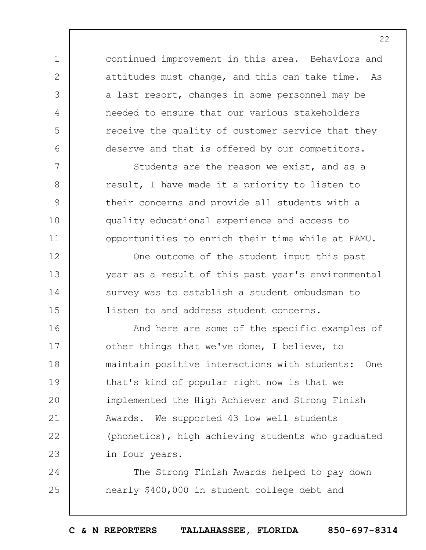continued improvement in this area. Behaviors and attitudes must change, and this can take time. As a last resort, changes in some personnel may be needed to ensure that our various stakeholders receive the quality of customer service that they deserve and that is offered by our competitors.

1

2

3

4

5

6

7

8

9

10

11

12

13

14

15

Students are the reason we exist, and as a result, I have made it a priority to listen to their concerns and provide all students with a quality educational experience and access to opportunities to enrich their time while at FAMU.

One outcome of the student input this past year as a result of this past year's environmental survey was to establish a student ombudsman to listen to and address student concerns.

16 17 18 19  $20$ 21 22 23 And here are some of the specific examples of other things that we've done, I believe, to maintain positive interactions with students: One that's kind of popular right now is that we implemented the High Achiever and Strong Finish Awards. We supported 43 low well students (phonetics), high achieving students who graduated in four years.

24 25 The Strong Finish Awards helped to pay down nearly \$400,000 in student college debt and

**C & N REPORTERS TALLAHASSEE, FLORIDA 850-697-8314**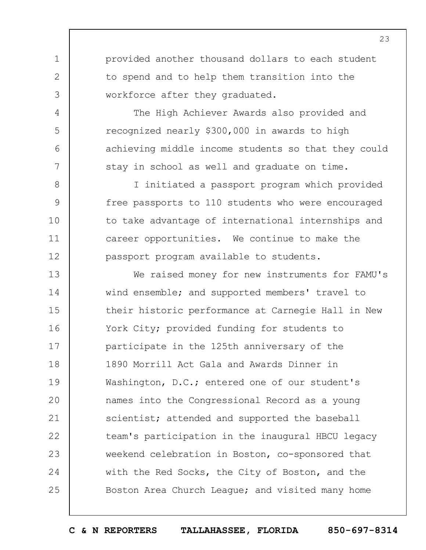provided another thousand dollars to each student to spend and to help them transition into the workforce after they graduated.

1

2

3

4

5

6

7

8

9

10

11

12

The High Achiever Awards also provided and recognized nearly \$300,000 in awards to high achieving middle income students so that they could stay in school as well and graduate on time.

I initiated a passport program which provided free passports to 110 students who were encouraged to take advantage of international internships and career opportunities. We continue to make the passport program available to students.

13 14 15 16 17 18 19  $20$ 21 22 23 24 25 We raised money for new instruments for FAMU's wind ensemble; and supported members' travel to their historic performance at Carnegie Hall in New York City; provided funding for students to participate in the 125th anniversary of the 1890 Morrill Act Gala and Awards Dinner in Washington, D.C.; entered one of our student's names into the Congressional Record as a young scientist; attended and supported the baseball team's participation in the inaugural HBCU legacy weekend celebration in Boston, co-sponsored that with the Red Socks, the City of Boston, and the Boston Area Church League; and visited many home

**C & N REPORTERS TALLAHASSEE, FLORIDA 850-697-8314**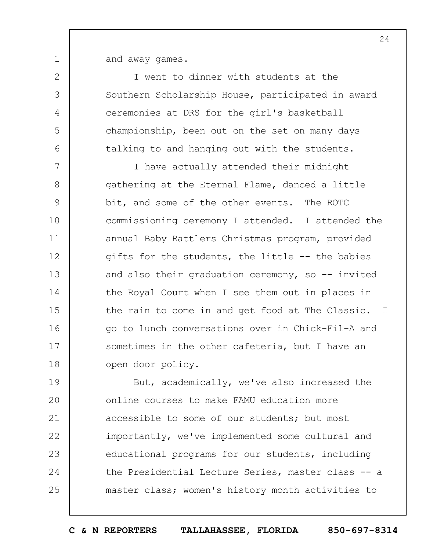and away games.

1

2

3

4

5

6

I went to dinner with students at the Southern Scholarship House, participated in award ceremonies at DRS for the girl's basketball championship, been out on the set on many days talking to and hanging out with the students.

7 8 9 10 11 12 13 14 15 16 17 18 I have actually attended their midnight gathering at the Eternal Flame, danced a little bit, and some of the other events. The ROTC commissioning ceremony I attended. I attended the annual Baby Rattlers Christmas program, provided gifts for the students, the little -- the babies and also their graduation ceremony, so  $-$  invited the Royal Court when I see them out in places in the rain to come in and get food at The Classic. I go to lunch conversations over in Chick-Fil-A and sometimes in the other cafeteria, but I have an open door policy.

19  $20$ 21 22 23 24 25 But, academically, we've also increased the online courses to make FAMU education more accessible to some of our students; but most importantly, we've implemented some cultural and educational programs for our students, including the Presidential Lecture Series, master class -- a master class; women's history month activities to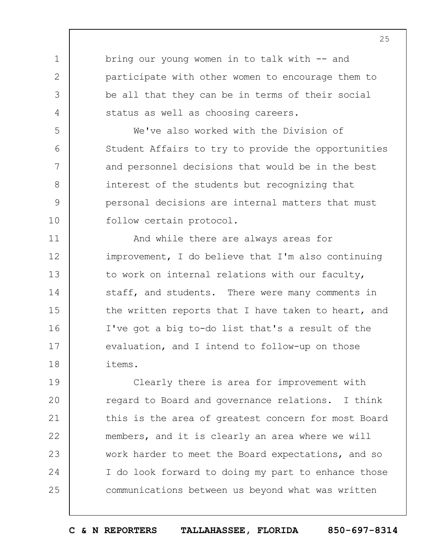bring our young women in to talk with -- and participate with other women to encourage them to be all that they can be in terms of their social status as well as choosing careers.

1

2

3

4

5

6

7

8

9

10

We've also worked with the Division of Student Affairs to try to provide the opportunities and personnel decisions that would be in the best interest of the students but recognizing that personal decisions are internal matters that must follow certain protocol.

11 12 13 14 15 16 17 18 And while there are always areas for improvement, I do believe that I'm also continuing to work on internal relations with our faculty, staff, and students. There were many comments in the written reports that I have taken to heart, and I've got a big to-do list that's a result of the evaluation, and I intend to follow-up on those items.

19  $20$ 21 22 23 24 25 Clearly there is area for improvement with regard to Board and governance relations. I think this is the area of greatest concern for most Board members, and it is clearly an area where we will work harder to meet the Board expectations, and so I do look forward to doing my part to enhance those communications between us beyond what was written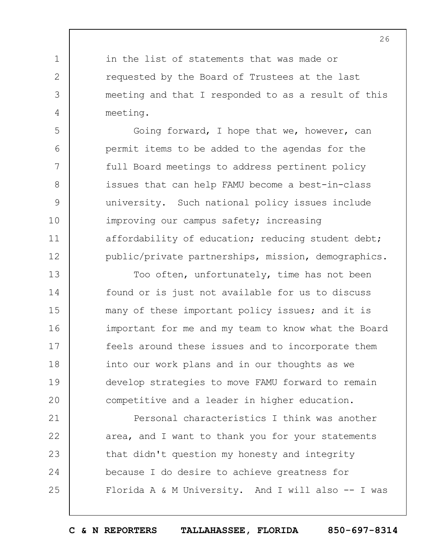in the list of statements that was made or requested by the Board of Trustees at the last meeting and that I responded to as a result of this meeting.

1

2

3

4

5

6

7

8

9

10

11

12

Going forward, I hope that we, however, can permit items to be added to the agendas for the full Board meetings to address pertinent policy issues that can help FAMU become a best-in-class university. Such national policy issues include improving our campus safety; increasing affordability of education; reducing student debt; public/private partnerships, mission, demographics.

13 14 15 16 17 18 19  $20$ Too often, unfortunately, time has not been found or is just not available for us to discuss many of these important policy issues; and it is important for me and my team to know what the Board feels around these issues and to incorporate them into our work plans and in our thoughts as we develop strategies to move FAMU forward to remain competitive and a leader in higher education.

21 22 23 24 25 Personal characteristics I think was another area, and I want to thank you for your statements that didn't question my honesty and integrity because I do desire to achieve greatness for Florida A & M University. And I will also -- I was

**C & N REPORTERS TALLAHASSEE, FLORIDA 850-697-8314**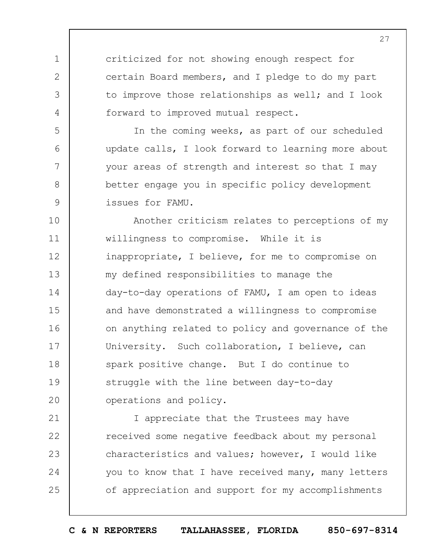criticized for not showing enough respect for certain Board members, and I pledge to do my part to improve those relationships as well; and I look forward to improved mutual respect.

1

2

3

4

5

6

7

8

9

In the coming weeks, as part of our scheduled update calls, I look forward to learning more about your areas of strength and interest so that I may better engage you in specific policy development issues for FAMU.

10 11 12 13 14 15 16 17 18 19  $20$ Another criticism relates to perceptions of my willingness to compromise. While it is inappropriate, I believe, for me to compromise on my defined responsibilities to manage the day-to-day operations of FAMU, I am open to ideas and have demonstrated a willingness to compromise on anything related to policy and governance of the University. Such collaboration, I believe, can spark positive change. But I do continue to struggle with the line between day-to-day operations and policy.

21 22 23 24 25 I appreciate that the Trustees may have received some negative feedback about my personal characteristics and values; however, I would like you to know that I have received many, many letters of appreciation and support for my accomplishments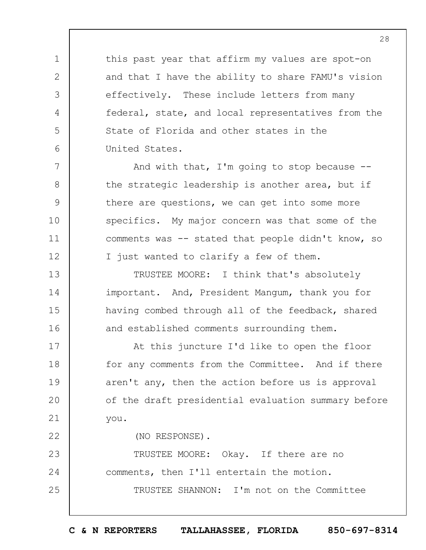this past year that affirm my values are spot-on and that I have the ability to share FAMU's vision effectively. These include letters from many federal, state, and local representatives from the State of Florida and other states in the United States.

1

2

3

4

5

6

7

8

9

10

11

12

13

14

15

16

22

And with that, I'm going to stop because  $-$ the strategic leadership is another area, but if there are questions, we can get into some more specifics. My major concern was that some of the comments was -- stated that people didn't know, so I just wanted to clarify a few of them.

TRUSTEE MOORE: I think that's absolutely important. And, President Mangum, thank you for having combed through all of the feedback, shared and established comments surrounding them.

17 18 19  $20$ 21 At this juncture I'd like to open the floor for any comments from the Committee. And if there aren't any, then the action before us is approval of the draft presidential evaluation summary before you.

(NO RESPONSE).

23 24 25 TRUSTEE MOORE: Okay. If there are no comments, then I'll entertain the motion. TRUSTEE SHANNON: I'm not on the Committee

**C & N REPORTERS TALLAHASSEE, FLORIDA 850-697-8314**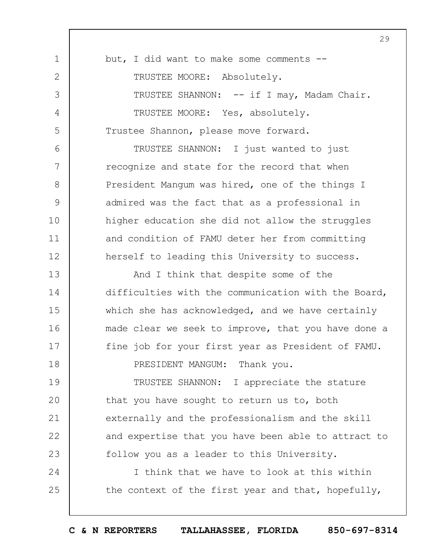|              | 29                                                  |
|--------------|-----------------------------------------------------|
| $\mathbf 1$  | but, I did want to make some comments --            |
| $\mathbf{2}$ | TRUSTEE MOORE: Absolutely.                          |
| 3            | TRUSTEE SHANNON: -- if I may, Madam Chair.          |
| 4            | TRUSTEE MOORE: Yes, absolutely.                     |
| 5            | Trustee Shannon, please move forward.               |
| 6            | TRUSTEE SHANNON: I just wanted to just              |
| 7            | recognize and state for the record that when        |
| 8            | President Mangum was hired, one of the things I     |
| 9            | admired was the fact that as a professional in      |
| 10           | higher education she did not allow the struggles    |
| 11           | and condition of FAMU deter her from committing     |
| 12           | herself to leading this University to success.      |
| 13           | And I think that despite some of the                |
| 14           | difficulties with the communication with the Board, |
| 15           | which she has acknowledged, and we have certainly   |
| 16           | made clear we seek to improve, that you have done a |
| 17           | fine job for your first year as President of FAMU.  |
| 18           | PRESIDENT MANGUM: Thank you.                        |
| 19           | TRUSTEE SHANNON: I appreciate the stature           |
| 20           | that you have sought to return us to, both          |
| 21           | externally and the professionalism and the skill    |
| 22           | and expertise that you have been able to attract to |
| 23           | follow you as a leader to this University.          |
| 24           | I think that we have to look at this within         |
| 25           | the context of the first year and that, hopefully,  |
|              |                                                     |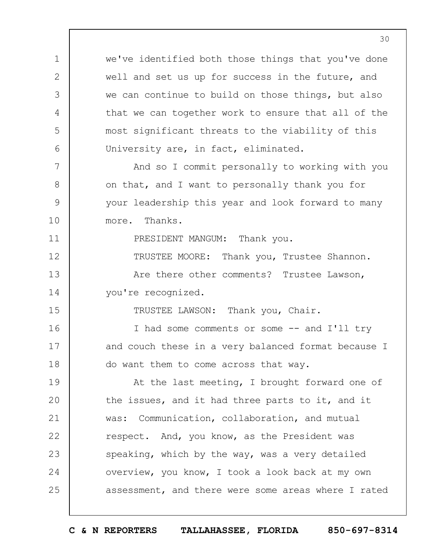we've identified both those things that you've done well and set us up for success in the future, and we can continue to build on those things, but also that we can together work to ensure that all of the most significant threats to the viability of this University are, in fact, eliminated.

1

2

3

4

5

6

7

8

9

10

11

12

13

14

15

And so I commit personally to working with you on that, and I want to personally thank you for your leadership this year and look forward to many more. Thanks.

PRESIDENT MANGUM: Thank you.

TRUSTEE MOORE: Thank you, Trustee Shannon.

Are there other comments? Trustee Lawson, you're recognized.

TRUSTEE LAWSON: Thank you, Chair.

16 17 18 I had some comments or some -- and I'll try and couch these in a very balanced format because I do want them to come across that way.

19  $20$ 21 22 23 24 25 At the last meeting, I brought forward one of the issues, and it had three parts to it, and it was: Communication, collaboration, and mutual respect. And, you know, as the President was speaking, which by the way, was a very detailed overview, you know, I took a look back at my own assessment, and there were some areas where I rated

**C & N REPORTERS TALLAHASSEE, FLORIDA 850-697-8314**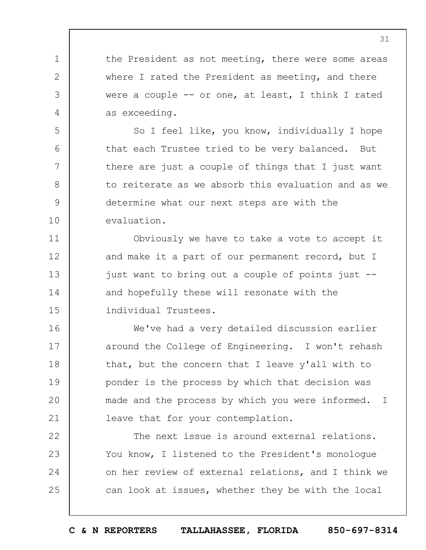the President as not meeting, there were some areas where I rated the President as meeting, and there were a couple  $-$  or one, at least, I think I rated as exceeding.

1

2

3

4

5

6

7

8

9

10

11

12

13

14

15

So I feel like, you know, individually I hope that each Trustee tried to be very balanced. But there are just a couple of things that I just want to reiterate as we absorb this evaluation and as we determine what our next steps are with the evaluation.

Obviously we have to take a vote to accept it and make it a part of our permanent record, but I just want to bring out a couple of points just - and hopefully these will resonate with the individual Trustees.

16 17 18 19  $20$ 21 We've had a very detailed discussion earlier around the College of Engineering. I won't rehash that, but the concern that I leave y'all with to ponder is the process by which that decision was made and the process by which you were informed. I leave that for your contemplation.

22 23 24 25 The next issue is around external relations. You know, I listened to the President's monologue on her review of external relations, and I think we can look at issues, whether they be with the local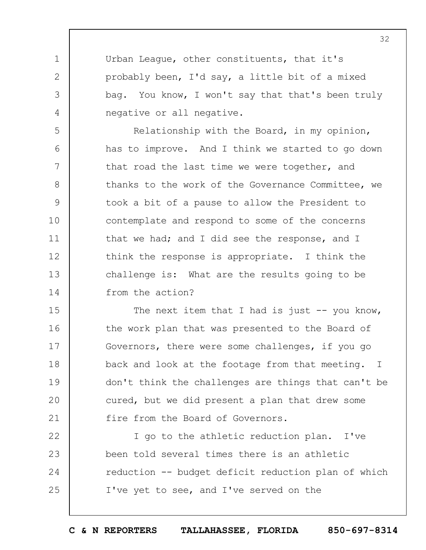Urban League, other constituents, that it's probably been, I'd say, a little bit of a mixed bag. You know, I won't say that that's been truly negative or all negative.

1

2

3

4

5

6

7

8

9

10

11

12

13

14

Relationship with the Board, in my opinion, has to improve. And I think we started to go down that road the last time we were together, and thanks to the work of the Governance Committee, we took a bit of a pause to allow the President to contemplate and respond to some of the concerns that we had; and I did see the response, and I think the response is appropriate. I think the challenge is: What are the results going to be from the action?

15 16 17 18 19  $20$ 21 The next item that I had is just  $-$ - you know, the work plan that was presented to the Board of Governors, there were some challenges, if you go back and look at the footage from that meeting. I don't think the challenges are things that can't be cured, but we did present a plan that drew some fire from the Board of Governors.

22 23 24 25 I go to the athletic reduction plan. I've been told several times there is an athletic reduction -- budget deficit reduction plan of which I've yet to see, and I've served on the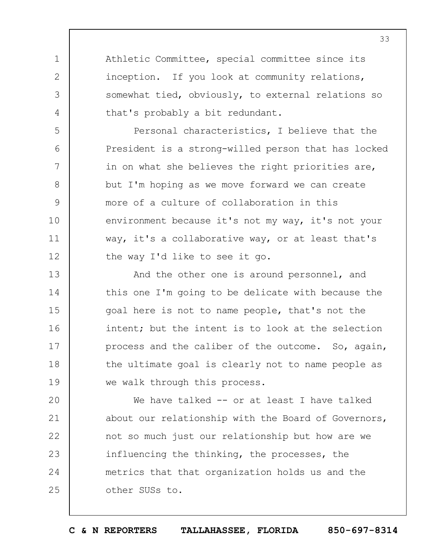Athletic Committee, special committee since its inception. If you look at community relations, somewhat tied, obviously, to external relations so that's probably a bit redundant.

1

2

3

4

5

6

7

8

9

10

11

12

Personal characteristics, I believe that the President is a strong-willed person that has locked in on what she believes the right priorities are, but I'm hoping as we move forward we can create more of a culture of collaboration in this environment because it's not my way, it's not your way, it's a collaborative way, or at least that's the way I'd like to see it go.

13 14 15 16 17 18 19 And the other one is around personnel, and this one I'm going to be delicate with because the goal here is not to name people, that's not the intent; but the intent is to look at the selection process and the caliber of the outcome. So, again, the ultimate goal is clearly not to name people as we walk through this process.

 $20$ 21 22 23 24 25 We have talked -- or at least I have talked about our relationship with the Board of Governors, not so much just our relationship but how are we influencing the thinking, the processes, the metrics that that organization holds us and the other SUSs to.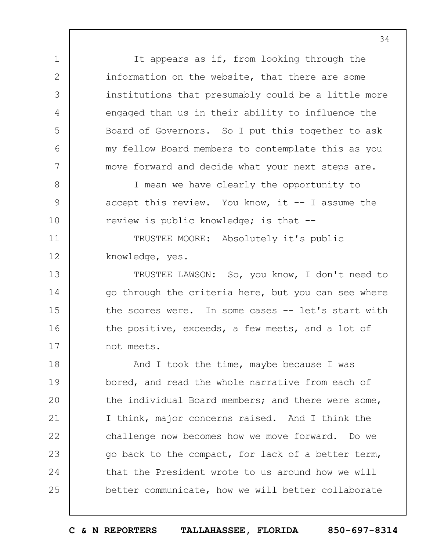It appears as if, from looking through the information on the website, that there are some institutions that presumably could be a little more engaged than us in their ability to influence the Board of Governors. So I put this together to ask my fellow Board members to contemplate this as you move forward and decide what your next steps are.

I mean we have clearly the opportunity to accept this review. You know, it  $-$ - I assume the review is public knowledge; is that --

TRUSTEE MOORE: Absolutely it's public knowledge, yes.

1

2

3

4

5

6

7

8

9

10

11

12

13 14 15 16 17 TRUSTEE LAWSON: So, you know, I don't need to go through the criteria here, but you can see where the scores were. In some cases -- let's start with the positive, exceeds, a few meets, and a lot of not meets.

18 19  $20$ 21 22 23 24 25 And I took the time, maybe because I was bored, and read the whole narrative from each of the individual Board members; and there were some, I think, major concerns raised. And I think the challenge now becomes how we move forward. Do we go back to the compact, for lack of a better term, that the President wrote to us around how we will better communicate, how we will better collaborate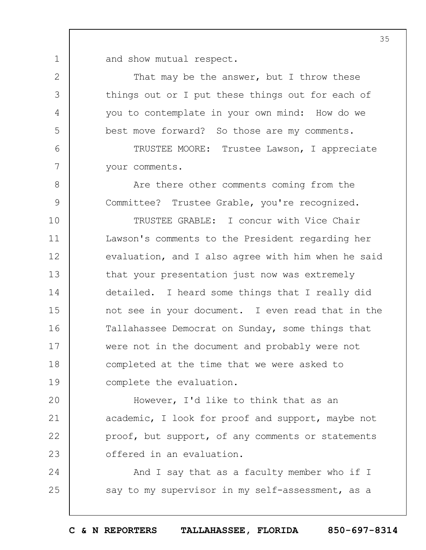and show mutual respect.

1

2

3

4

5

6

7

8

9

That may be the answer, but I throw these things out or I put these things out for each of you to contemplate in your own mind: How do we best move forward? So those are my comments.

TRUSTEE MOORE: Trustee Lawson, I appreciate your comments.

Are there other comments coming from the Committee? Trustee Grable, you're recognized.

10 11 12 13 14 15 16 17 18 19 TRUSTEE GRABLE: I concur with Vice Chair Lawson's comments to the President regarding her evaluation, and I also agree with him when he said that your presentation just now was extremely detailed. I heard some things that I really did not see in your document. I even read that in the Tallahassee Democrat on Sunday, some things that were not in the document and probably were not completed at the time that we were asked to complete the evaluation.

 $20$ 21 22 23 However, I'd like to think that as an academic, I look for proof and support, maybe not proof, but support, of any comments or statements offered in an evaluation.

24 25 And I say that as a faculty member who if I say to my supervisor in my self-assessment, as a

**C & N REPORTERS TALLAHASSEE, FLORIDA 850-697-8314**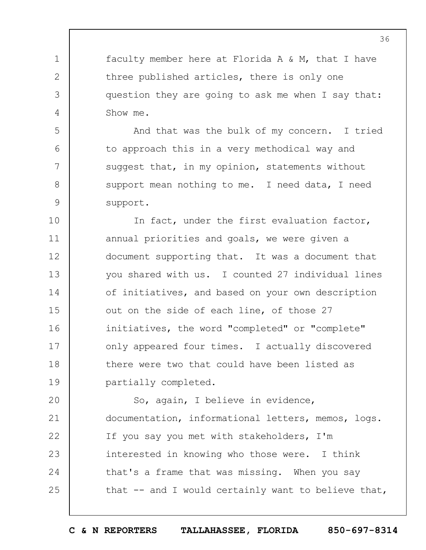faculty member here at Florida A & M, that I have three published articles, there is only one question they are going to ask me when I say that: Show me.

1

2

3

4

5

6

7

8

9

And that was the bulk of my concern. I tried to approach this in a very methodical way and suggest that, in my opinion, statements without support mean nothing to me. I need data, I need support.

10 11 12 13 14 15 16 17 18 19 In fact, under the first evaluation factor, annual priorities and goals, we were given a document supporting that. It was a document that you shared with us. I counted 27 individual lines of initiatives, and based on your own description out on the side of each line, of those 27 initiatives, the word "completed" or "complete" only appeared four times. I actually discovered there were two that could have been listed as partially completed.

 $20$ 21 22 23 24 25 So, again, I believe in evidence, documentation, informational letters, memos, logs. If you say you met with stakeholders, I'm interested in knowing who those were. I think that's a frame that was missing. When you say that -- and I would certainly want to believe that,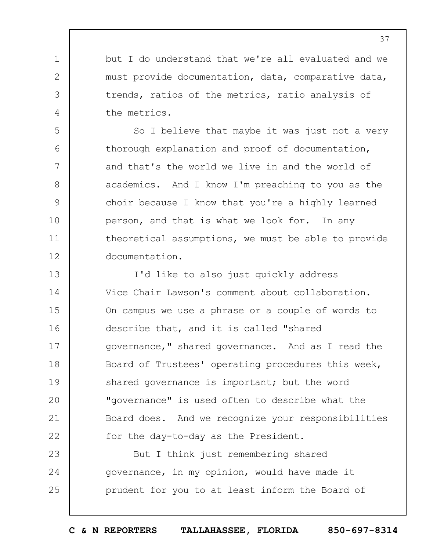but I do understand that we're all evaluated and we must provide documentation, data, comparative data, trends, ratios of the metrics, ratio analysis of the metrics.

1

2

3

4

5

6

7

8

9

10

11

12

So I believe that maybe it was just not a very thorough explanation and proof of documentation, and that's the world we live in and the world of academics. And I know I'm preaching to you as the choir because I know that you're a highly learned person, and that is what we look for. In any theoretical assumptions, we must be able to provide documentation.

13 14 15 16 17 18 19  $20$ 21 22 I'd like to also just quickly address Vice Chair Lawson's comment about collaboration. On campus we use a phrase or a couple of words to describe that, and it is called "shared governance," shared governance. And as I read the Board of Trustees' operating procedures this week, shared governance is important; but the word "governance" is used often to describe what the Board does. And we recognize your responsibilities for the day-to-day as the President.

23 24 25 But I think just remembering shared governance, in my opinion, would have made it prudent for you to at least inform the Board of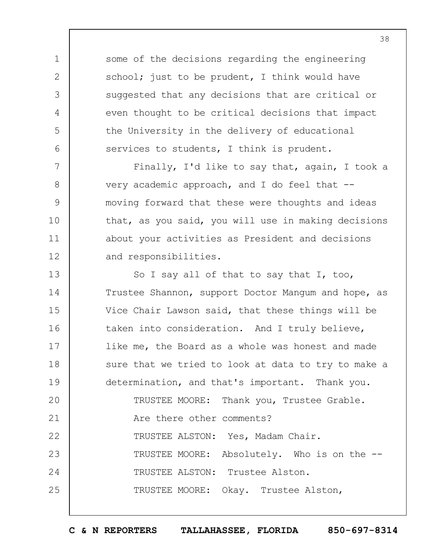some of the decisions regarding the engineering school; just to be prudent, I think would have suggested that any decisions that are critical or even thought to be critical decisions that impact the University in the delivery of educational services to students, I think is prudent.

1

2

3

4

5

6

7

8

9

10

11

12

Finally, I'd like to say that, again, I took a very academic approach, and I do feel that - moving forward that these were thoughts and ideas that, as you said, you will use in making decisions about your activities as President and decisions and responsibilities.

13 14 15 16 17 18 19  $20$ 21 22 23 24 25 So I say all of that to say that I, too, Trustee Shannon, support Doctor Mangum and hope, as Vice Chair Lawson said, that these things will be taken into consideration. And I truly believe, like me, the Board as a whole was honest and made sure that we tried to look at data to try to make a determination, and that's important. Thank you. TRUSTEE MOORE: Thank you, Trustee Grable. Are there other comments? TRUSTEE ALSTON: Yes, Madam Chair. TRUSTEE MOORE: Absolutely. Who is on the -- TRUSTEE ALSTON: Trustee Alston. TRUSTEE MOORE: Okay. Trustee Alston,

**C & N REPORTERS TALLAHASSEE, FLORIDA 850-697-8314**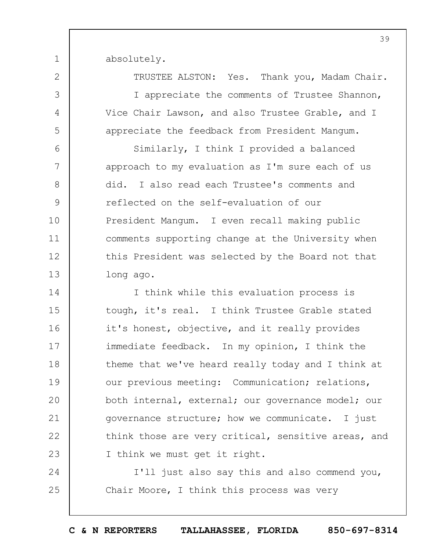absolutely.

1

2

3

4

5

6

7

8

9

10

11

12

13

TRUSTEE ALSTON: Yes. Thank you, Madam Chair. I appreciate the comments of Trustee Shannon, Vice Chair Lawson, and also Trustee Grable, and I appreciate the feedback from President Mangum.

Similarly, I think I provided a balanced approach to my evaluation as I'm sure each of us did. I also read each Trustee's comments and reflected on the self-evaluation of our President Mangum. I even recall making public comments supporting change at the University when this President was selected by the Board not that long ago.

14 15 16 17 18 19  $20$ 21 22 23 I think while this evaluation process is tough, it's real. I think Trustee Grable stated it's honest, objective, and it really provides immediate feedback. In my opinion, I think the theme that we've heard really today and I think at our previous meeting: Communication; relations, both internal, external; our governance model; our governance structure; how we communicate. I just think those are very critical, sensitive areas, and I think we must get it right.

24 25 I'll just also say this and also commend you, Chair Moore, I think this process was very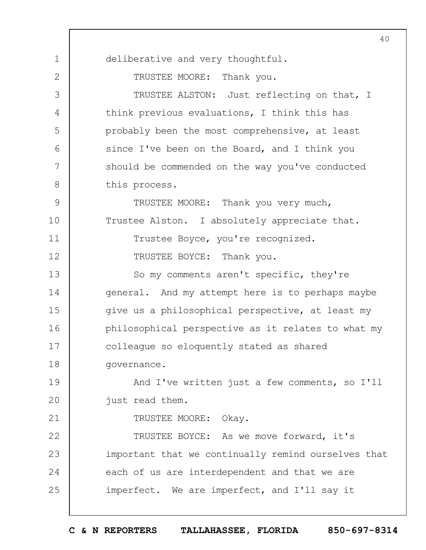1 2 3 4 5 6 7 8 9 10 11 12 13 14 15 16 17 18 19  $20$ 21 22 23 24 25 40 deliberative and very thoughtful. TRUSTEE MOORE: Thank you. TRUSTEE ALSTON: Just reflecting on that, I think previous evaluations, I think this has probably been the most comprehensive, at least since I've been on the Board, and I think you should be commended on the way you've conducted this process. TRUSTEE MOORE: Thank you very much, Trustee Alston. I absolutely appreciate that. Trustee Boyce, you're recognized. TRUSTEE BOYCE: Thank you. So my comments aren't specific, they're general. And my attempt here is to perhaps maybe give us a philosophical perspective, at least my philosophical perspective as it relates to what my colleague so eloquently stated as shared governance. And I've written just a few comments, so I'll just read them. TRUSTEE MOORE: Okay. TRUSTEE BOYCE: As we move forward, it's important that we continually remind ourselves that each of us are interdependent and that we are imperfect. We are imperfect, and I'll say it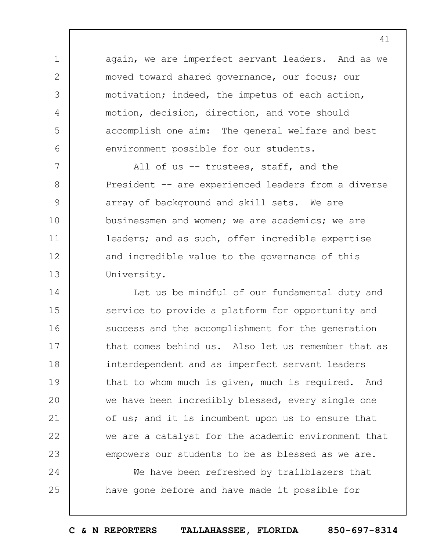again, we are imperfect servant leaders. And as we moved toward shared governance, our focus; our motivation; indeed, the impetus of each action, motion, decision, direction, and vote should accomplish one aim: The general welfare and best environment possible for our students.

1

2

3

4

5

6

25

7 8 9 10 11 12 13 All of us -- trustees, staff, and the President -- are experienced leaders from a diverse array of background and skill sets. We are businessmen and women; we are academics; we are leaders; and as such, offer incredible expertise and incredible value to the governance of this University.

14 15 16 17 18 19  $20$ 21 22 23 24 Let us be mindful of our fundamental duty and service to provide a platform for opportunity and success and the accomplishment for the generation that comes behind us. Also let us remember that as interdependent and as imperfect servant leaders that to whom much is given, much is required. And we have been incredibly blessed, every single one of us; and it is incumbent upon us to ensure that we are a catalyst for the academic environment that empowers our students to be as blessed as we are.

We have been refreshed by trailblazers that have gone before and have made it possible for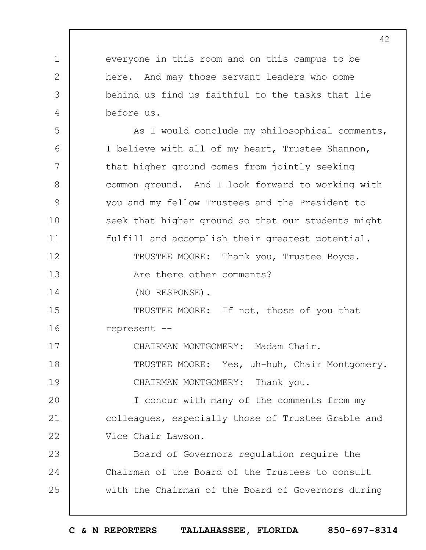1 2 3 4 5 6 7 8 9 10 11 12 13 14 15 16 17 18 19  $20$ 21 22 23 24 25 everyone in this room and on this campus to be here. And may those servant leaders who come behind us find us faithful to the tasks that lie before us. As I would conclude my philosophical comments, I believe with all of my heart, Trustee Shannon, that higher ground comes from jointly seeking common ground. And I look forward to working with you and my fellow Trustees and the President to seek that higher ground so that our students might fulfill and accomplish their greatest potential. TRUSTEE MOORE: Thank you, Trustee Boyce. Are there other comments? (NO RESPONSE). TRUSTEE MOORE: If not, those of you that represent -- CHAIRMAN MONTGOMERY: Madam Chair. TRUSTEE MOORE: Yes, uh-huh, Chair Montgomery. CHAIRMAN MONTGOMERY: Thank you. I concur with many of the comments from my colleagues, especially those of Trustee Grable and Vice Chair Lawson. Board of Governors regulation require the Chairman of the Board of the Trustees to consult with the Chairman of the Board of Governors during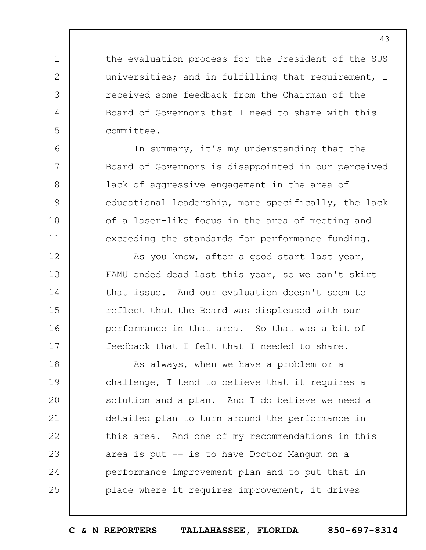the evaluation process for the President of the SUS universities; and in fulfilling that requirement, I received some feedback from the Chairman of the Board of Governors that I need to share with this committee.

1

2

3

4

5

6

7

8

9

10

11

12

13

14

15

16

17

In summary, it's my understanding that the Board of Governors is disappointed in our perceived lack of aggressive engagement in the area of educational leadership, more specifically, the lack of a laser-like focus in the area of meeting and exceeding the standards for performance funding.

As you know, after a good start last year, FAMU ended dead last this year, so we can't skirt that issue. And our evaluation doesn't seem to reflect that the Board was displeased with our performance in that area. So that was a bit of feedback that I felt that I needed to share.

18 19  $20$ 21 22 23 24 25 As always, when we have a problem or a challenge, I tend to believe that it requires a solution and a plan. And I do believe we need a detailed plan to turn around the performance in this area. And one of my recommendations in this area is put -- is to have Doctor Mangum on a performance improvement plan and to put that in place where it requires improvement, it drives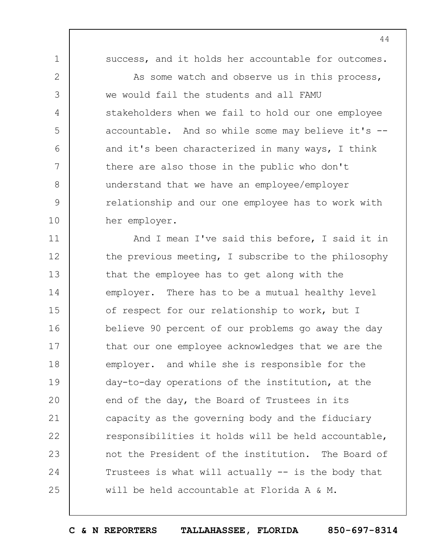1

2

3

4

5

6

7

8

9

10

success, and it holds her accountable for outcomes.

As some watch and observe us in this process, we would fail the students and all FAMU stakeholders when we fail to hold our one employee accountable. And so while some may believe it's - and it's been characterized in many ways, I think there are also those in the public who don't understand that we have an employee/employer relationship and our one employee has to work with her employer.

11 12 13 14 15 16 17 18 19  $20$ 21 22 23 24 25 And I mean I've said this before, I said it in the previous meeting, I subscribe to the philosophy that the employee has to get along with the employer. There has to be a mutual healthy level of respect for our relationship to work, but I believe 90 percent of our problems go away the day that our one employee acknowledges that we are the employer. and while she is responsible for the day-to-day operations of the institution, at the end of the day, the Board of Trustees in its capacity as the governing body and the fiduciary responsibilities it holds will be held accountable, not the President of the institution. The Board of Trustees is what will actually -- is the body that will be held accountable at Florida A & M.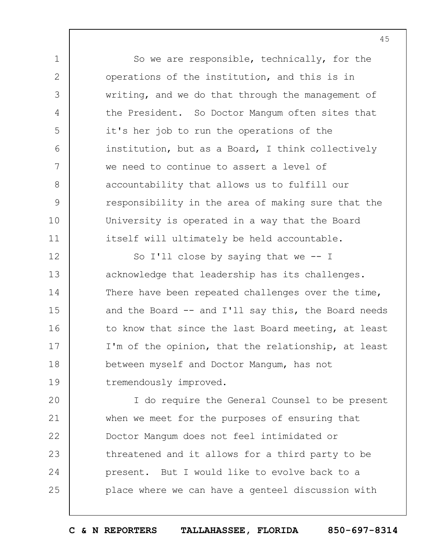So we are responsible, technically, for the operations of the institution, and this is in writing, and we do that through the management of the President. So Doctor Mangum often sites that it's her job to run the operations of the institution, but as a Board, I think collectively we need to continue to assert a level of accountability that allows us to fulfill our responsibility in the area of making sure that the University is operated in a way that the Board itself will ultimately be held accountable.

1

2

3

4

5

6

7

8

9

10

11

12 13 14 15 16 17 18 19 So I'll close by saying that we  $-$ - I acknowledge that leadership has its challenges. There have been repeated challenges over the time, and the Board  $-$  and I'll say this, the Board needs to know that since the last Board meeting, at least I'm of the opinion, that the relationship, at least between myself and Doctor Mangum, has not tremendously improved.

 $20$ 21 22 23 24 25 I do require the General Counsel to be present when we meet for the purposes of ensuring that Doctor Mangum does not feel intimidated or threatened and it allows for a third party to be present. But I would like to evolve back to a place where we can have a genteel discussion with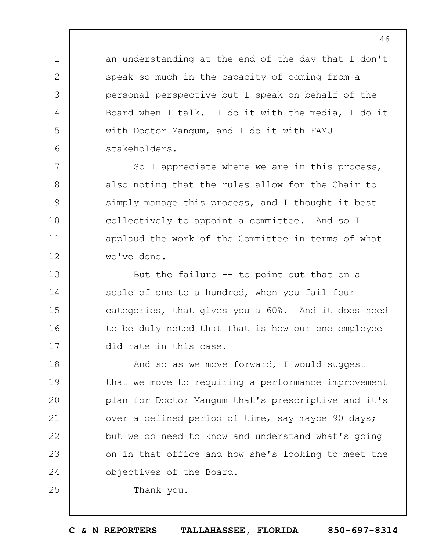an understanding at the end of the day that I don't speak so much in the capacity of coming from a personal perspective but I speak on behalf of the Board when I talk. I do it with the media, I do it with Doctor Mangum, and I do it with FAMU stakeholders.

So I appreciate where we are in this process, also noting that the rules allow for the Chair to simply manage this process, and I thought it best collectively to appoint a committee. And so I applaud the work of the Committee in terms of what we've done.

13 14 15 16 17 But the failure -- to point out that on a scale of one to a hundred, when you fail four categories, that gives you a 60%. And it does need to be duly noted that that is how our one employee did rate in this case.

18 19  $20$ 21 22 23 24 And so as we move forward, I would suggest that we move to requiring a performance improvement plan for Doctor Mangum that's prescriptive and it's over a defined period of time, say maybe 90 days; but we do need to know and understand what's going on in that office and how she's looking to meet the objectives of the Board.

Thank you.

1

2

3

4

5

6

7

8

9

10

11

12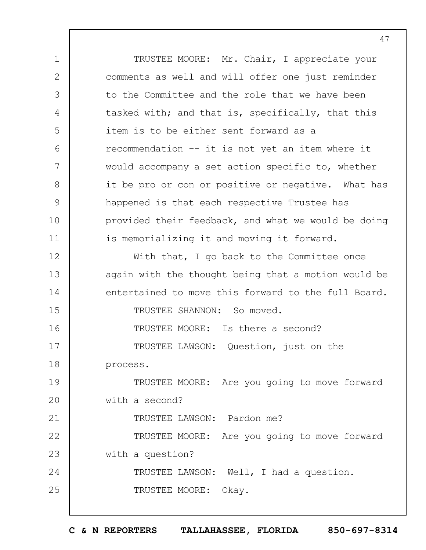1 2 3 4 5 6 7 8 9 10 11 12 13 14 15 16 17 18 19  $20$ 21 22 23 24 25 TRUSTEE MOORE: Mr. Chair, I appreciate your comments as well and will offer one just reminder to the Committee and the role that we have been tasked with; and that is, specifically, that this item is to be either sent forward as a recommendation -- it is not yet an item where it would accompany a set action specific to, whether it be pro or con or positive or negative. What has happened is that each respective Trustee has provided their feedback, and what we would be doing is memorializing it and moving it forward. With that, I go back to the Committee once again with the thought being that a motion would be entertained to move this forward to the full Board. TRUSTEE SHANNON: So moved. TRUSTEE MOORE: Is there a second? TRUSTEE LAWSON: Question, just on the process. TRUSTEE MOORE: Are you going to move forward with a second? TRUSTEE LAWSON: Pardon me? TRUSTEE MOORE: Are you going to move forward with a question? TRUSTEE LAWSON: Well, I had a question. TRUSTEE MOORE: Okay.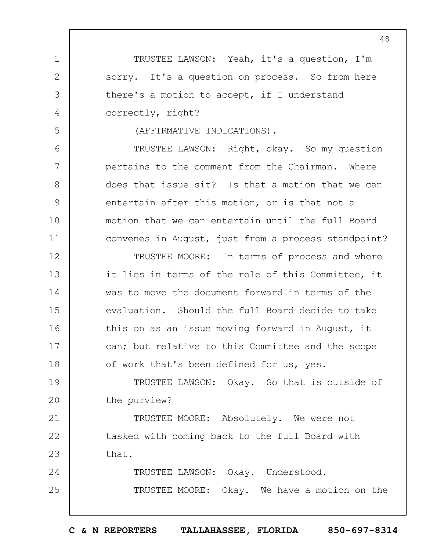TRUSTEE LAWSON: Yeah, it's a question, I'm sorry. It's a question on process. So from here there's a motion to accept, if I understand correctly, right?

(AFFIRMATIVE INDICATIONS).

1

2

3

4

5

6

7

8

9

10

11

TRUSTEE LAWSON: Right, okay. So my question pertains to the comment from the Chairman. Where does that issue sit? Is that a motion that we can entertain after this motion, or is that not a motion that we can entertain until the full Board convenes in August, just from a process standpoint?

12 13 14 15 16 17 18 TRUSTEE MOORE: In terms of process and where it lies in terms of the role of this Committee, it was to move the document forward in terms of the evaluation. Should the full Board decide to take this on as an issue moving forward in August, it can; but relative to this Committee and the scope of work that's been defined for us, yes.

19  $20$ TRUSTEE LAWSON: Okay. So that is outside of the purview?

21 22 23 TRUSTEE MOORE: Absolutely. We were not tasked with coming back to the full Board with that.

24 25 TRUSTEE LAWSON: Okay. Understood. TRUSTEE MOORE: Okay. We have a motion on the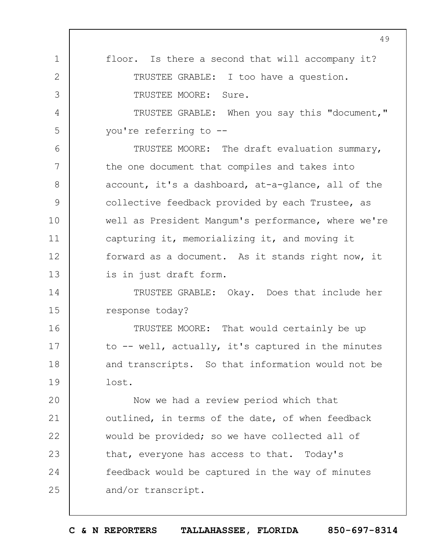|               | 49                                                  |
|---------------|-----------------------------------------------------|
| $\mathbf 1$   | floor. Is there a second that will accompany it?    |
| $\mathbf{2}$  | TRUSTEE GRABLE: I too have a question.              |
| 3             | TRUSTEE MOORE: Sure.                                |
| 4             | TRUSTEE GRABLE: When you say this "document,"       |
| 5             | you're referring to --                              |
| 6             | TRUSTEE MOORE: The draft evaluation summary,        |
| 7             | the one document that compiles and takes into       |
| 8             | account, it's a dashboard, at-a-glance, all of the  |
| $\mathcal{G}$ | collective feedback provided by each Trustee, as    |
| 10            | well as President Mangum's performance, where we're |
| 11            | capturing it, memorializing it, and moving it       |
| 12            | forward as a document. As it stands right now, it   |
| 13            | is in just draft form.                              |
| 14            | TRUSTEE GRABLE: Okay. Does that include her         |
| 15            | response today?                                     |
| 16            | TRUSTEE MOORE: That would certainly be up           |
| 17            | to -- well, actually, it's captured in the minutes  |
| 18            | and transcripts. So that information would not be   |
| 19            | lost.                                               |
| 20            | Now we had a review period which that               |
| 21            | outlined, in terms of the date, of when feedback    |
| 22            | would be provided; so we have collected all of      |
| 23            | that, everyone has access to that. Today's          |
| 24            | feedback would be captured in the way of minutes    |
| 25            | and/or transcript.                                  |
|               |                                                     |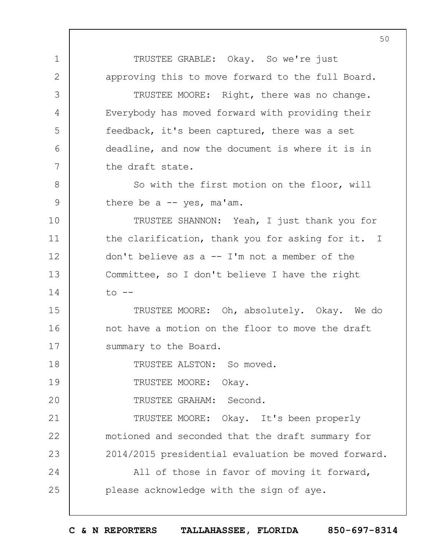1 2 3 4 5 6 7 8 9 10 11 12 13 14 15 16 17 18 19  $20$ 21 22 23 24 25 50 TRUSTEE GRABLE: Okay. So we're just approving this to move forward to the full Board. TRUSTEE MOORE: Right, there was no change. Everybody has moved forward with providing their feedback, it's been captured, there was a set deadline, and now the document is where it is in the draft state. So with the first motion on the floor, will there be a  $-$  yes, ma'am. TRUSTEE SHANNON: Yeah, I just thank you for the clarification, thank you for asking for it. I don't believe as a  $-$  I'm not a member of the Committee, so I don't believe I have the right  $to$   $-$ TRUSTEE MOORE: Oh, absolutely. Okay. We do not have a motion on the floor to move the draft summary to the Board. TRUSTEE ALSTON: So moved. TRUSTEE MOORE: Okay. TRUSTEE GRAHAM: Second. TRUSTEE MOORE: Okay. It's been properly motioned and seconded that the draft summary for 2014/2015 presidential evaluation be moved forward. All of those in favor of moving it forward, please acknowledge with the sign of aye.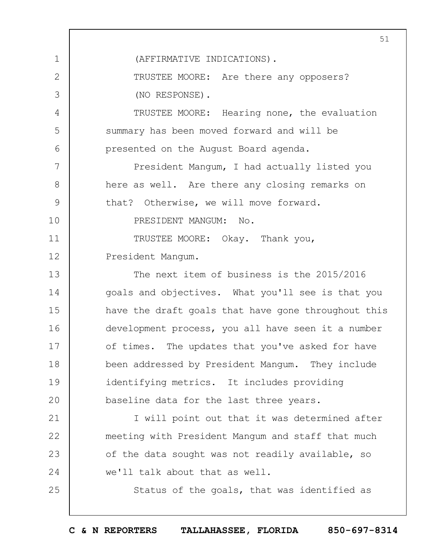1 2 3 4 5 6 7 8 9 10 11 12 13 14 15 16 17 18 19  $20$ 21 22 23 24 25 51 (AFFIRMATIVE INDICATIONS). TRUSTEE MOORE: Are there any opposers? (NO RESPONSE). TRUSTEE MOORE: Hearing none, the evaluation summary has been moved forward and will be presented on the August Board agenda. President Mangum, I had actually listed you here as well. Are there any closing remarks on that? Otherwise, we will move forward. PRESIDENT MANGUM: No. TRUSTEE MOORE: Okay. Thank you, President Mangum. The next item of business is the 2015/2016 goals and objectives. What you'll see is that you have the draft goals that have gone throughout this development process, you all have seen it a number of times. The updates that you've asked for have been addressed by President Mangum. They include identifying metrics. It includes providing baseline data for the last three years. I will point out that it was determined after meeting with President Mangum and staff that much of the data sought was not readily available, so we'll talk about that as well. Status of the goals, that was identified as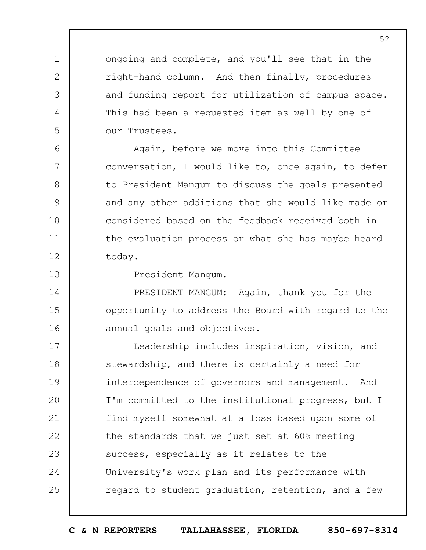ongoing and complete, and you'll see that in the right-hand column. And then finally, procedures and funding report for utilization of campus space. This had been a requested item as well by one of our Trustees.

Again, before we move into this Committee conversation, I would like to, once again, to defer to President Mangum to discuss the goals presented and any other additions that she would like made or considered based on the feedback received both in the evaluation process or what she has maybe heard today.

13

14

15

16

1

2

3

4

5

6

7

8

9

10

11

12

President Mangum.

PRESIDENT MANGUM: Again, thank you for the opportunity to address the Board with regard to the annual goals and objectives.

17 18 19  $20$ 21 22 23 24 25 Leadership includes inspiration, vision, and stewardship, and there is certainly a need for interdependence of governors and management. And I'm committed to the institutional progress, but I find myself somewhat at a loss based upon some of the standards that we just set at 60% meeting success, especially as it relates to the University's work plan and its performance with regard to student graduation, retention, and a few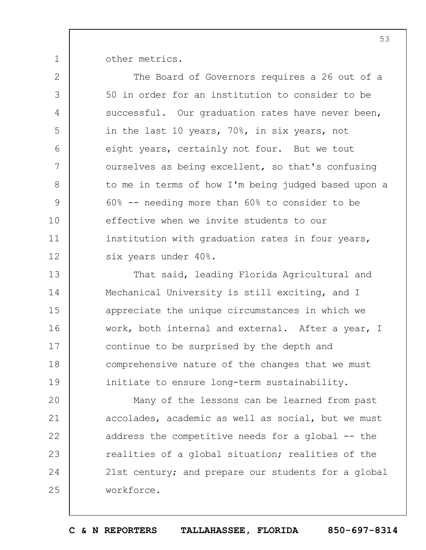other metrics.

1

2 3 4 5 6 7 8 9 10 11 12 13 The Board of Governors requires a 26 out of a 50 in order for an institution to consider to be successful. Our graduation rates have never been, in the last 10 years, 70%, in six years, not eight years, certainly not four. But we tout ourselves as being excellent, so that's confusing to me in terms of how I'm being judged based upon a 60% -- needing more than 60% to consider to be effective when we invite students to our institution with graduation rates in four years, six years under 40%. That said, leading Florida Agricultural and

14 15 16 17 18 19 Mechanical University is still exciting, and I appreciate the unique circumstances in which we work, both internal and external. After a year, I continue to be surprised by the depth and comprehensive nature of the changes that we must initiate to ensure long-term sustainability.

 $20$ 21 22 23 24 25 Many of the lessons can be learned from past accolades, academic as well as social, but we must address the competitive needs for a global -- the realities of a global situation; realities of the 21st century; and prepare our students for a global workforce.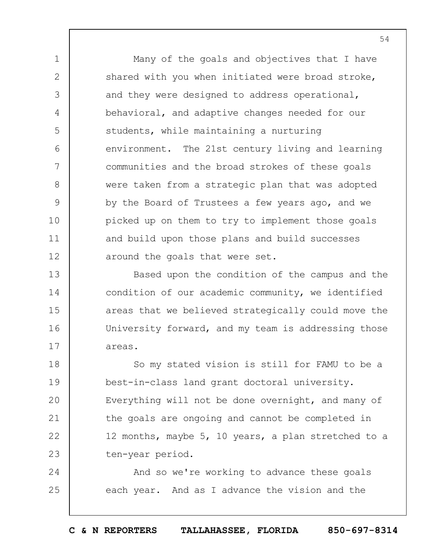Many of the goals and objectives that I have shared with you when initiated were broad stroke, and they were designed to address operational, behavioral, and adaptive changes needed for our students, while maintaining a nurturing environment. The 21st century living and learning communities and the broad strokes of these goals were taken from a strategic plan that was adopted by the Board of Trustees a few years ago, and we picked up on them to try to implement those goals and build upon those plans and build successes around the goals that were set.

1

2

3

4

5

6

7

8

9

10

11

12

13 14 15 16 17 Based upon the condition of the campus and the condition of our academic community, we identified areas that we believed strategically could move the University forward, and my team is addressing those areas.

18 19  $20$ 21 22 23 So my stated vision is still for FAMU to be a best-in-class land grant doctoral university. Everything will not be done overnight, and many of the goals are ongoing and cannot be completed in 12 months, maybe 5, 10 years, a plan stretched to a ten-year period.

24 25 And so we're working to advance these goals each year. And as I advance the vision and the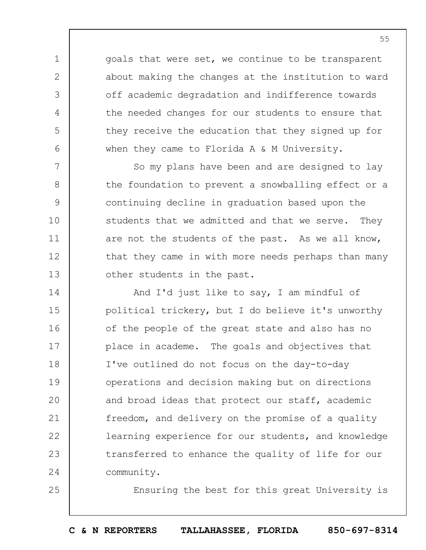goals that were set, we continue to be transparent about making the changes at the institution to ward off academic degradation and indifference towards the needed changes for our students to ensure that they receive the education that they signed up for when they came to Florida A & M University.

1

2

3

4

5

6

25

7 8 9 10 11 12 13 So my plans have been and are designed to lay the foundation to prevent a snowballing effect or a continuing decline in graduation based upon the students that we admitted and that we serve. They are not the students of the past. As we all know, that they came in with more needs perhaps than many other students in the past.

14 15 16 17 18 19  $20$ 21 22 23 24 And I'd just like to say, I am mindful of political trickery, but I do believe it's unworthy of the people of the great state and also has no place in academe. The goals and objectives that I've outlined do not focus on the day-to-day operations and decision making but on directions and broad ideas that protect our staff, academic freedom, and delivery on the promise of a quality learning experience for our students, and knowledge transferred to enhance the quality of life for our community.

Ensuring the best for this great University is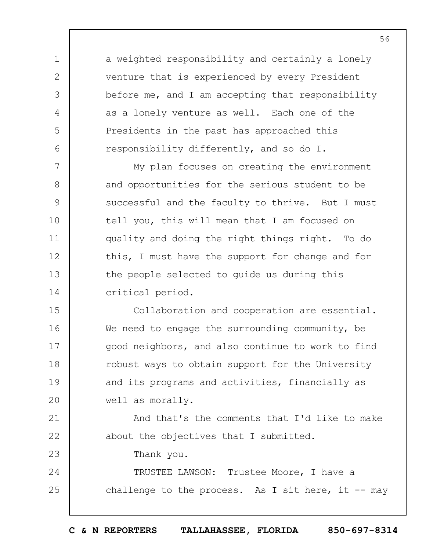a weighted responsibility and certainly a lonely venture that is experienced by every President before me, and I am accepting that responsibility as a lonely venture as well. Each one of the Presidents in the past has approached this responsibility differently, and so do I.

7 8 9 10 11 12 13 14 My plan focuses on creating the environment and opportunities for the serious student to be successful and the faculty to thrive. But I must tell you, this will mean that I am focused on quality and doing the right things right. To do this, I must have the support for change and for the people selected to guide us during this critical period.

15 16 17 18 19  $20$ Collaboration and cooperation are essential. We need to engage the surrounding community, be good neighbors, and also continue to work to find robust ways to obtain support for the University and its programs and activities, financially as well as morally.

21 22 And that's the comments that I'd like to make about the objectives that I submitted.

Thank you.

1

2

3

4

5

6

23

24 25 TRUSTEE LAWSON: Trustee Moore, I have a challenge to the process. As I sit here, it  $-$ - may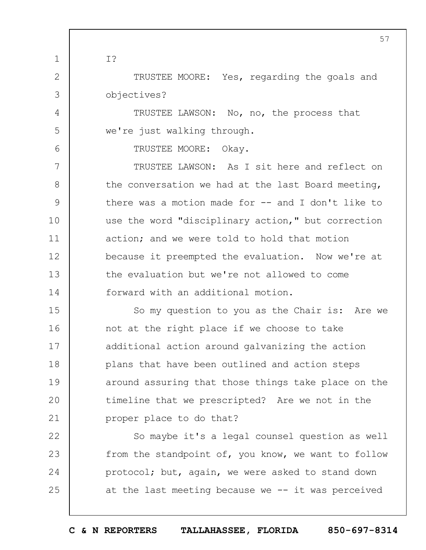TRUSTEE MOORE: Yes, regarding the goals and objectives?

> TRUSTEE LAWSON: No, no, the process that we're just walking through.

> > TRUSTEE MOORE: Okay.

1

I?

2

3

4

5

6

7 8 9 10 11 12 13 14 TRUSTEE LAWSON: As I sit here and reflect on the conversation we had at the last Board meeting, there was a motion made for -- and I don't like to use the word "disciplinary action," but correction action; and we were told to hold that motion because it preempted the evaluation. Now we're at the evaluation but we're not allowed to come forward with an additional motion.

15 16 17 18 19  $20$ 21 So my question to you as the Chair is: Are we not at the right place if we choose to take additional action around galvanizing the action plans that have been outlined and action steps around assuring that those things take place on the timeline that we prescripted? Are we not in the proper place to do that?

22 23 24 25 So maybe it's a legal counsel question as well from the standpoint of, you know, we want to follow protocol; but, again, we were asked to stand down at the last meeting because we -- it was perceived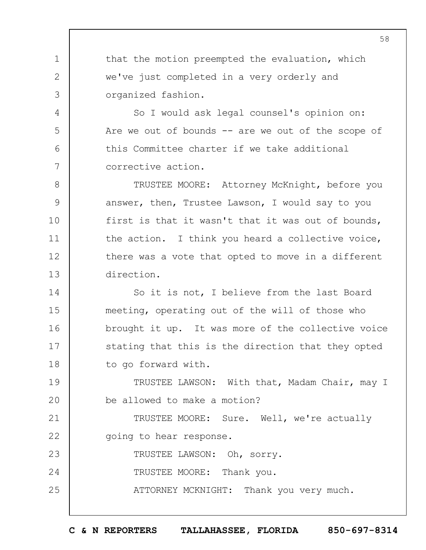that the motion preempted the evaluation, which we've just completed in a very orderly and organized fashion.

1

2

3

4

5

6

7

So I would ask legal counsel's opinion on: Are we out of bounds -- are we out of the scope of this Committee charter if we take additional corrective action.

8 9 10 11 12 13 TRUSTEE MOORE: Attorney McKnight, before you answer, then, Trustee Lawson, I would say to you first is that it wasn't that it was out of bounds, the action. I think you heard a collective voice, there was a vote that opted to move in a different direction.

14 15 16 17 18 So it is not, I believe from the last Board meeting, operating out of the will of those who brought it up. It was more of the collective voice stating that this is the direction that they opted to go forward with.

19  $20$ TRUSTEE LAWSON: With that, Madam Chair, may I be allowed to make a motion?

21 22 TRUSTEE MOORE: Sure. Well, we're actually going to hear response.

23 24 25 TRUSTEE LAWSON: Oh, sorry. TRUSTEE MOORE: Thank you. ATTORNEY MCKNIGHT: Thank you very much. 58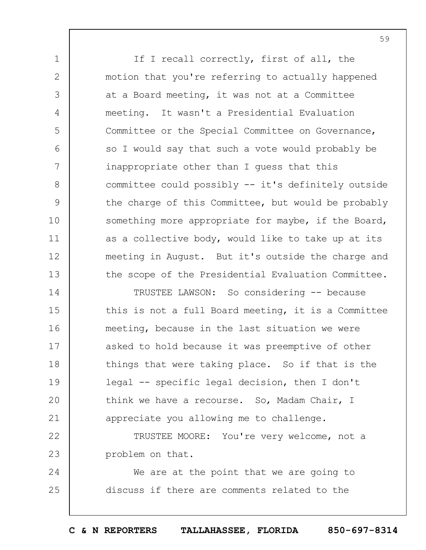If I recall correctly, first of all, the motion that you're referring to actually happened at a Board meeting, it was not at a Committee meeting. It wasn't a Presidential Evaluation Committee or the Special Committee on Governance, so I would say that such a vote would probably be inappropriate other than I guess that this committee could possibly -- it's definitely outside the charge of this Committee, but would be probably something more appropriate for maybe, if the Board, as a collective body, would like to take up at its meeting in August. But it's outside the charge and the scope of the Presidential Evaluation Committee.

1

2

3

4

5

6

7

8

9

10

11

12

13

14 15 16 17 18 19  $20$ 21 TRUSTEE LAWSON: So considering -- because this is not a full Board meeting, it is a Committee meeting, because in the last situation we were asked to hold because it was preemptive of other things that were taking place. So if that is the legal -- specific legal decision, then I don't think we have a recourse. So, Madam Chair, I appreciate you allowing me to challenge.

22 23 TRUSTEE MOORE: You're very welcome, not a problem on that.

24 25 We are at the point that we are going to discuss if there are comments related to the

**C & N REPORTERS TALLAHASSEE, FLORIDA 850-697-8314**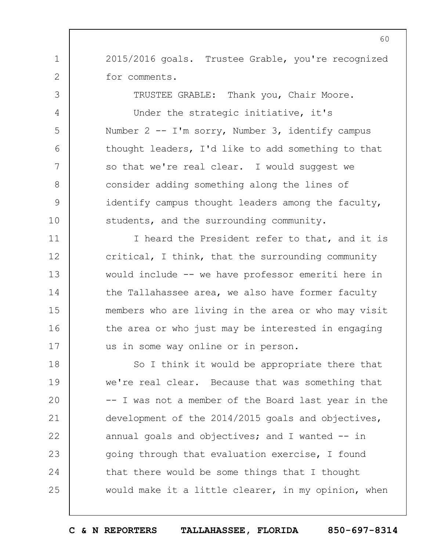2015/2016 goals. Trustee Grable, you're recognized for comments.

1

2

3

4

5

6

7

8

9

10

11

12

13

14

15

16

17

TRUSTEE GRABLE: Thank you, Chair Moore. Under the strategic initiative, it's Number 2 -- I'm sorry, Number 3, identify campus thought leaders, I'd like to add something to that so that we're real clear. I would suggest we consider adding something along the lines of identify campus thought leaders among the faculty, students, and the surrounding community.

I heard the President refer to that, and it is critical, I think, that the surrounding community would include -- we have professor emeriti here in the Tallahassee area, we also have former faculty members who are living in the area or who may visit the area or who just may be interested in engaging us in some way online or in person.

18 19  $20$ 21 22 23 24 25 So I think it would be appropriate there that we're real clear. Because that was something that -- I was not a member of the Board last year in the development of the 2014/2015 goals and objectives, annual goals and objectives; and I wanted  $-$  in going through that evaluation exercise, I found that there would be some things that I thought would make it a little clearer, in my opinion, when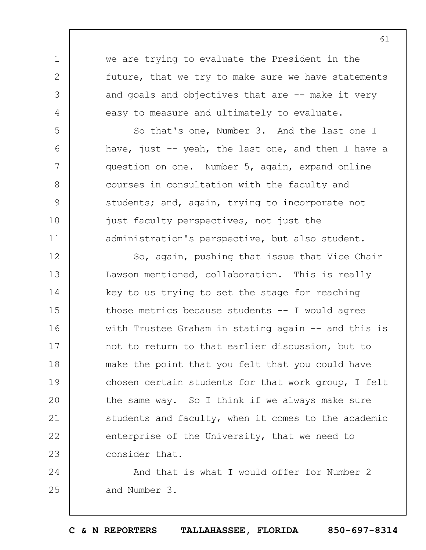we are trying to evaluate the President in the future, that we try to make sure we have statements and goals and objectives that are -- make it very easy to measure and ultimately to evaluate.

1

2

3

4

5

6

7

8

9

10

11

So that's one, Number 3. And the last one I have, just  $-$  yeah, the last one, and then I have a question on one. Number 5, again, expand online courses in consultation with the faculty and students; and, again, trying to incorporate not just faculty perspectives, not just the administration's perspective, but also student.

12 13 14 15 16 17 18 19  $20$ 21 22 23 So, again, pushing that issue that Vice Chair Lawson mentioned, collaboration. This is really key to us trying to set the stage for reaching those metrics because students -- I would agree with Trustee Graham in stating again -- and this is not to return to that earlier discussion, but to make the point that you felt that you could have chosen certain students for that work group, I felt the same way. So I think if we always make sure students and faculty, when it comes to the academic enterprise of the University, that we need to consider that.

24 25 And that is what I would offer for Number 2 and Number 3.

**C & N REPORTERS TALLAHASSEE, FLORIDA 850-697-8314**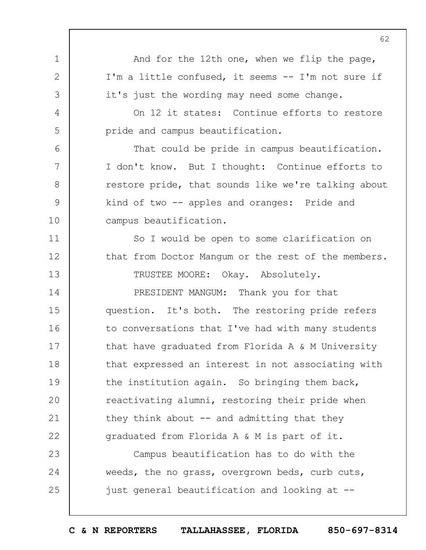1 2 3 4 5 6 7 8 9 10 11 12 13 14 15 16 17 18 19  $20$ 21 22 23 24 25 62 And for the 12th one, when we flip the page, I'm a little confused, it seems -- I'm not sure if it's just the wording may need some change. On 12 it states: Continue efforts to restore pride and campus beautification. That could be pride in campus beautification. I don't know. But I thought: Continue efforts to restore pride, that sounds like we're talking about kind of two -- apples and oranges: Pride and campus beautification. So I would be open to some clarification on that from Doctor Mangum or the rest of the members. TRUSTEE MOORE: Okay. Absolutely. PRESIDENT MANGUM: Thank you for that question. It's both. The restoring pride refers to conversations that I've had with many students that have graduated from Florida A & M University that expressed an interest in not associating with the institution again. So bringing them back, reactivating alumni, restoring their pride when they think about  $-$  and admitting that they graduated from Florida A & M is part of it. Campus beautification has to do with the weeds, the no grass, overgrown beds, curb cuts, just general beautification and looking at --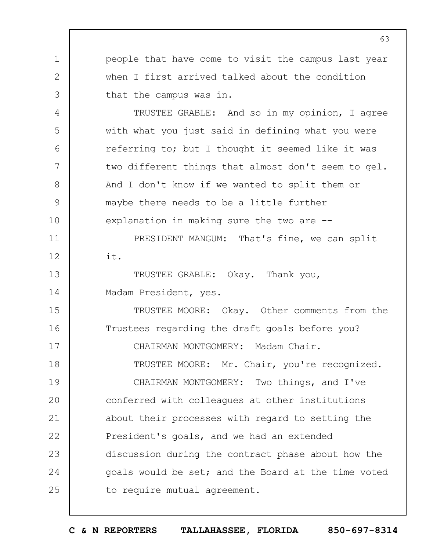1 2 3 4 5 6 7 8 9 10 people that have come to visit the campus last year when I first arrived talked about the condition that the campus was in. TRUSTEE GRABLE: And so in my opinion, I agree with what you just said in defining what you were referring to; but I thought it seemed like it was two different things that almost don't seem to gel. And I don't know if we wanted to split them or maybe there needs to be a little further explanation in making sure the two are --

PRESIDENT MANGUM: That's fine, we can split it.

13 14 TRUSTEE GRABLE: Okay. Thank you, Madam President, yes.

11

12

15 16 17 18 19 TRUSTEE MOORE: Okay. Other comments from the Trustees regarding the draft goals before you? CHAIRMAN MONTGOMERY: Madam Chair. TRUSTEE MOORE: Mr. Chair, you're recognized. CHAIRMAN MONTGOMERY: Two things, and I've

 $20$ 21 22 23 24 25 conferred with colleagues at other institutions about their processes with regard to setting the President's goals, and we had an extended discussion during the contract phase about how the goals would be set; and the Board at the time voted to require mutual agreement.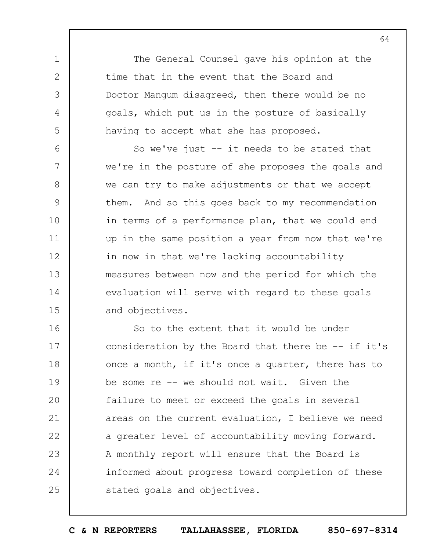The General Counsel gave his opinion at the time that in the event that the Board and Doctor Mangum disagreed, then there would be no goals, which put us in the posture of basically having to accept what she has proposed.

1

2

3

4

5

6 7 8 9 10 11 12 13 14 15 So we've just -- it needs to be stated that we're in the posture of she proposes the goals and we can try to make adjustments or that we accept them. And so this goes back to my recommendation in terms of a performance plan, that we could end up in the same position a year from now that we're in now in that we're lacking accountability measures between now and the period for which the evaluation will serve with regard to these goals and objectives.

16 17 18 19  $20$ 21 22 23 24 25 So to the extent that it would be under consideration by the Board that there be  $-$ - if it's once a month, if it's once a quarter, there has to be some re -- we should not wait. Given the failure to meet or exceed the goals in several areas on the current evaluation, I believe we need a greater level of accountability moving forward. A monthly report will ensure that the Board is informed about progress toward completion of these stated goals and objectives.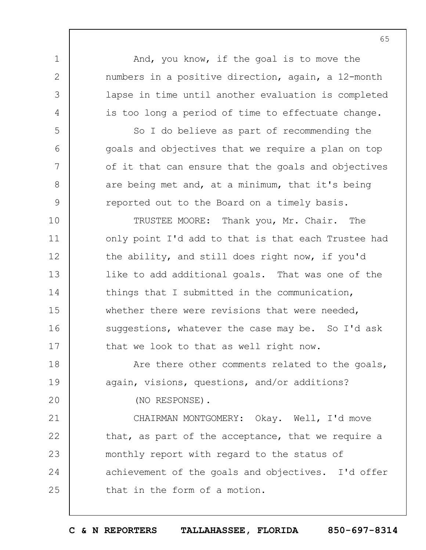1 2 3 4 5 6 7 8 9 10 11 12 13 14 15 16 17 18 19  $20$ 21 22 23 24 25 And, you know, if the goal is to move the numbers in a positive direction, again, a 12-month lapse in time until another evaluation is completed is too long a period of time to effectuate change. So I do believe as part of recommending the goals and objectives that we require a plan on top of it that can ensure that the goals and objectives are being met and, at a minimum, that it's being reported out to the Board on a timely basis. TRUSTEE MOORE: Thank you, Mr. Chair. The only point I'd add to that is that each Trustee had the ability, and still does right now, if you'd like to add additional goals. That was one of the things that I submitted in the communication, whether there were revisions that were needed, suggestions, whatever the case may be. So I'd ask that we look to that as well right now. Are there other comments related to the goals, again, visions, questions, and/or additions? (NO RESPONSE). CHAIRMAN MONTGOMERY: Okay. Well, I'd move that, as part of the acceptance, that we require a monthly report with regard to the status of achievement of the goals and objectives. I'd offer that in the form of a motion.

65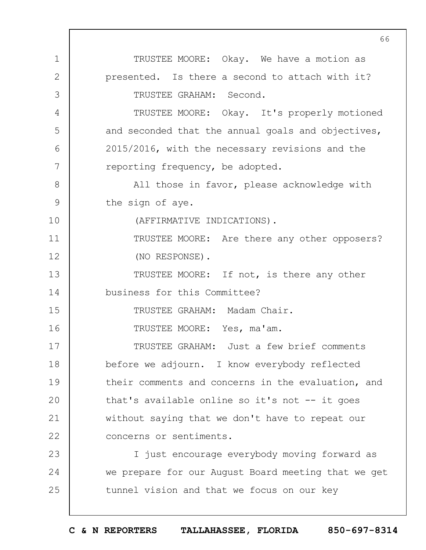1 2 3 4 5 6 7 8 9 10 11 12 13 14 15 16 17 18 19  $20$ 21 22 23 24 25 TRUSTEE MOORE: Okay. We have a motion as presented. Is there a second to attach with it? TRUSTEE GRAHAM: Second. TRUSTEE MOORE: Okay. It's properly motioned and seconded that the annual goals and objectives, 2015/2016, with the necessary revisions and the reporting frequency, be adopted. All those in favor, please acknowledge with the sign of aye. (AFFIRMATIVE INDICATIONS). TRUSTEE MOORE: Are there any other opposers? (NO RESPONSE). TRUSTEE MOORE: If not, is there any other business for this Committee? TRUSTEE GRAHAM: Madam Chair. TRUSTEE MOORE: Yes, ma'am. TRUSTEE GRAHAM: Just a few brief comments before we adjourn. I know everybody reflected their comments and concerns in the evaluation, and that's available online so it's not -- it goes without saying that we don't have to repeat our concerns or sentiments. I just encourage everybody moving forward as we prepare for our August Board meeting that we get tunnel vision and that we focus on our key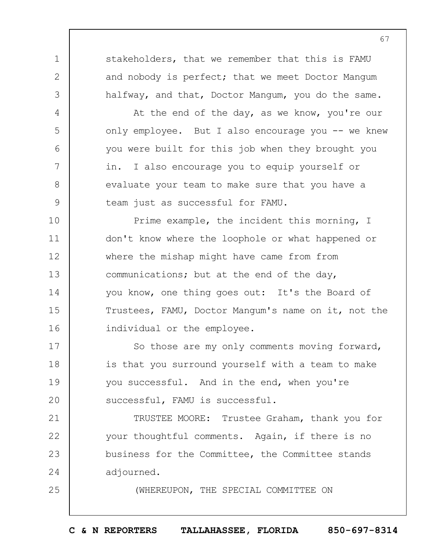stakeholders, that we remember that this is FAMU and nobody is perfect; that we meet Doctor Mangum halfway, and that, Doctor Mangum, you do the same.

1

2

3

4

5

6

7

8

9

25

At the end of the day, as we know, you're our only employee. But I also encourage you -- we knew you were built for this job when they brought you in. I also encourage you to equip yourself or evaluate your team to make sure that you have a team just as successful for FAMU.

10 11 12 13 14 15 16 Prime example, the incident this morning, I don't know where the loophole or what happened or where the mishap might have came from from communications; but at the end of the day, you know, one thing goes out: It's the Board of Trustees, FAMU, Doctor Mangum's name on it, not the individual or the employee.

17 18 19  $20$ So those are my only comments moving forward, is that you surround yourself with a team to make you successful. And in the end, when you're successful, FAMU is successful.

21 22 23 24 TRUSTEE MOORE: Trustee Graham, thank you for your thoughtful comments. Again, if there is no business for the Committee, the Committee stands adjourned.

(WHEREUPON, THE SPECIAL COMMITTEE ON

**C & N REPORTERS TALLAHASSEE, FLORIDA 850-697-8314**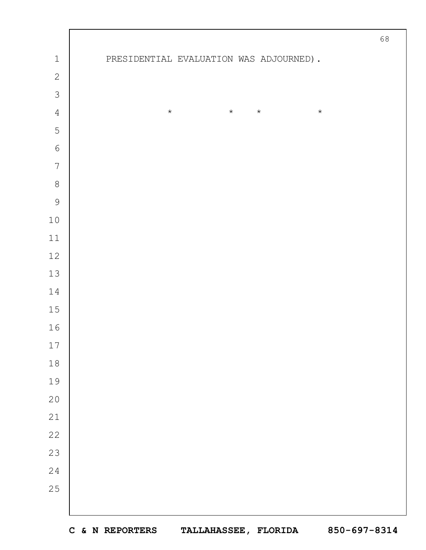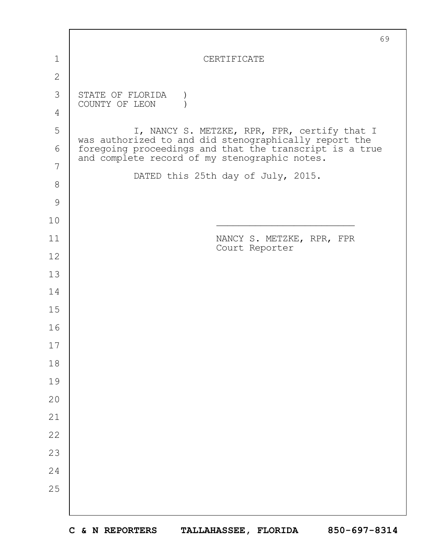|               | 69                                                                                                                                                                |  |  |  |  |  |  |
|---------------|-------------------------------------------------------------------------------------------------------------------------------------------------------------------|--|--|--|--|--|--|
| 1             | CERTIFICATE                                                                                                                                                       |  |  |  |  |  |  |
| $\mathbf{2}$  |                                                                                                                                                                   |  |  |  |  |  |  |
| 3             | STATE OF FLORIDA<br>COUNTY OF LEON                                                                                                                                |  |  |  |  |  |  |
| 4             |                                                                                                                                                                   |  |  |  |  |  |  |
| 5             | I, NANCY S. METZKE, RPR, FPR, certify that I                                                                                                                      |  |  |  |  |  |  |
| 6             | was authorized to and did stenographically report the<br>foregoing proceedings and that the transcript is a true<br>and complete record of my stenographic notes. |  |  |  |  |  |  |
| 7             |                                                                                                                                                                   |  |  |  |  |  |  |
| $8\,$         | DATED this 25th day of July, 2015.                                                                                                                                |  |  |  |  |  |  |
| $\mathcal{G}$ |                                                                                                                                                                   |  |  |  |  |  |  |
| 10            |                                                                                                                                                                   |  |  |  |  |  |  |
| 11            | NANCY S. METZKE, RPR, FPR<br>Court Reporter                                                                                                                       |  |  |  |  |  |  |
| 12            |                                                                                                                                                                   |  |  |  |  |  |  |
| 13            |                                                                                                                                                                   |  |  |  |  |  |  |
| 14            |                                                                                                                                                                   |  |  |  |  |  |  |
| 15            |                                                                                                                                                                   |  |  |  |  |  |  |
| 16            |                                                                                                                                                                   |  |  |  |  |  |  |
| 17            |                                                                                                                                                                   |  |  |  |  |  |  |
| 18            |                                                                                                                                                                   |  |  |  |  |  |  |
| 19            |                                                                                                                                                                   |  |  |  |  |  |  |
| 20            |                                                                                                                                                                   |  |  |  |  |  |  |
| 21            |                                                                                                                                                                   |  |  |  |  |  |  |
| 22            |                                                                                                                                                                   |  |  |  |  |  |  |
| 23            |                                                                                                                                                                   |  |  |  |  |  |  |
| 24            |                                                                                                                                                                   |  |  |  |  |  |  |
| 25            |                                                                                                                                                                   |  |  |  |  |  |  |
|               |                                                                                                                                                                   |  |  |  |  |  |  |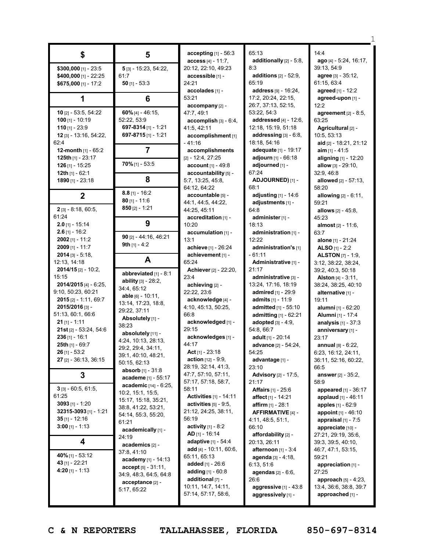| \$                                       | 5                                          | accepting $[1]$ - 56:3<br>access [4] - 11:7,       |  |
|------------------------------------------|--------------------------------------------|----------------------------------------------------|--|
| \$300,000 [1] - 23:5                     | 5 [3] - 15:23, 54:22,                      | 20:12, 22:10, 49:23                                |  |
| \$400,000 [1] - 22:25                    | 61:7                                       | accessible [1] -                                   |  |
| \$675,000 [1] - 17:2                     | 50 [1] - 53:3                              | 24:21                                              |  |
|                                          |                                            | accolades [1] -<br>53:21                           |  |
| 1                                        | 6                                          | accompany [2] -                                    |  |
| <b>10</b> $[2]$ - 53:5, 54:22            | $60\%$ [4] - 46:15,                        | 47:7, 49:1                                         |  |
| $100$ [1] - 10:19                        | 52:22, 53:9                                | $accomplish$ [3] - 6:4,                            |  |
| 110 $[1] - 23:9$                         | 697-8314 [1] - 1:21                        | 41:5, 42:11                                        |  |
| 12 [3] - 13:16, 54:22,                   | 697-8715 $[1]$ - 1:21                      | accomplishment [1]                                 |  |
| 62:4<br><b>12-month</b> $[1]$ - 65:2     | 7                                          | - 41:16<br>accomplishments                         |  |
| 125th $[1]$ - 23:17                      |                                            | $[2] - 12:4, 27:25$                                |  |
| 126 [1] - 15:25                          | $70\%$ [1] - 53:5                          | account [1] - 49:8                                 |  |
| <b>12th</b> [1] - 62:1                   |                                            | accountability [5] -                               |  |
| 1890 $[1] - 23:18$                       | 8                                          | 5:7, 13:25, 45:8,                                  |  |
|                                          | $8.8$ [1] - 16:2                           | 64:12, 64:22                                       |  |
| 2                                        | $80$ [1] - 11:6                            | accountable [5] -                                  |  |
| $2$ [3] - 8:18, 60:5,                    | $850$ [2] - 1:21                           | 44:1, 44:5, 44:22,<br>44:25, 45:11                 |  |
| 61:24                                    |                                            | accreditation [1] -                                |  |
| $2.0$ [1] - 15:14                        | 9                                          | 10:20                                              |  |
| $2.6$ [1] - 16:2                         |                                            | $accumulation$ [1] -                               |  |
| $2002$ [1] - 11:2                        | 90 $[2] - 44:16, 46:21$<br>9th $[1] - 4:2$ | 13:1                                               |  |
| 2009 [1] - 11:7                          |                                            | achieve [1] - 26:24                                |  |
| $2014$ [3] - 5:18,<br>12:13, 14:18       | A                                          | achievement [1] -<br>65:24                         |  |
| $2014/15$ [2] - 10:2,                    |                                            | <b>Achiever</b> [2] - 22:20,                       |  |
| 15:15                                    | abbreviated [1] - 8:1                      | 23:4                                               |  |
| 2014/2015 [4] - 6:25,                    | ability [3] - 28:2,<br>34:4, 65:12         | achieving [2] -                                    |  |
| 9:10, 50:23, 60:21                       | <b>able</b> [6] - 10:11,                   | 22:22, 23:6                                        |  |
| <b>2015</b> [2] - 1:11, 69:7             | 13:14, 17:23, 18:8,                        | acknowledge [4] -                                  |  |
| 2015/2016 [3] -<br>51:13, 60:1, 66:6     | 29:22, 37:11                               | 4:10, 45:13, 50:25,<br>66:8                        |  |
| $21$ [1] - 1:11                          | Absolutely [1] -                           | acknowledged [1] -                                 |  |
| <b>21st</b> [2] - 53:24, 54:6            | 38:23                                      | 29:15                                              |  |
| $236$ [1] - 16:1                         | absolutely [11] -<br>4:24, 10:13, 28:13,   | acknowledges [1] -                                 |  |
| <b>25th</b> [1] - 69:7                   | 29:2, 29:4, 34:11,                         | 44:17                                              |  |
| $26$ [1] - 53:2                          | 39:1, 40:10, 48:21,                        | <b>Act</b> [1] - 23:18                             |  |
| 27 [2] - 36:13, 36:15                    | 50:15, 62:13                               | <b>action</b> $[12] - 9:9,$<br>28:19, 32:14, 41:3, |  |
| 3                                        | <b>absorb</b> [1] - 31:8                   | 47:7, 57:10, 57:11,                                |  |
|                                          | <b>academe</b> [1] - 55:17                 | 57:17, 57:18, 58:7,                                |  |
| $3$ [3] - 60:5, 61:5,                    | academic [14] - 6:25,<br>10:2, 15:1, 15:5, | 58:11                                              |  |
| 61:25                                    | 15:17, 15:18, 35:21,                       | <b>Activities</b> [1] - 14:11                      |  |
| 3093 $[1]$ - 1:20                        | 38:8, 41:22, 53:21,                        | activities $[5]$ - $9:5$ ,                         |  |
| 32315-3093 [1] - 1:21                    | 54:14, 55:3, 55:20,                        | 21:12, 24:25, 38:11,<br>56:19                      |  |
| <b>35</b> [1] - 12:16<br>3:00 [1] - 1:13 | 61:21                                      | activity $[1] - 8:2$                               |  |
|                                          | academically [1] -                         | $AD$ [1] - 16:14                                   |  |
| 4                                        | 24:19<br>academics [2] -                   | adaptive [1] - 54:4                                |  |
|                                          | 37:8, 41:10                                | add [4] - 10:11, 60:6,                             |  |
| 40% [1] - 53:12                          | academy [1] - 14:13                        | 65:11, 65:13                                       |  |
| 43 [1] - 22:21<br>4:20 $[1] - 1:13$      | accept [5] - 31:11,                        | added [1] - 26:6                                   |  |
|                                          | 34:9, 48:3, 64:5, 64:8                     | <b>adding</b> $[1] - 60:8$<br>additional [7] -     |  |
|                                          | acceptance [2] -                           | 10:11, 14:7, 14:11,                                |  |
|                                          | 5:17, 65:22                                | 57:14, 57:17, 58:6,                                |  |
|                                          |                                            |                                                    |  |

65:13 **additionally** [2] - 5:8, 8:3 **additions** [2] - 52:9, 65:19 **address** [9] - 16:24, 17:2, 20:24, 22:15, 26:7, 37:13, 52:15, 53:22, 54:3 **addressed** [4] - 12:6, 12:18, 15:19, 51:18 **addressing** [3] - 6:8, 18:18, 54:16 **adequate** [1] - 19:17 **adjourn** [1] - 66:18 **adjourned** [1] - 67:24 **ADJOURNED)** [1] - 68:1 **adjusting** [1] - 14:6 **adjustments** [1] - 64:8 **administer** [1] - 18:13 **administration** [1] - 12:22 **administration's** [1] - 61:11 **Administrative** [1] - 21:17 **administrative** [3] - 13:24, 17:16, 18:19 **admired** [1] - 29:9 **admits** [1] - 11:9 **admitted** [1] - 55:10 **admitting** [1] - 62:21 **adopted** [3] - 4:9, 54:8, 66:7 **adult** [1] - 20:14 **advance** [2] - 54:24, 54:25 **advantage** [1] - 23:10 **Advisory** [2] - 17:5, 21:17 **Affairs** [1] - 25:6 **affect** [1] - 14:21 **affirm** [1] - 28:1 **AFFIRMATIVE** [4] - 4:11, 48:5, 51:1, 66:10 **affordability** [2] - 20:13, 26:11 **afternoon** [1] - 3:4 **agenda** [3] - 4:18, 6:13, 51:6 **agendas** [2] - 6:6, 26:6 **aggressive** [1] - 43:8 **aggressively** [1] -

14:4 **ago** [4] - 5:24, 16:17, 39:13, 54:9 **agree** [3] - 35:12, 61:15, 63:4 **agreed** [1] - 12:2 **agreed-upon** [1] - 12:2 **agreement** [2] - 8:5, 63:25 **Agricultural** [2] - 10:5, 53:13 **aid** [2] - 18:21, 21:12 **aim** [1] - 41:5 **aligning** [1] - 12:20 **allow** [3] - 29:10, 32:9, 46:8 **allowed** [2] - 57:13, 58:20 **allowing** [2] - 6:11, 59:21 **allows** [2] - 45:8, 45:23 **almost** [2] - 11:6, 63:7 **alone** [1] - 21:24 **ALSO** [1] - 2:2 **ALSTON** [7] - 1:9, 3:12, 38:22, 38:24, 39:2, 40:3, 50:18 **Alston** [4] - 3:11, 38:24, 38:25, 40:10 **alternative** [1] - 19:11 **alumni** [1] - 62:20 **Alumni** [1] - 17:4 **analysis** [1] - 37:3 **anniversary** [1] - 23:17 **annual** [8] - 6:22, 6:23, 16:12, 24:11, 36:11, 52:16, 60:22, 66:5 **answer** [2] - 35:2, 58:9 **appeared** [1] - 36:17 **applaud** [1] - 46:11 **apples** [1] - 62:9 **appoint** [1] - 46:10 **appraisal** [1] - 7:5 **appreciate** [10] - 27:21, 29:19, 35:6, 39:3, 39:5, 40:10, 46:7, 47:1, 53:15, 59:21 **appreciation** [1] - 27:25 **approach** [5] - 4:23, 13:4, 36:6, 38:8, 39:7 **approached** [1] -

1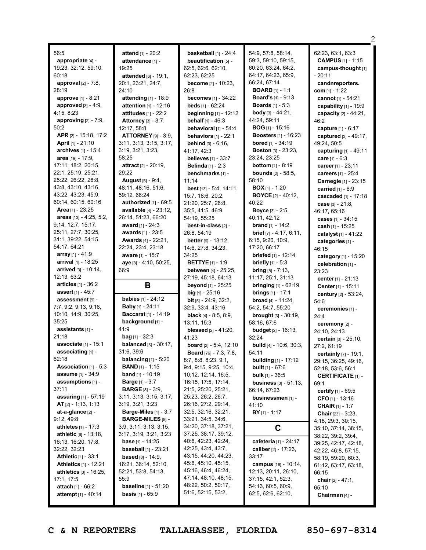56:5 **appropriate** [4] - 19:23, 32:12, 59:10, 60:18 **approval** [2] - 7:8, 28:19 **approve** [1] - 8:21 **approved** [3] - 4:9, 4:15, 8:23 **approving** [2] - 7:9, 50:2 **APR** [2] - 15:18, 17:2 **April** [1] - 21:10 **archives** [1] - 15:4 **area** [19] - 17:9, 17:11, 18:2, 20:15, 22:1, 25:19, 25:21, 25:22, 26:22, 28:8, 43:8, 43:10, 43:16, 43:22, 43:23, 45:9, 60:14, 60:15, 60:16 **Area** [1] - 23:25 **areas** [13] - 4:25, 5:2, 9:14, 12:7, 15:17, 25:11, 27:7, 30:25, 31:1, 39:22, 54:15, 54:17, 64:21 **array** [1] - 41:9 **arrival** [1] - 18:25 **arrived** [3] - 10:14, 12:13, 63:2 **articles** [1] - 36:2 **assert** [1] - 45:7 **assessment** [9] - 7:7, 9:2, 9:13, 9:16, 10:10, 14:9, 30:25, 35:25 **assistants** [1] - 21:18 **associate** [1] - 15:1 **associating** [1] - 62:18 **Association** [1] - 5:3 **assume** [1] - 34:9 **assumptions** [1] -  $37:11$ **assuring** [1] - 57:19 **AT** [2] - 1:13, 1:13 **at-a-glance** [2] - 9:12, 49:8 **athletes** [1] - 17:3 **athletic** [6] - 13:18, 16:13, 16:20, 17:8, 32:22, 32:23 **Athletic** [1] - 33:1 **Athletics** [1] - 12:21 **athletics** [3] - 16:25, 17:1, 17:5 **attach** [1] - 66:2 **attempt** [1] - 40:14

**attend** [1] - 20:2 **attendance** [1] - 19:25 **attended** [6] - 19:1, 20:1, 23:21, 24:7, 24:10 **attending** [1] - 18:9 **attention** [1] - 12:16 **attitudes** [1] - 22:2 **Attorney** [3] - 3:7, 12:17, 58:8 **ATTORNEY** [9] - 3:9, 3:11, 3:13, 3:15, 3:17, 3:19, 3:21, 3:23, 58:25 **attract** [2] - 20:19, 29:22 **August** [6] - 9:4, 48:11, 48:16, 51:6, 59:12, 66:24 **authorized** [1] - 69:5 **available** [4] - 23:12, 26:14, 51:23, 66:20 **award** [1] - 24:3 **awards** [1] - 23:5 **Awards** [4] - 22:21, 22:24, 23:4, 23:18 **aware** [1] - 15:7 **aye** [3] - 4:10, 50:25, 66:9 **B babies** [1] - 24:12 **Baby** [1] - 24:11 **Baccarat** [1] - 14:19 **background** [1] - 41:9 **bag** [1] - 32:3 **balanced** [3] - 30:17, 31:6, 39:6 **balancing** [1] - 5:20 **BAND** [1] - 1:15 **band** [1] - 10:19 **Barge** [1] - 3:7 **BARGE** [8] - 3:9, 3:11, 3:13, 3:15, 3:17, 3:19, 3:21, 3:23 **Barge-Miles** [1] - 3:7 **BARGE-MILES** [8] - 3:9, 3:11, 3:13, 3:15, 3:17, 3:19, 3:21, 3:23 **base** [1] - 14:25 **baseball** [1] - 23:21 **based** [8] - 14:9, 16:21, 36:14, 52:10, 52:21, 53:8, 54:13, 55:9 **baseline** [1] - 51:20 **basis** [1] - 65:9

**basketball** [1] - 24:4 **beautification** [5] -62:5, 62:6, 62:10, 62:23, 62:25 **become** [2] - 10:23, 26:8 **becomes** [1] - 34:22 **beds** [1] - 62:24 **beginning** [1] - 12:12 **behalf** [1] - 46:3 **behavioral** [1] - 54:4 **behaviors** [1] - 22:1 **behind**  $[3]$  - 6:16, 41:17, 42:3 **believes** [1] - 33:7 **Belinda** [1] - 2:3 **benchmarks** [1] - 11:14 **best** [13] - 5:4, 14:11, 15:7, 18:6, 20:2, 21:20, 25:7, 26:8, 35:5, 41:5, 46:9, 54:19, 55:25 **best-in-class** [2] - 26:8, 54:19 **better** [6] - 13:12, 14:6, 27:8, 34:23, 34:25 **BETTYE** [1] - 1:9 **between** [4] - 25:25, 27:19, 45:18, 64:13 **beyond** [1] - 25:25 **big** [1] - 25:16 **bit** [5] - 24:9, 32:2, 32:9, 33:4, 43:16 **black** [4] - 8:5, 8:9, 13:11, 15:3 **blessed** [2] - 41:20, 41:23 **board** [2] - 5:4, 12:10 **Board** [76] - 7:3, 7:8, 8:7, 8:8, 8:23, 9:1, 9:4, 9:15, 9:25, 10:4, 10:12, 12:14, 16:5, 16:15, 17:5, 17:14, 21:5, 25:20, 25:21, 25:23, 26:2, 26:7, 26:16, 27:2, 29:14, 32:5, 32:16, 32:21, 33:21, 34:5, 34:6, 34:20, 37:18, 37:21, 37:25, 38:17, 39:12, 40:6, 42:23, 42:24, 42:25, 43:4, 43:7, 43:15, 44:20, 44:23, 45:6, 45:10, 45:15, 45:16, 46:4, 46:24, 47:14, 48:10, 48:15, 48:22, 50:2, 50:17, 51:6, 52:15, 53:2,

54:9, 57:8, 58:14, 59:3, 59:10, 59:15, 60:20, 63:24, 64:2, 64:17, 64:23, 65:9, 66:24, 67:14 **BOARD** [1] - 1:1 **Board's** [1] - 9:13 **Boards** [1] - 5:3 **body** [3] - 44:21, 44:24, 59:11 **BOG** [1] - 15:16 **Boosters** [1] - 16:23 **bored** [1] - 34:19 **Boston** [3] - 23:23, 23:24, 23:25 **bottom** [1] - 8:19 **bounds** [2] - 58:5, 58:10 **BOX** [1] - 1:20 **BOYCE** [2] - 40:12,  $40.22$ **Boyce** [3] - 2:5, 40:11, 42:12 **brand** [1] - 14:2 **brief** [7] - 4:17, 6:11, 6:15, 9:20, 10:9, 17:20, 66:17 **briefed** [1] - 12:14 **briefly** [1] - 5:3 **bring** [5] - 7:13, 11:17, 25:1, 31:13 **bringing** [1] - 62:19 **brings** [1] - 17:1 **broad** [4] - 11:24, 54:2, 54:7, 55:20 **brought** [3] - 30:19, 58:16, 67:6 **budget** [2] - 16:13, 32:24 **build** [4] - 10:6, 30:3, 54:11 **building** [1] - 17:12 **built** [1] - 67:6 **bulk** [1] - 36:5 **business** [3] - 51:13, 66:14, 67:23 **businessmen** [1] - 41:10 **BY** [1] - 1:17 **C cafeteria** [1] - 24:17 **caliber** [2] - 17:23, 33:17 **campus** [16] - 10:14, 12:13, 20:11, 26:10, 37:15, 42:1, 52:3, 54:13, 60:5, 60:9, 62:5, 62:6, 62:10,

62:23, 63:1, 63:3 **CAMPUS** [1] - 1:15 **campus-thought** [1]  $20:11$ **candnreporters. com** [1] - 1:22 **cannot** [1] - 54:21 **capability** [1] - 19:9 **capacity** [2] - 44:21, 46:2 **capture** [1] - 6:17 **captured** [3] - 49:17, 49:24, 50:5 **capturing** [1] - 49:11 **care** [1] - 6:3 **career** [1] - 23:11 **careers** [1] - 25:4 **Carnegie** [1] - 23:15 **carried** [1] - 6:9 **cascaded** [1] - 17:18 **case** [3] - 21:8, 46:17, 65:16 **cases** [1] - 34:15 **cash** [1] - 15:25 **catalyst** [1] - 41:22 **categories** [1] - 46:15 **category** [1] - 15:20 **celebration** [1] - 23:23 **center** [1] - 21:13 **Center** [1] - 15:11 **century** [2] - 53:24, 54:6 **ceremonies** [1] -  $24.4$ **ceremony** [2] - 24:10, 24:13 **certain** [3] - 25:10, 27:2, 61:19 **certainly** [7] - 19:1, 29:15, 36:25, 49:16, 52:18, 53:6, 56:1 **CERTIFICATE** [1] - 69:1 **certify** [1] - 69:5 **CFO** [1] - 13:16 **CHAIR** [1] - 1:7 **Chair** [23] - 3:23, 4:18, 29:3, 30:15, 35:10, 37:14, 38:15, 38:22, 39:2, 39:4, 39:25, 42:17, 42:18, 42:22, 46:8, 57:15, 58:19, 59:20, 60:3, 61:12, 63:17, 63:18, 66:15 **chair** [2] - 47:1, 65:10 **Chairman** [4] -

**C & N REPORTERS TALLAHASSEE, FLORIDA 850-697-8314**

 $\mathcal{D}$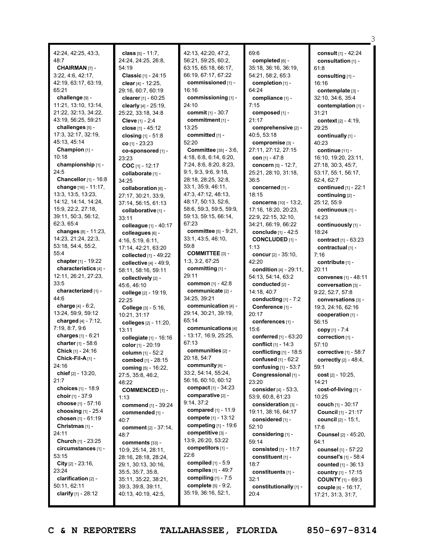| 42:24, 42:25, 43:3,         | class [5] - 11:7,              | 42:13, 42:20, 47:2,          | 69:6                      | consult [1] - 42:24           |
|-----------------------------|--------------------------------|------------------------------|---------------------------|-------------------------------|
| 48:7                        | 24:24, 24:25, 26:8,            | 56:21, 59:25, 60:2,          | completed [6] -           | consultation [1] -            |
| <b>CHAIRMAN [7] -</b>       | 54:19                          | 63:15, 65:18, 66:17,         | 35:18, 36:16, 36:19,      | 61:8                          |
| 3:22, 4:6, 42:17,           | Classic [1] - 24:15            | 66:19, 67:17, 67:22          | 54:21, 58:2, 65:3         | consulting [1] -              |
| 42:19, 63:17, 63:19,        | clear [4] - 12:25,             | commissioned [1] -           | completion $[1]$ -        | 16:16                         |
| 65:21                       | 29:16, 60:7, 60:19             | 16:16                        | 64:24                     | contemplate [3] -             |
| challenge [9] -             |                                | commissioning [1] -          |                           |                               |
|                             | clearer $[1] - 60:25$          |                              | compliance [1] -          | 32:10, 34:6, 35:4             |
| 11:21, 13:10, 13:14,        | clearly [4] - 25:19,           | 24:10                        | 7:15                      | contemplation [1] -           |
| 21:22, 32:13, 34:22,        | 25:22, 33:18, 34:8             | <b>commit</b> $[1] - 30:7$   | composed [1] -            | 31:21                         |
| 43:19, 56:25, 59:21         | <b>Cleve</b> [1] - 2:4         | commitment [1] -             | 21:17                     | context [2] - 4:19,           |
| challenges [5] -            | <b>close</b> [1] - 45:12       | 13:25                        | comprehensive [2] -       | 29:25                         |
| 17:3, 32:17, 32:19,         | closing $[1] - 51.8$           | committed [1] -              | 40:5, 53:18               | continually [1] -             |
| 45:13, 45:14                | $co$ [1] - 23:23               | 52:20                        | compromise [3] -          | 40:23                         |
| Champion $[1]$ -            | co-sponsored [1] -             | <b>Committee</b> [35] - 3:6, | 27:11, 27:12, 27:15       | continue [11] -               |
| 10:18                       | 23:23                          | 4:18, 6:8, 6:14, 6:20,       | <b>con</b> $[1] - 47:8$   | 16:10, 19:20, 23:11,          |
| championship [1] -          | COC $[1] - 12:17$              | 7:24, 8:6, 8:20, 8:23,       | concern [5] - 12:7,       | 27:18, 30:3, 45:7,            |
| 24:5                        | collaborate [1] -              | 9:1, 9:3, 9:6, 9:18,         | 25:21, 28:10, 31:18,      | 53:17, 55:1, 56:17,           |
| Chancellor [1] - 16:8       | 34:25                          | 28:18, 28:25, 32:8,          | 36:5                      | 62:4, 62:7                    |
| change [16] - 11:17.        | collaboration [6] -            | 33:1, 35:9, 46:11,           | concerned [1] -           | continued [1] - 22:1          |
| 13:3, 13:5, 13:23,          | 27:17, 30:21, 33:9,            | 47:3, 47:12, 48:13,          | 18:15                     | continuing [2] -              |
| 14:12, 14:14, 14:24,        | 37:14, 56:15, 61:13            | 48:17, 50:13, 52:6,          | concerns [10] - 13:2.     | 25:12, 55:9                   |
| 15:9, 22:2, 27:18,          |                                | 58:6, 59:3, 59:5, 59:9,      | 17:16, 18:20, 20:23,      | continuous [1] -              |
| 39:11, 50:3, 56:12,         | collaborative [1] -            | 59:13, 59:15, 66:14,         |                           | 14:23                         |
| 62:3, 65:4                  | 33:11                          | 67:23                        | 22:9, 22:15, 32:10,       |                               |
| changes $[8] - 11:23$ ,     | colleague [1] - 40:17          | committee [5] - 9:21,        | 34:21, 66:19, 66:22       | continuously [1] -            |
|                             | colleagues [6] -               |                              | conclude [1] - 42:5       | 18:24                         |
| 14:23, 21:24, 22:3,         | 4:16, 5:19, 6:11,              | 33:1, 43:5, 46:10,           | <b>CONCLUDED [1] -</b>    | contract [1] - 63:23          |
| 53:18, 54:4, 55:2,          | 17:14, 42:21, 63:20            | 59:8                         | 1:13                      | contractual [1] -             |
| 55:4                        | collected [1] - 49:22          | <b>COMMITTEE</b> [3] -       | concur $[2] - 35:10$ ,    | 7:16                          |
| chapter $[1] - 19:22$       | collective $[4] - 49.9$ ,      | 1:3, 3:2, 67:25              | 42:20                     | contribute [1] -              |
| characteristics [4] -       | 58:11, 58:16, 59:11            | committing [1] -             | condition [4] - 29:11,    | 20:11                         |
| 12:11, 26:21, 27:23,        | collectively [2] -             | 29:11                        | 54:13, 54:14, 63:2        | convenes $[1] - 48:11$        |
| 33:5                        | 45:6, 46:10                    | <b>common</b> $[1] - 42:8$   | conducted [2] -           | conversation [3] -            |
| characterized [1] -         | college [2] - 19:19,           | communicate [2] -            | 14:18, 40:7               | 9:22, 52:7, 57:8              |
| 44:6                        | 22:25                          | 34:25, 39:21                 | conducting $[1] - 7:2$    | conversations [3] -           |
| charge $[4] - 6:2$ ,        | College [3] - 5:16,            | communication [4] -          | Conference [1] -          | 19:3, 24:16, 62:16            |
| 13:24, 59:9, 59:12          | 10:21, 31:17                   | 29:14, 30:21, 39:19,         | 20:17                     | cooperation [1] -             |
| charged $[4] - 7:12$ ,      | colleges [2] - 11:20,          | 65:14                        | conferences [1] -         | 56:15                         |
| 7:19, 8:7, 9:6              | 13:11                          | communications [4]           | 15:6                      | copy $[1] - 7:4$              |
| charges [1] - 6:21          | collegiate [1] - 16:16         | - 13:17, 16:9, 25:25,        | conferred $[1]$ - $63:20$ | correction [1] -              |
| charter [1] - 58:6          |                                | 67:13                        | conflict [1] - 14:3       | 57:10                         |
| Chick [1] - 24:16           | color $[1] - 20:19$            | communities [2] -            | conflicting $[1]$ - 18:5  | corrective [1] - 58:7         |
| Chick-Fil-A[1] -            | column [1] - 52:2              | 20:18, 54:7                  | confused $[1] - 62:2$     | correctly $[2] - 48:4$ ,      |
| 24:16                       | combed [1] - 28:15             | community [6] -              |                           |                               |
| chief $[2] - 13:20$ ,       | coming [5] - 16:22,            | 33:2, 54:14, 55:24,          | confusing $[1]$ - 53:7    | 59:1                          |
| 21:7                        | 27:5, 35:8, 46:2,              | 56:16, 60:10, 60:12          | Congressional [1] -       | cost $[2] - 10:25$ ,          |
|                             | 48:22                          | compact $[1] - 34:23$        | 23:20                     | 14:21                         |
| choices [1] - 18:9          | <b>COMMENCED [1] -</b>         | comparative [2] -            | consider [4] - 53:3,      | cost-of-living [1] -          |
| choir $[1] - 37:9$          | 1:13                           |                              | 53:9, 60:8, 61:23         | 10:25                         |
| choose [1] - 57:16          | commend [1] - 39:24            | 9:14, 37:2                   | consideration [3] -       | couch [1] - 30:17             |
| choosing $[1] - 25:4$       | commended [1] -                | compared $[1] - 11:9$        | 19:11, 38:16, 64:17       | Council [1] - 21:17           |
| chosen $[1] - 61:19$        | 40:7                           | compete [1] - 13:12          | considered [1] -          | <b>council</b> $[2] - 15:1$ , |
| Christmas [1] -             | <b>comment</b> $[2] - 37:14$ , | competing [1] - 19:6         | 52:10                     | 17:6                          |
| 24:11                       | 48:7                           | competitive [3] -            | considering [1] -         | <b>Counsel</b> [2] - 45:20,   |
| Church [1] - 23:25          | comments [33] -                | 13:9, 26:20, 53:22           | 59:14                     | 64:1                          |
| circumstances [1] -         | 10:9, 25:14, 28:11,            | competitors [1] -            | consisted [1] - 11:7      | <b>counsel</b> [1] - 57:22    |
| 53:15                       | 28:16, 28:18, 28:24,           | 22:6                         | constituent [1] -         | <b>counsel's</b> [1] - 58:4   |
| <b>City</b> $[2] - 23:16$ , | 29:1, 30:13, 30:16,            | <b>compiled</b> $[1] - 5.9$  | 18:7                      | <b>counted</b> $[1] - 36:13$  |
| 23:24                       | 35:5, 35:7, 35:8,              | compiles [1] - 49:7          | constituents [1] -        | country [1] - 17:15           |
| clarification [2] -         | 35:11, 35:22, 38:21,           | compiling $[1]$ - 7:5        | 32:1                      | <b>COUNTY</b> $[1]$ - 69:3    |
| 50:11, 62:11                | 39:3, 39:8, 39:11,             | complete [5] - 9:2,          | constitutionally [1] -    | couple [6] - 16:17,           |
| clarify $[1] - 28:12$       | 40:13, 40:19, 42:5,            | 35:19, 36:16, 52:1,          | 20:4                      | 17:21, 31:3, 31:7,            |
|                             |                                |                              |                           |                               |

3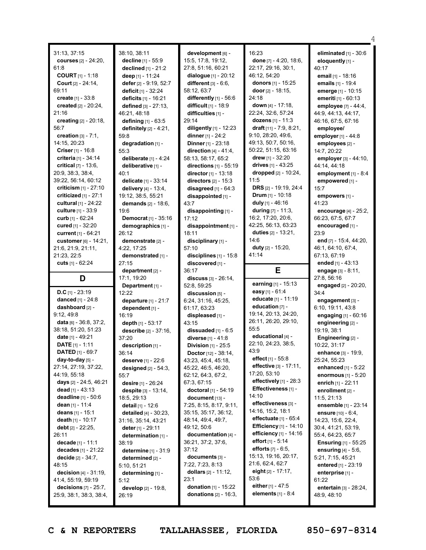|                                                     |                                     |                                                           |                                             | 4                                       |
|-----------------------------------------------------|-------------------------------------|-----------------------------------------------------------|---------------------------------------------|-----------------------------------------|
| 31:13, 37:15                                        | 38:10, 38:11                        | development [6] -                                         | 16:23                                       | eliminated $[1] - 30:6$                 |
| <b>courses</b> [2] - 24:20,                         | decline [1] - 55:9                  | 15:5, 17:8, 19:12,                                        | done [7] - 4:20, 18:6,                      | eloquently [1] -                        |
| 61:8                                                | declined [1] - 21:2                 | 27:8, 51:16, 60:21                                        | 22:17, 29:16, 30:1,                         | 40:17                                   |
| <b>COURT</b> $[1] - 1:18$                           | deep [1] - 11:24                    | dialogue $[1] - 20:12$                                    | 46:12, 54:20                                | email [1] - 18:16                       |
| Court [2] - 24:14,                                  | defer [2] - 9:19, 52:7              | different $[3] - 6.6$ ,                                   | donors [1] - 15:25                          | emails [1] - 19:4                       |
| 69:11                                               | deficit [1] - 32:24                 | 58:12, 63:7                                               | <b>door</b> $[2] - 18:15$ ,                 | emerge [1] - 10:15                      |
| create [1] - 33:8                                   | deficits [1] - 16:21                | differently [1] - 56:6                                    | 24:18                                       | emeriti [1] - 60:13                     |
| created [2] - 20:24,                                | defined [3] - 27:13,                | difficult [1] - 18:9                                      | down [4] - 17:18,                           | employee [7] - 44:4,                    |
| 21:16                                               | 46:21, 48:18                        | difficulties [1] -                                        | 22:24, 32:6, 57:24                          | 44:9, 44:13, 44:17,                     |
| creating [2] - 20:18,                               | defining [1] - 63:5                 | 29:14                                                     | dozens [1] - 11:3                           | 46:16, 67:5, 67:16                      |
| 56:7                                                | definitely $[2] - 4:21$ ,           | diligently [1] - 12:23                                    | draft $[11] - 7:9, 8:21$ ,                  | employee/                               |
| creation $[3] - 7:1$ ,                              | 59:8                                | dinner [1] - 24:2                                         | 9:10, 28:20, 49:6,                          | employer [1] - 44:8                     |
| 14:15, 20:23                                        | degradation [1] -                   | Dinner [1] - 23:18                                        | 49:13, 50:7, 50:16,                         | employees [2] -                         |
| <b>Criser</b> $[1] - 16:8$                          | 55:3                                | direction $[4] - 41:4,$                                   | 50:22, 51:15, 63:16                         | 14:7, 20:22                             |
| criteria [1] - 34:14                                | deliberate $[1] - 4:24$             | 58:13, 58:17, 65:2                                        | drew $[1] - 32:20$                          |                                         |
| critical $[7] - 13:6$ ,                             | deliberative [1] -                  | directions [1] - 55:19                                    | drives $[1] - 43:25$                        | employer [3] - 44:10,<br>44:14, 44:18   |
| 20:9, 38:3, 38:4,                                   |                                     | director [1] - 13:18                                      | dropped [2] - 10:24,                        |                                         |
| 39:22, 56:14, 60:12                                 | 40:1<br>delicate [1] - 33:14        | directors $[2] - 15:3$                                    | 11:5                                        | employment [1] - 8:4<br>empowered [1] - |
| criticism $[1] - 27:10$                             |                                     |                                                           | DRS [2] - 19:19, 24:4                       |                                         |
| criticized $[1]$ - 27:1                             | delivery [4] - 13:4,                | disagreed $[1] - 64:3$                                    | Drum $[1] - 10:18$                          | 15:7                                    |
|                                                     | 19:12, 38:5, 55:21                  | disappointed [1] -                                        | duly [1] - 46:16                            | empowers [1] -                          |
| <b>cultural</b> $[1] - 24:22$                       | demands [2] - 18:6,                 | 43:7                                                      |                                             | 41:23                                   |
| culture [1] - 33:9                                  | 19:6                                | disappointing [1] -                                       | during $[7] - 11:3$ ,                       | encourage [4] - 25:2,                   |
| curb [1] - 62:24                                    | Democrat [1] - 35:16                | 17:12                                                     | 16:2, 17:20, 20:6,                          | 66:23, 67:5, 67:7                       |
| cured [1] - 32:20                                   | demographics [1] -                  | disappointment [1] -                                      | 42:25, 56:13, 63:23<br>duties [2] - 13:21,  | encouraged [1] -                        |
| current [1] - 64:21                                 | 26:12                               | 18:11                                                     |                                             | 23:9                                    |
| customer [6] - 14:21,                               | demonstrate [2] -                   | disciplinary [1] -                                        | 14:6                                        | end [7] - 15:4, 44:20,                  |
| 21:6, 21:9, 21:11,                                  | 4:22, 17:25                         | 57:10                                                     | duty [2] - 15:20,<br>41:14                  | 46:1, 64:10, 67:4,                      |
| 21:23, 22:5                                         | demonstrated [1] -                  | disciplines $[1]$ - 15:8                                  |                                             | 67:13, 67:19                            |
| cuts $[1] - 62:24$                                  | 27:15                               | discovered [1] -                                          |                                             | ended $[1] - 43:13$                     |
|                                                     |                                     |                                                           |                                             |                                         |
|                                                     | department [2] -                    | 36:17                                                     | Е                                           | engage $[3] - 8:11$ ,                   |
| D                                                   | 17:1, 19:20                         | $discuss [3] - 26:14,$                                    |                                             | 27:8, 56:16                             |
|                                                     | Department [1] -                    | 52:8, 59:25                                               | earning [1] - 15:13                         | engaged [2] - 20:20,                    |
| D.C $[1]$ - 23:19                                   | 12:22                               | discussion [5] -                                          | easy [1] - 61:4                             | 34:4                                    |
| danced [1] - 24:8                                   | departure $[1] - 21:7$              | 6:24, 31:16, 45:25,                                       | educate [1] - 11:19                         | engagement [3] -                        |
| dashboard [2] -                                     | dependent [1] -                     | 61:17, 63:23                                              | education [7] -                             | 6:10, 19:11, 43:8                       |
| 9:12,49:8                                           | 16:19                               | displeased [1] -                                          | 19:14, 20:13, 24:20,                        | engaging $[1] - 60:16$                  |
| data [6] - 36:8, 37:2,                              | depth [1] - 53:17                   | 43:15                                                     | 26:11, 26:20, 29:10,                        | engineering [2] -                       |
| 38:18, 51:20, 51:23                                 | describe [2] - 37:16,               | dissuaded $[1] - 6:5$                                     | 55:5                                        | 19:19, 38:1                             |
| date [1] - 49:21                                    | 37:20                               | diverse [1] - 41:8                                        | educational [4] -                           | Engineering [2] -                       |
| <b>DATE</b> $[1] - 1:11$                            | description [1] -                   | Division [1] - 25:5                                       | 22:10, 24:23, 38:5,                         | 10:22, 31:17                            |
| <b>DATED</b> $[1]$ - 69:7                           | 36:14                               | <b>Doctor</b> $[12] - 38:14$ ,                            | 43:9                                        | enhance [3] - 19:9,                     |
| day-to-day [5] -                                    | deserve [1] - 22:6                  | 43:23, 45:4, 45:18,                                       | <b>effect</b> $[1] - 55.8$                  | 25:24, 55:23                            |
| 27:14, 27:19, 37:22,                                | <b>designed</b> $[2] - 54:3$ ,      | 45:22, 46:5, 46:20,                                       | <b>effective</b> [3] - 17:11,               | enhanced $[1] - 5:22$                   |
| 44:19, 55:18                                        | 55:7                                | 62:12, 64:3, 67:2,                                        | 17:20, 53:10                                | <b>enormous</b> $[1] - 5:20$            |
| days [2] - 24:5, 46:21                              | desire $[1]$ - 26:24                | 67:3, 67:15                                               | effectively $[1]$ - 28:3                    | enrich $[1] - 22:11$                    |
| dead $[1] - 43:13$                                  | <b>despite [3] - 13:14,</b>         | doctoral [1] - 54:19                                      | Effectiveness [1] -                         | enrollment $[2]$ -                      |
| deadline $[1] - 50.6$                               | 18:5, 29:13                         | $document$ [13] -                                         | 14:10                                       | 11:5, 21:13                             |
| dean $[1]$ - 11:4                                   | detail [1] - 12:6                   | 7:25, 8:15, 8:17, 9:11,                                   | effectiveness [3] -                         | ensemble [1] - 23:14                    |
| deans $[1] - 15:1$                                  | detailed $[4] - 30:23$ ,            | 35:15, 35:17, 36:12,                                      | 14:16, 15:2, 18:1                           | <b>ensure</b> $[10] - 6:4$ ,            |
| death [1] - 10:17                                   | 31:16, 35:14, 43:21                 | 48:14, 49:4, 49:7,                                        | effectuate $[1] - 65:4$                     | 14:23, 15:6, 22:4,                      |
| debt $[2] - 22:25$ ,                                | <b>deter</b> [1] - 29:11            | 49:12, 50:6                                               | <b>Efficiency</b> [1] - 14:10               | 30:4, 41:21, 53:19,                     |
| 26:11                                               | determination [1] -                 | documentation [4] -                                       | efficiency [1] - 14:16                      | 55:4, 64:23, 65:7                       |
| decade [1] - 11:1                                   | 38:19                               | 36:21, 37:2, 37:6,                                        | effort $[1]$ - 5:14                         | <b>Ensuring</b> [1] - 55:25             |
| decades $[1] - 21:22$                               | <b>determine</b> $[1] - 31:9$       | 37:12                                                     | <b>efforts</b> $[7] - 6:5$ ,                | ensuring $[4] - 5.6$ ,                  |
| decide $[2] - 34:7,$                                | determined [2] -                    | documents [3] -                                           | 15:13, 19:16, 20:17,                        | 5:21, 7:15, 45:21                       |
| 48:15                                               | 5:10, 51:21                         | 7:22, 7:23, 8:13                                          | 21:6, 62:4, 62:7                            | entered [1] - 23:19                     |
| decision $[4] - 31:19$ ,                            | determining [1] -                   | dollars $[2] - 11:12$ ,                                   | eight $[2] - 17:17$ ,                       | enterprise [1] -                        |
| 41:4, 55:19, 59:19                                  | 5:12                                | 23:1                                                      | 53:6                                        | 61:22                                   |
| decisions $[7] - 25:7$ ,<br>25:9, 38:1, 38:3, 38:4, | <b>develop</b> [2] - 19:8,<br>26:19 | <b>donation</b> $[1]$ - 15:22<br>donations $[2] - 16:3$ , | either $[1] - 47.5$<br>elements $[1] - 8:4$ | entertain [3] - 28:24,<br>48:9, 48:10   |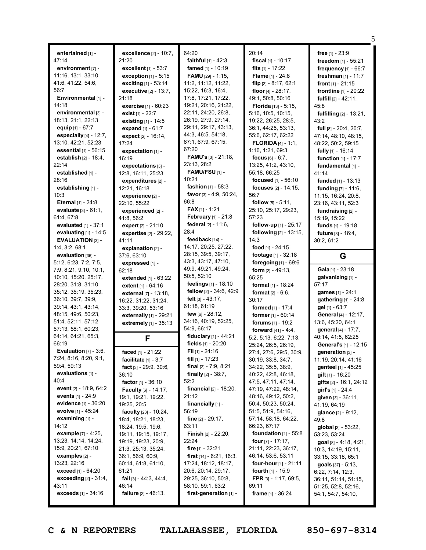|                                             |                                                       |                                             |                                                    | 5                                         |
|---------------------------------------------|-------------------------------------------------------|---------------------------------------------|----------------------------------------------------|-------------------------------------------|
| entertained [1] -                           | excellence [2] - 10:7,                                | 64:20                                       | 20:14                                              | free $[1] - 23:9$                         |
| 47:14                                       | 21:20                                                 | <b>faithful</b> $[1] - 42:3$                | fiscal $[1] - 10:17$                               | freedom [1] - 55:21                       |
| environment [7] -                           | excellent [1] - 53:7                                  | famed [1] - 10:19                           | fits $[1] - 17:22$                                 | frequency [1] - 66:7                      |
| $11:16$ , $13:1$ , $33:10$ ,                | exception [1] - 5:15                                  | <b>FAMU</b> [29] - 1:15,                    | <b>Flame</b> [1] - 24:8                            | freshman [1] - 11:7                       |
| 41:6, 41:22, 54:6,                          | exciting $[1] - 53:14$                                | 11:2, 11:12, 11:22,                         | flip $[2] - 8:17, 62:1$                            | front $[1] - 21:15$                       |
| 56:7                                        | <b>executive</b> $[2] - 13:7$ ,                       | 15:22, 16:3, 16:4,                          | floor $[4] - 28:17$ ,                              | frontline [1] - 20:22                     |
| Environmental [1] -                         | 21:18                                                 | 17:8, 17:21, 17:22,                         | 49:1, 50:8, 50:16                                  | <b>fulfill</b> $[2] - 42:11$ ,            |
| 14:18                                       | exercise [1] - 60:23                                  | 19:21, 20:16, 21:22,                        | Florida [13] - 5:15.                               | 45:8                                      |
| environmental [3] -                         | exist [1] - 22:7                                      | 22:11, 24:20, 26:8,                         | 5:16, 10:5, 10:15,                                 | <b>fulfilling</b> [2] - 13:21,            |
| 18:13, 21:1, 22:13                          | existing [1] - 14:5                                   | 26:19, 27:9, 27:14,                         | 19:22, 26:25, 28:5,                                | 43:2                                      |
| equip $[1] - 67:7$                          | expand $[1] - 61:7$                                   | 29:11, 29:17, 43:13,                        | 36:1, 44:25, 53:13,                                | full [8] - 20:4, 26:7,                    |
| especially $[4] - 12:7$ ,                   | expect [2] - 16:14,                                   | 44:3, 46:5, 54:18,                          | 55:6, 62:17, 62:22                                 | 47:14, 48:10, 48:15,                      |
| 13:10, 42:21, 52:23                         | 17:24                                                 | 67:1, 67:9, 67:15,                          | <b>FLORIDA</b> $[4] - 1:1$ ,                       | 48:22, 50:2, 59:15                        |
| essential [1] - 56:15                       | expectation [1] -                                     | 67:20                                       | 1:16, 1:21, 69:3                                   | fully [1] - 16:14                         |
| <b>establish</b> $[2] - 18:4$ ,             | 16:19                                                 | <b>FAMU's</b> $[3] - 21:18$ ,               | focus $[6] - 6:7$ ,                                | function $[1] - 17:7$                     |
| 22:14                                       | expectations $[3]$ -                                  | 23:13, 28:2                                 | 13:25, 41:2, 43:10,                                | fundamental [1] -                         |
| established [1] -                           | 12:8, 16:11, 25:23                                    | <b>FAMU/FSU</b> $[1]$ -                     | 55:18, 66:25                                       | 41:14                                     |
| 28:16                                       | expenditures [2] -                                    | 10:21                                       | focused [1] - 56:10                                | funded [1] - 13:13                        |
| establishing [1] -                          | 12:21, 16:18                                          | fashion $[1] - 58:3$                        | focuses [2] - 14:15,                               | funding [7] - 11:6,                       |
| 10:3                                        | experience [2] -                                      | favor [3] - 4:9, 50:24,                     | 56:7                                               | 11:15, 16:24, 20:8,                       |
| Eternal [1] - 24:8                          | 22:10, 55:22                                          | 66:8                                        | <b>follow</b> $[5] - 5:11$ ,                       | 23:16, 43:11, 52:3                        |
| evaluate [3] - 61:1,                        | experienced [2] -                                     | <b>FAX</b> $[1]$ - 1:21                     | 25:10, 25:17, 29:23,                               | fundraising [2] -                         |
| 61:4,67:8                                   | 41:8, 56:2                                            | February [1] - 21:8<br>federal [2] - 11:6.  | 57:23                                              | 15:19, 15:22                              |
| evaluated $[1] - 37:1$                      | expert [2] - 21:10                                    | 28:4                                        | follow-up [1] - 25:17<br>following $[2] - 13:15$ , | funds [1] - 19:18                         |
| evaluating $[1]$ - 14:5<br>EVALUATION [3] - | expertise [2] - 29:22,                                | feedback [14] -                             | 14:3                                               | <b>future</b> $[3] - 16:4$ ,              |
| 1:4, 3:2, 68:1                              | 41:11                                                 | 14:17, 20:25, 27:22,                        | food $[1]$ - 24:15                                 | 30:2, 61:2                                |
| evaluation [36] -                           | explanation [2] -<br>37:6, 63:10                      | 28:15, 39:5, 39:17,                         | footage [1] - 32:18                                | G                                         |
| 5:12, 6:23, 7:2, 7:5,                       | expressed [1] -                                       | 43:3, 43:17, 47:10,                         | foregoing [1] - 69:6                               |                                           |
|                                             |                                                       |                                             |                                                    |                                           |
|                                             |                                                       |                                             |                                                    |                                           |
| 7:9, 8:21, 9:10, 10:1,                      | 62:18                                                 | 49:9, 49:21, 49:24,<br>50:5, 52:10          | form $[2] - 49:13$ ,<br>65:25                      | Gala $[1]$ - 23:18                        |
| 10:10, 15:20, 25:17,<br>28:20, 31:8, 31:10, | <b>extended</b> $[1]$ - $63:22$                       | feelings [1] - 18:10                        |                                                    | galvanizing [1] -<br>57:17                |
| 35:12, 35:19, 35:23,                        | extent [1] - 64:16<br><b>external</b> $[7] - 13:18$ , | fellow [2] - 34:6, 42:9                     | formal [1] - 18:24<br><b>format</b> $[2] - 6:6$ ,  | games [1] - 24:1                          |
| 36:10, 39:7, 39:9,                          | 16:22, 31:22, 31:24,                                  | felt $[3] - 43:17$ ,                        | 30:17                                              | gathering [1] - 24:8                      |
| 39:14, 43:1, 43:14,                         | 33:3, 39:20, 53:16                                    | 61:18, 61:19                                | <b>formed</b> $[1] - 17:4$                         | gel [1] - 63:7                            |
| 48:15, 49:6, 50:23,                         | externally [1] - 29:21                                | few $[6] - 28:12$                           | former [1] - 60:14                                 | General [4] - 12:17,                      |
| 51:4, 52:11, 57:12,                         | extremely [1] - 35:13                                 | 34:16, 40:19, 52:25,                        | forums $[1] - 19:2$                                | 13:6, 45:20, 64:1                         |
| 57:13, 58:1, 60:23,                         |                                                       | 54:9, 66:17                                 | forward $[41] - 4:4$ ,                             | general [4] - 17:7,                       |
| 64:14, 64:21, 65:3,                         | F                                                     | fiduciary [1] - 44:21                       | 5:2, 5:13, 6:22, 7:13,                             | 40:14, 41:5, 62:25                        |
| 66:19                                       |                                                       | fields [1] - 20:20                          | 25:24, 26:5, 26:19,                                | General's [1] - 12:15                     |
| <b>Evaluation</b> $[7] - 3:6$ ,             | faced [1] - 21:22                                     | Fil [1] - 24:16                             | 27:4, 27:6, 29:5, 30:9,                            | generation [3] -                          |
| 7:24, 8:16, 8:20, 9:1,                      | facilitate $[1] - 3:7$                                | fill $[1]$ - 17:23                          | 30:19, 33:8, 34:7,                                 | 11:19, 20:14, 41:16                       |
| 59:4, 59:13                                 | fact $[3] - 29:9, 30:6,$                              | final $[2] - 7:9, 8:21$                     | 34:22, 35:5, 38:9,                                 | genteel [1] - 45:25                       |
| evaluations [1] -                           | 36:10                                                 | <b>finally</b> $[2] - 38:7$ ,               | 40:22, 42:8, 46:18,                                | <b>gift</b> $[1]$ - 16:20                 |
| 40:4                                        | factor $[1] - 36:10$                                  | 52:2                                        | 47:5, 47:11, 47:14,                                | gifts $[2] - 16:1, 24:12$                 |
| event [2] - 18:9, 64:2                      | <b>Faculty</b> $[6] - 14:17$ ,                        | <b>financial</b> $[2] - 18:20$ ,            | 47:19, 47:22, 48:14,                               | girl's $[1]$ - 24:4                       |
| events $[1] - 24.9$<br>evidence [1] - 36:20 | 19:1, 19:21, 19:22,                                   | 21:12                                       | 48:16, 49:12, 50:2,                                | given $[3] - 36:11$ ,                     |
| evolve [1] - 45:24                          | 19:25, 20:5                                           | financially $[1]$ -<br>56:19                | 50:4, 50:23, 50:24,<br>51:5, 51:9, 54:16,          | 41:19, 64:19                              |
| examining [1] -                             | faculty [23] - 10:24,                                 | <b>fine</b> $[2] - 29:17$ ,                 | 57:14, 58:18, 64:22,                               | <b>glance</b> $[2]$ - $9:12$ ,<br>49:8    |
| 14:12                                       | 18:4, 18:21, 18:23,<br>18:24, 19:5, 19:6,             | 63:11                                       | 66:23, 67:17                                       | global $[3] - 53:22$ ,                    |
| example [7] - 4:25,                         | 19:11, 19:15, 19:17,                                  | <b>Finish</b> $[2] - 22:20$ ,               | foundation $[1]$ - 55:8                            | 53:23, 53:24                              |
| 13:23, 14:14, 14:24,                        | 19:19, 19:23, 20:9,                                   | 22:24                                       | four $[7] - 17:17$ ,                               | $goal$ [8] - 4:18, 4:21,                  |
| 15:9, 20:21, 67:10                          | 21:3, 25:13, 35:24,                                   | <b>fire</b> $[1] - 32:21$                   | 21:11, 22:23, 36:17,                               | 10:3, 14:19, 15:11,                       |
| examples $[2]$ -                            | 36:1, 56:9, 60:9,                                     | <b>first</b> $[14] - 6:21, 16:3,$           | 46:14, 53:6, 53:11                                 | 33:15, 33:18, 65:1                        |
| 13:23, 22:16                                | 60:14, 61:8, 61:10,                                   | 17:24, 18:12, 18:17,                        | four-hour $[1]$ - 21:11                            | <b>goals</b> $[37] - 5:13$ ,              |
| <b>exceed</b> [1] - 64:20                   | 61:21                                                 | 20:6, 20:14, 29:17,                         | <b>fourth</b> $[1]$ - 15:9                         | 6:22, 7:14, 12:3,                         |
| exceeding $[2] - 31:4$ ,                    | fail $[3] - 44:3, 44:4,$                              | 29:25, 36:10, 50:8,                         | FPR [3] - 1:17, 69:5,                              | 36:11, 51:14, 51:15,                      |
| 43:11<br><b>exceeds</b> $[1] - 34:16$       | 46:14<br>failure [2] - 46:13,                         | 58:10, 59:1, 63:2<br>first-generation [1] - | 69:11<br><b>frame</b> $[1] - 36:24$                | 51:25, 52:8, 52:16,<br>54:1, 54:7, 54:10, |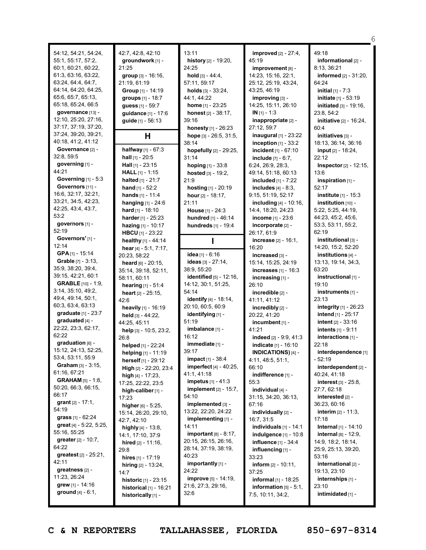54:12, 54:21, 54:24, 55:1, 55:17, 57:2, 60:1, 60:21, 60:22, 61:3, 63:16, 63:22, 63:24, 64:4, 64:7, 64:14, 64:20, 64:25, 65:6, 65:7, 65:13, 65:18, 65:24, 66:5 **governance** [13] - 12:10, 25:20, 27:16, 37:17, 37:19, 37:20, 37:24, 39:20, 39:21, 40:18, 41:2, 41:12 **Governance** [2] - 32:8, 59:5 **governing** [1] - 44:21 **Governing** [1] - 5:3 **Governors** [11] - 16:6, 32:17, 32:21, 33:21, 34:5, 42:23, 42:25, 43:4, 43:7, 53:2 **governors** [1] - 52:19 **Governors'** [1] - 12:14 **GPA** [1] - 15:14 **Grable** [7] - 3:13, 35:9, 38:20, 39:4, 39:15, 42:21, 60:1 **GRABLE** [10] - 1:9, 3:14, 35:10, 49:2, 49:4, 49:14, 50:1, 60:3, 63:4, 63:13 **graduate** [1] - 23:7 **graduated** [4] - 22:22, 23:3, 62:17, 62:22 **graduation** [6] - 15:12, 24:13, 52:25, 53:4, 53:11, 55:9 **Graham** [3] - 3:15, 61:16, 67:21 **GRAHAM** [5] - 1:8, 50:20, 66:3, 66:15, 66:17 **grant** [2] - 17:1, 54:19 **grass** [1] - 62:24 **great** [4] - 5:22, 5:25, 55:16, 55:25 **greater** [2] - 10:7, 64:22 **greatest** [2] - 25:21, 42:11 **greatness** [2] - 11:23, 26:24 **grew** [1] - 14:16 **ground** [4] - 6:1, 42:7, 42:8, 42:10 **groundwork** [1] - 21:25 **group** [3] - 16:16, 21:19, 61:19 **Group** [1] - 14:19 **groups** [1] - 18:7 **guess** [1] - 59:7 **guidance** [1] - 17:6 **guide** [1] - 56:13 **H halfway** [1] - 67:3 **hall** [1] - 20:5 **Hall** [1] - 23:15 **HALL** [1] - 1:15 **halted** [1] - 21:7 **hand** [1] - 52:2 **hands** [1] - 11:4 **hanging** [1] - 24:6 **hard** [1] - 18:10 **harder** [1] - 25:23 **hazing** [1] - 10:17 **HBCU** [1] - 23:22 **healthy** [1] - 44:14 **hear** [4] - 5:1, 7:17, 20:23, 58:22 **heard** [6] - 20:15, 35:14, 39:18, 52:11, 58:11, 60:11 **hearing** [1] - 51:4 **heart** [2] - 25:15, 42:6 **heavily** [1] - 16:19 **held** [3] - 44:22, 44:25, 45:11 **help** [3] - 10:5, 23:2, 26:8 **helped** [1] - 22:24 **helping** [1] - 11:19 **herself** [1] - 29:12 **High** [2] - 22:20, 23:4 **high** [4] - 17:23, 17:25, 22:22, 23:5 **high-caliber** [1] - 17:23 **higher** [6] - 5:25, 15:14, 26:20, 29:10, 42:7, 42:10 **highly** [4] - 13:8, 14:1, 17:10, 37:9 **hired** [2] - 11:16, 29:8 **hires** [1] - 17:19 **hiring** [2] - 13:24, 14:7 **historic** [1] - 23:15 **historical** [1] - 16:21 **historically** [1] -

13:11 **history** [2] - 19:20, 24:25 **hold** [3] - 44:4, 57:11, 59:17 **holds** [3] - 33:24, 44:1, 44:22 **home** [1] - 23:25 **honest** [2] - 38:17, 39:16 **honesty** [1] - 26:23 **hope** [3] - 26:5, 31:5, 38:14 **hopefully** [2] - 29:25, 31:14 **hoping** [1] - 33:8 **hosted** [3] - 19:2, 21:9 **hosting** [1] - 20:19 **hour** [2] - 18:17, 21:11 **House** [1] - 24:3 **hundred** [1] - 46:14 **hundreds** [1] - 19:4 **I idea** [1] - 6:16 **ideas** [3] - 27:14, 38:9, 55:20 **identified** [5] - 12:16, 14:12, 30:1, 51:25, 54:14 **identify** [4] - 18:14, 20:10, 60:5, 60:9 **identifying** [1] - 51:19 **imbalance** [1] - 16:12 **immediate** [1] - 39:17 **impact** [1] - 38:4 **imperfect** [4] - 40:25, 41:1, 41:18 **impetus** [1] - 41:3 **implement** [2] - 15:7, 54:10 **implemented** [3] - 13:22, 22:20, 24:22 **implementing** [1] - 14:11 **important** [8] - 8:17, 20:15, 26:15, 26:16, 28:14, 37:19, 38:19, 40:23 **importantly** [1] - 24:22 **improve** [5] - 14:19, 21:6, 27:3, 29:16, 32:6

**improved** [2] - 27:4, 45:19 **improvement** [8] - 14:23, 15:16, 22:1, 25:12, 25:19, 43:24, 43:25, 46:19 **improving** [3] - 14:25, 15:11, 26:10 **IN** [1] - 1:3 **inappropriate** [2] - 27:12, 59:7 **inaugural** [1] - 23:22 **inception** [1] - 33:2 **incident** [1] - 67:10 **include** [7] - 6:7, 6:24, 26:9, 28:3, 49:14, 51:18, 60:13 **included** [1] - 7:22 **includes** [4] - 8:3, 9:15, 51:19, 52:17 **including** [4] - 10:16, 14:4, 18:20, 24:23 **income** [1] - 23:6 **incorporate** [2] - 26:17, 61:9 **increase** [2] - 16:1, 16:20 **increased** [3] - 15:14, 15:25, 24:19 **increases** [1] - 16:3 **increasing** [1] - 26:10 **incredible** [2] - 41:11, 41:12 **incredibly** [2] - 20:22, 41:20 **incumbent** [1] - 41:21 **indeed** [2] - 9:9, 41:3 **indicate** [1] - 16:10 **INDICATIONS)** [4] - 4:11, 48:5, 51:1, 66:10 **indifference** [1] - 55:3 **individual** [4] - 31:15, 34:20, 36:13, 67:16 **individually** [2] - 16:7, 31:5 **individuals** [1] - 14:1 **indulgence** [1] - 10:8 **influence** [1] - 34:4 **influencing** [1] - 33:23 **inform** [2] - 10:11, 37:25 **informal** [1] - 18:25 **information** [5] - 5:1, 7:5, 10:11, 34:2,

49:18 **informational** [2] - 8:13, 36:21 **informed** [2] - 31:20, 64:24 **initial** [1] - 7:3 **initiate** [1] - 53:19 **initiated** [3] - 19:16, 23:8, 54:2 **initiative** [2] - 16:24, 60:4 **initiatives** [3] - 18:13, 36:14, 36:16 **input** [2] - 18:24, 22:12 **Inspector**[2] - 12:15, 13:6 **inspiration** [1] - 52:17 **institute** [1] - 15:3 **institution** [10] - 5:22, 5:25, 44:19, 44:23, 45:2, 45:6, 53:3, 53:11, 55:2, 62:19 **institutional** [3] - 14:20, 15:2, 52:20 **institutions** [4] - 13:13, 19:14, 34:3, 63:20 **instructional** [1] - 19:10 **instruments** [1] - 23:13 **integrity** [1] - 26:23 **intend** [1] - 25:17 **intent** [2] - 33:16 **intents** [1] - 9:11 **interactions** [1] - 22:18 **interdependence** [1] - 52:19 **interdependent** [2] - 40:24, 41:18 **interest** [3] - 25:8, 27:7, 62:18 **interested** [2] - 36:23, 60:16 **interim** [2] - 11:3, 17:18 **Internal** [1] - 14:10 **internal** [8] - 12:9, 14:9, 18:2, 18:14, 25:9, 25:13, 39:20, 53:16 **international** [2] - 19:13, 23:10 **internships** [1] - 23:10

6

**C & N REPORTERS TALLAHASSEE, FLORIDA 850-697-8314**

**intimidated** [1] -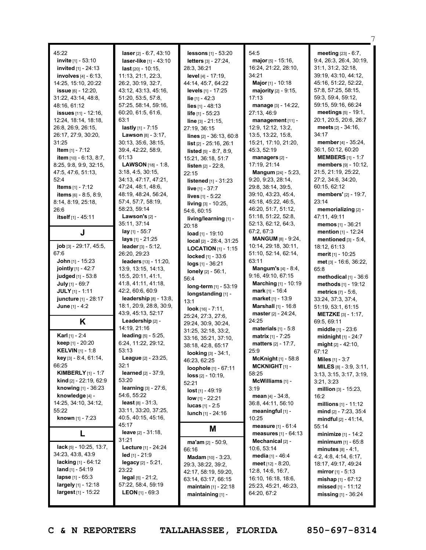| 45:22                           | laser [2] - 6:7, 43:10        | lessons [1] - 53:20              | 54:5                           | meeting [23] - 6:7,             |
|---------------------------------|-------------------------------|----------------------------------|--------------------------------|---------------------------------|
| invite [1] - 53:10              |                               | <b>letters</b> [3] - 27:24,      | <b>major</b> [5] - 15:16,      | 9:4, 26:3, 26:4, 30:19,         |
|                                 | <b>laser-like</b> [1] - 43:10 |                                  |                                |                                 |
| invited [1] - 24:13             | <b>last</b> [20] - 10:15,     | 28:3, 36:21                      | 16:24, 21:22, 28:10,           | 31:1, 31:2, 32:18,              |
| <b>involves</b> $[4] - 6:13$ ,  | 11:13, 21:1, 22:3,            | level [4] - 17:19,               | 34:21                          | 39:19, 43:10, 44:12,            |
| 14:25, 15:10, 20:22             | 26:2, 30:19, 32:7,            | 44:14, 45:7, 64:22               | Major [1] - 10:18              | 45:16, 51:22, 52:22,            |
| issue $[6] - 12:20$ ,           | 43:12, 43:13, 45:16,          | <b>levels</b> [1] - 17:25        | <b>majority</b> $[2] - 9:15$ , | 57:8, 57:25, 58:15,             |
| 31:22, 43:14, 48:8,             | 51:20, 53:5, 57:8,            | <b>lie</b> [1] - 42:3            | 17:13                          | 59:3, 59:4, 59:12,              |
| 48:16, 61:12                    | 57:25, 58:14, 59:16,          | <b>lies</b> $[1] - 48:13$        | manage [3] - 14:22,            | 59:15, 59:16, 66:24             |
| issues [11] - 12:16,            | 60:20, 61:5, 61:6,            | life [1] - 55:23                 | 27:13, 46:9                    | <b>meetings</b> $[5] - 19:1$ ,  |
| 12:24, 18:14, 18:18,            | 63:1                          |                                  |                                | 20:1, 20:5, 20:6, 26:7          |
|                                 | lastly $[1] - 7:15$           | <b>line</b> $[3] - 21:15$ ,      | management [11] -              | <b>meets</b> [2] - 34:16,       |
| 26:8, 26:9, 26:15,              |                               | 27:19, 36:15                     | 12:9, 12:12, 13:2,             |                                 |
| 26:17, 27:9, 30:20,             | <b>Lawson</b> $[8] - 3:17$ ,  | <b>lines</b> [2] - 36:13, 60:8   | 13:5, 13:22, 15:8,             | 34:17                           |
| 31:25                           | 30:13, 35:6, 38:15,           | <b>list</b> $[2] - 25:16, 26:1$  | 15:21, 17:10, 21:20,           | member [4] - 35:24,             |
| <b>Item</b> $[1] - 7:12$        | 39:4, 42:22, 58:9,            | <b>listed</b> $[5] - 8:7, 8:9,$  | 45:3, 52:19                    | 36:1, 50:12, 60:20              |
| <b>item</b> $[10] - 6:13, 8:7,$ | 61:13                         | 15:21, 36:18, 51:7               | managers [2] -                 | <b>MEMBERS</b> $[1] - 1:7$      |
| 8:25, 9:8, 9:9, 32:15,          | <b>LAWSON</b> $[18] - 1:8$ ,  | <b>listen</b> $[2] - 22:8$ ,     | 17:19, 21:14                   | members [9] - 10:12,            |
| 47:5, 47:6, 51:13,              | 3:18, 4:5, 30:15,             | 22:15                            | <b>Mangum</b> [24] - 5:23,     | 21:5, 21:19, 25:22,             |
| 52:4                            | 34:13, 47:17, 47:21,          |                                  | 9:20, 9:23, 28:14,             | 27:2, 34:6, 34:20,              |
| Items [1] - 7:12                | 47:24, 48:1, 48:6,            | <b>listened</b> $[1] - 31:23$    | 29:8, 38:14, 39:5,             | 60:15, 62:12                    |
|                                 |                               | live [1] - 37:7                  |                                |                                 |
| <b>items</b> $[6] - 8:5, 8:9,$  | 48:19, 48:24, 56:24,          | <b>lives</b> $[1]$ - 5:22        | 39:10, 43:23, 45:4,            | members' [2] - 19:7,            |
| 8:14, 8:19, 25:18,              | 57:4, 57:7, 58:19,            | living [3] - 10:25,              | 45:18, 45:22, 46:5,            | 23:14                           |
| 26:6                            | 58:23, 59:14                  | 54:6, 60:15                      | 46:20, 51:7, 51:12,            | memorializing [2] -             |
| itself [1] - 45:11              | Lawson's $[2]$ -              | living/learning [1] -            | 51:18, 51:22, 52:8,            | 47:11, 49:11                    |
|                                 | 35:11, 37:14                  | 20:18                            | 52:13, 62:12, 64:3,            | <b>memos</b> $[1] - 36:21$      |
| J                               | lay [1] - 55:7                | $load$ [1] - 19:10               | 67:2, 67:3                     | <b>mention</b> [1] - 12:24      |
|                                 | <b>lays</b> [1] - 21:25       | <b>local</b> $[2] - 28:4, 31:25$ | <b>MANGUM [8] - 9:24,</b>      | mentioned $[3] - 5:4$ ,         |
| job [3] - 29:17, 45:5,          | leader [3] - 5:12,            |                                  | 10:14, 29:18, 30:11,           | 18:12, 61:13                    |
| 67:6                            | 26:20, 29:23                  | <b>LOCATION</b> $[1]$ - 1:15     | 51:10, 52:14, 62:14,           | merit [1] - 10:25               |
| <b>John</b> [1] - 15:23         | leaders [13] - 11:20,         | locked [1] - 33:6                | 63:11                          |                                 |
|                                 |                               | $logs$ [1] - 36:21               | <b>Mangum's</b> $[4] - 8:4$ ,  | met [3] - 16:6, 36:22,          |
| <b>jointly</b> $[1] - 42:7$     | 13:9, 13:15, 14:13,           | lonely [2] - 56:1,               |                                | 65:8                            |
| <b>judged</b> [1] - 53:8        | 15:5, 20:11, 41:1,            | 56:4                             | 9:16, 49:10, 67:15             | methodical $[1]$ - 36:6         |
| July [1] - 69:7                 | 41:8, 41:11, 41:18,           | long-term [1] - 53:19            | <b>Marching</b> $[1] - 10:19$  | methods [1] - 19:12             |
| <b>JULY</b> $[1]$ - 1:11        | 42:2, 60:6, 60:9              | longstanding [1] -               | <b>mark</b> [1] - 16:4         | <b>metrics</b> $[7] - 5:6$ ,    |
| juncture [1] - 28:17            | leadership $[8]$ - 13:8,      | 13:1                             | <b>market</b> [1] - 13:9       | 33:24, 37:3, 37:4,              |
| <b>June</b> $[1] - 4:2$         | 18:1, 20:9, 28:8, 30:9,       | <b>look</b> [16] - $7:11$ ,      | <b>Marshall</b> [1] - 16:8     | 51:19, 53:1, 61:15              |
|                                 | 43:9, 45:13, 52:17            | 25:24, 27:3, 27:6,               | master [2] - 24:24,            | <b>METZKE</b> [3] - 1:17,       |
| Κ                               | Leadership [2] -              | 29:24, 30:9, 30:24,              | 24:25                          | 69:5, 69:11                     |
|                                 | 14:19, 21:16                  |                                  | materials $[1] - 5.8$          | middle [1] - 23:6               |
| Karl [1] - 2:4                  | leading $[5] - 5:25$ ,        | 31:25, 32:18, 33:2,              | <b>matrix</b> $[1] - 7:25$     | <b>midnight</b> $[1] - 24:7$    |
| <b>keep</b> [1] - 20:20         | 6:24, 11:22, 29:12,           | 33:16, 35:21, 37:10,             | matters $[2] - 17:7$ ,         |                                 |
| <b>KELVIN</b> [1] - 1:8         | 53:13                         | 38:18, 42:8, 65:17               | 25:9                           | might [2] - 42:10,              |
| <b>key</b> [3] $-8:4, 61:14,$   | League [2] - 23:25,           | looking [3] - 34:1,              |                                | 67:12                           |
| 66:25                           | 32:1                          | 46:23, 62:25                     | McKnight [1] - 58:8            | <b>Miles</b> [1] - 3:7          |
|                                 |                               | loophole [1] - 67:11             | MCKNIGHT $[1]$ -               | <b>MILES</b> $[8] - 3:9, 3:11,$ |
| <b>KIMBERLY</b> $[1] - 1:7$     | <b>learned</b> $[2] - 37:9$ , | $loss [2] - 10:19,$              | 58:25                          | 3:13, 3:15, 3:17, 3:19,         |
| <b>kind</b> $[2] - 22:19, 62:9$ | 53:20                         | 52:21                            | McWilliams [1] -               | 3:21, 3:23                      |
| knowing [1] - 36:23             | learning [3] - 27:6,          | $lost_{[1]} - 49:19$             | 3:19                           | million $[3] - 15:23$ ,         |
| knowledge [4] -                 | 54:6, 55:22                   | low $[1] - 22:21$                | <b>mean</b> $[4] - 34:8$ ,     | 16:2                            |
| 14:25, 34:10, 34:12,            | $least [8] - 31:3,$           | <b>lucas</b> $[1] - 2:5$         | 36:8, 44:11, 56:10             | millions $[1] - 11:12$          |
| 55:22                           | 33:11, 33:20, 37:25,          | lunch [1] - 24:16                | meaningful [1] -               | $mid$ [2] - 7:23, 35:4          |
| known [1] - 7:23                | 40:5, 40:15, 45:16,           |                                  | 10:25                          | <b>mindful</b> $[2] - 41:14$ ,  |
|                                 | 45:17                         |                                  | measure [1] - 61:4             | 55:14                           |
| L                               | <b>leave</b> $[2] - 31:18$ ,  | M                                | <b>measures</b> $[1] - 64:13$  | minimize [1] - 14:2             |
|                                 | 31:21                         |                                  | Mechanical [2] -               |                                 |
| lack $[5] - 10:25, 13:7,$       | Lecture [1] - 24:24           | $ma'am$ [2] - 50:9,              |                                | <b>minimum</b> $[1] - 65:8$     |
| 34:23, 43:8, 43:9               |                               | 66:16                            | 10:6, 53:14                    | <b>minutes</b> $[8] - 4:1,$     |
|                                 | $led$ [1] - 21:9              | Madam [10] - 3:23,               | <b>media</b> [1] - 46:4        | 4:2, 4:8, 4:14, 6:17,           |
| <b>lacking</b> $[1] - 64:12$    | legacy $[2] - 5:21$ ,         | 29:3, 38:22, 39:2,               | <b>meet</b> $[12] - 8:20$ ,    | 18:17, 49:17, 49:24             |
| <b>land</b> $[1] - 54:19$       | 23:22                         | 42:17, 58:19, 59:20,             | 12:8, 14:6, 16:7,              | <b>mirror</b> [1] - 5:13        |
| lapse $[1] - 65:3$              | $\text{legal } [5] - 21:2,$   | 63:14, 63:17, 66:15              | 16:10, 16:18, 18:6,            | mishap $[1] - 67:12$            |
| largely [1] - 12:18             | 57:22, 58:4, 59:19            | maintain [1] - 22:18             | 25:23, 45:21, 46:23,           | missed $[1] - 11:12$            |
| largest [1] - 15:22             | <b>LEON</b> [1] - 69:3        | maintaining [1] -                | 64:20, 67:2                    | missing $[1]$ - 36:24           |
|                                 |                               |                                  |                                |                                 |

7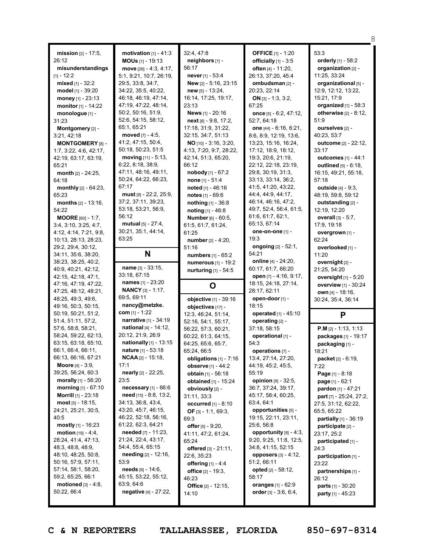| mission $[2] - 17:5$ ,<br>26:12<br>misunderstandings<br>$[1] - 12:2$ | motivation $[1] - 41:3$<br><b>MOUs</b> $[1]$ - 19:13<br>move $[26] - 4:3, 4:17,$<br>5:1, 9:21, 10:7, 26:19, | 32:4, 47:8<br>neighbors [1] -<br>56:17<br><b>never</b> [1] - 53:4 | <b>OFFICE</b> [1] - 1:20<br>officially $[1]$ - 3:5<br>often [4] - 11:20,<br>26:13, 37:20, 45:4 | 53:3<br>orderly [1] - 58:2<br>organization [2] -<br>11:25, 33:24 |
|----------------------------------------------------------------------|-------------------------------------------------------------------------------------------------------------|-------------------------------------------------------------------|------------------------------------------------------------------------------------------------|------------------------------------------------------------------|
| mixed $[1] - 32:2$<br>model [1] - 39:20                              | 29:5, 33:8, 34:7,<br>34:22, 35:5, 40:22,                                                                    | New [2] - 5:16, 23:15<br><b>new</b> $[5] - 13:24$ ,               | ombudsman [2] -<br>20:23, 22:14                                                                | organizational [5] -<br>12:9, 12:12, 13:22,                      |
| money [1] - 23:13                                                    | 46:18, 46:19, 47:14,                                                                                        | 16:14, 17:25, 19:17,                                              | ON [3] - 1:3, 3:2,                                                                             | 15:21, 17:9                                                      |
| monitor [1] - 14:22                                                  | 47:19, 47:22, 48:14,                                                                                        | 23:13                                                             | 67:25                                                                                          | organized [1] - 58:3                                             |
| monologue [1] -                                                      | 50:2, 50:16, 51:9,                                                                                          | News [1] - 20:16                                                  | once $[5] - 6:2, 47:12,$                                                                       | otherwise $[2] - 8:12$ ,                                         |
| 31:23                                                                | 52:6, 54:15, 58:12,                                                                                         | $next$ [8] - 9:8, 17:2,                                           | 52:7, 64:18                                                                                    | 51:9                                                             |
| Montgomery [2] -                                                     | 65:1, 65:21<br>moved $[7] - 4:5$ .                                                                          | 17:18, 31:9, 31:22,<br>32:15, 34:7, 51:13                         | one [44] - 6:16, 6:21,<br>8:6, 8:9, 12:19, 13:6,                                               | ourselves [2] -<br>40:23, 53:7                                   |
| 3:21, 42:18<br><b>MONTGOMERY [8] -</b>                               | 41:2, 47:15, 50:4,                                                                                          | NO [10] - 3:16, 3:20,                                             | 13:23, 15:16, 16:24,                                                                           | <b>outcome</b> [2] - 22:12,                                      |
| 1:7, 3:22, 4:6, 42:17,                                               | 50:18, 50:23, 51:5                                                                                          | 4:13, 7:20, 9:7, 28:22,                                           | 17:12, 18:9, 18:12,                                                                            | 33:17                                                            |
| 42:19, 63:17, 63:19,                                                 | moving $[11] - 5:13$ ,                                                                                      | 42:14, 51:3, 65:20,                                               | 19:3, 20:6, 21:19,                                                                             | <b>outcomes</b> $[1] - 44:1$                                     |
| 65:21                                                                | 6:22, 8:18, 38:9,                                                                                           | 66:12                                                             | 22:12, 22:18, 23:19,                                                                           | <b>outlined</b> $[5] - 6:18$ ,                                   |
| <b>month</b> $[2] - 24:25$ ,                                         | 47:11, 48:16, 49:11,                                                                                        | nobody $[1] - 67:2$                                               | 29:8, 30:19, 31:3,                                                                             | 16:15, 49:21, 55:18,                                             |
| 64:18                                                                | 50:24, 64:22, 66:23,<br>67:17                                                                               | <b>none</b> $[1] - 51:4$                                          | 33:13, 33:14, 36:2,<br>41:5, 41:20, 43:22,                                                     | 57:18                                                            |
| monthly [2] - 64:23,<br>65:23                                        | must [9] - 22:2, 25:9,                                                                                      | noted [1] - 46:16<br>notes [1] - 69:6                             | 44:4, 44:9, 44:17,                                                                             | outside [4] - 9:3,<br>48:19, 59:8, 59:12                         |
| <b>months</b> $[2] - 13:16$ ,                                        | 37:2, 37:11, 39:23,                                                                                         | nothing [1] - 36:8                                                | 46:14, 46:16, 47:2,                                                                            | outstanding [2] -                                                |
| 54:22                                                                | 53:18, 53:21, 56:9,                                                                                         | noting [1] - 46:8                                                 | 49:7, 52:4, 56:4, 61:5,                                                                        | 12:19, 12:20                                                     |
| <b>MOORE</b> [60] - 1:7,                                             | 56:12                                                                                                       | <b>Number</b> [6] - 60:5,                                         | 61:6, 61:7, 62:1,                                                                              | <b>overall</b> $[3] - 5:7$ ,                                     |
| 3:4, 3:10, 3:25, 4:7.                                                | <b>mutual</b> $[5] - 27:4$ ,                                                                                | 61:5, 61:7, 61:24,                                                | 65:13, 67:14                                                                                   | 17:9, 19:18                                                      |
| 4:12, 4:14, 7:21, 9:8,                                               | 30:21, 35:1, 44:14,<br>63:25                                                                                | 61:25                                                             | one-on-one [1] -<br>19:3                                                                       | overgrown [1] -                                                  |
| 10:13, 28:13, 28:23,<br>29:2, 29:4, 30:12,                           |                                                                                                             | number [2] - 4:20,<br>51:16                                       | ongoing $[2] - 52:1$ ,                                                                         | 62:24<br>overlooked [1] -                                        |
| 34:11, 35:6, 38:20,                                                  | N                                                                                                           | <b>numbers</b> $[1] - 65:2$                                       | 54:21                                                                                          | 11:20                                                            |
| 38:23, 38:25, 40:2,                                                  |                                                                                                             | numerous [1] - 19:2                                               | <b>online</b> [4] - 24:20,                                                                     | overnight [2] -                                                  |
| 40:9, 40:21, 42:12,                                                  | name $[3] - 33:15$ ,                                                                                        | <b>nurturing</b> $[1] - 54:5$                                     | 60:17, 61:7, 66:20                                                                             | 21:25, 54:20                                                     |
| 42:15, 42:18, 47:1,                                                  | 33:18, 67:15                                                                                                |                                                                   | open [7] - 4:16, 9:17,                                                                         | oversight $[1]$ - 5:20                                           |
| 47:16, 47:19, 47:22,                                                 | names [1] - 23:20<br><b>NANCY</b> [3] - 1:17,                                                               | O                                                                 | 18:15, 24:18, 27:14,<br>28:17, 62:11                                                           | overview [1] - 30:24                                             |
| 47:25, 48:12, 48:21,<br>48:25, 49:3, 49:6,                           | 69:5, 69:11                                                                                                 | objective [1] - 39:16                                             | open-door [1] -                                                                                | <b>own</b> [4] - 18:16,                                          |
| 49:16, 50:3, 50:15,                                                  | nancy@metzke.                                                                                               | objectives [17] -                                                 | 18:15                                                                                          | 30:24, 35:4, 36:14                                               |
| 50:19, 50:21, 51:2,                                                  | <b>com</b> [1] - 1:22                                                                                       | 12:3, 46:24, 51:14,                                               | operated $[1] - 45:10$                                                                         | P                                                                |
| 51:4, 51:11, 57:2,                                                   | narrative [1] - 34:19                                                                                       | 52:16, 54:1, 55:17,                                               | operating [2] -                                                                                |                                                                  |
| 57:6, 58:8, 58:21,                                                   | <b>national</b> $[4] - 14:12$ ,                                                                             | 56:22, 57:3, 60:21,                                               | 37:18, 58:15                                                                                   |                                                                  |
| 58:24, 59:22, 62:13,                                                 | 20:12, 21:9, 26:9                                                                                           |                                                                   |                                                                                                | <b>P.M</b> $\left[2\right]$ - 1:13, 1:13                         |
| 63:15, 63:18, 65:10,                                                 |                                                                                                             | 60:22, 61:3, 64:15,                                               | operational [1] -                                                                              | packages [1] - 19:17                                             |
|                                                                      | <b>nationally</b> $[1]$ - 13:15                                                                             | 64:25, 65:6, 65:7,                                                | 54:3                                                                                           | packaging [1] -                                                  |
| 66:1, 66:4, 66:11,                                                   | <b>nature</b> [1] - 53:18                                                                                   | 65:24, 66:5                                                       | operations [7] -                                                                               | 18:21                                                            |
| 66:13, 66:16, 67:21<br><b>Moore</b> $[4] - 3:9$ ,                    | <b>NCAA</b> [2] - 15:18,<br>17:1                                                                            | obligations $[1]$ - $7:16$<br><b>observe</b> [1] - 44:2           | 13:4, 27:14, 27:20,<br>44:19, 45:2, 45:5,                                                      | <b>packet</b> [2] - 6:19,<br>7:22                                |
| 39:25, 56:24, 60:3                                                   | nearly [2] - 22:25,                                                                                         | <b>obtain</b> $[1] - 56:18$                                       | 55:19                                                                                          | Page [1] - 8:18                                                  |
| morally $[1]$ - 56:20                                                | 23:5                                                                                                        | obtained [1] - 15:24                                              | opinion [9] - 32:5.                                                                            | page [1] - 62:1                                                  |
| <b>morning</b> $[1] - 67:10$                                         | necessary $[1]$ - 66:6                                                                                      | obviously [2] -                                                   | 36:7, 37:24, 39:17,                                                                            | pardon [1] - 47:21                                               |
| <b>Morrill</b> $[1]$ - 23:18                                         | <b>need</b> $[15] - 8:8, 13:2,$                                                                             | 31:11, 33:3                                                       | 45:17, 58:4, 60:25,                                                                            | <b>part</b> [7] - 25:24, 27:2,                                   |
| $most [5] - 18:15,$                                                  | 34:13, 36:8, 43:4,<br>43:20, 45:7, 46:15,                                                                   | <b>occurred</b> $[1] - 8:10$                                      | 63:4, 64:1<br>opportunities [5] -                                                              | 27:5, 31:12, 62:22,                                              |
| 24:21, 25:21, 30:5,<br>40:5                                          | 46:22, 52:18, 56:16,                                                                                        | OF [3] - 1:1, 69:3,<br>69:3                                       | 19:15, 22:11, 23:11,                                                                           | 65:5, 65:22<br><b>partially</b> $[1] - 36:19$                    |
| mostly $[1]$ - 16:23                                                 | 61:22, 62:3, 64:21                                                                                          | offer [5] - 9:20,                                                 | 25:6, 56:8                                                                                     | participate [2] -                                                |
| motion [19] - 4:4,                                                   | needed [7] - 11:23,                                                                                         | 41:11, 47:2, 61:24,                                               | opportunity $[8] - 4:3$ ,                                                                      | 23:17, 25:2                                                      |
| 28:24, 41:4, 47:13,                                                  | 21:24, 22:4, 43:17,                                                                                         | 65:24                                                             | 9:20, 9:25, 11:8, 12:5,                                                                        | participated [1] -                                               |
| 48:3, 48:8, 48:9,                                                    | 54:4, 55:4, 65:15                                                                                           | offered $[3] - 21:11$ ,                                           | 34:8, 41:15, 52:15                                                                             | 24:3                                                             |
| 48:10, 48:25, 50:8,<br>50:16, 57:9, 57:11,                           | needing [2] - 12:16,<br>53:9                                                                                | 22:6, 35:23                                                       | opposers $[3] - 4:12$ ,<br>51:2, 66:11                                                         | participation [1] -                                              |
| 57:14, 58:1, 58:20,                                                  | <b>needs</b> $[6] - 14:6$ ,                                                                                 | <b>offering</b> [1] - 4:4<br>office $[2] - 19:3$ ,                | <b>opted</b> $[2] - 58:12$ ,                                                                   | 23:22<br>partnerships [1] -                                      |
| 59:2, 65:25, 66:1                                                    | 45:15, 53:22, 55:12,                                                                                        | 46:23                                                             | 58:17                                                                                          | 26:12                                                            |
| motioned $[3] - 4:8$ ,<br>50:22, 66:4                                | 63:9, 64:6<br>negative [4] - 27:22,                                                                         | Office [2] - 12:15,<br>14:10                                      | oranges [1] - 62:9<br>order [3] - 3:6, 6:4,                                                    | <b>parts</b> [1] - 30:20<br>party [1] - 45:23                    |

8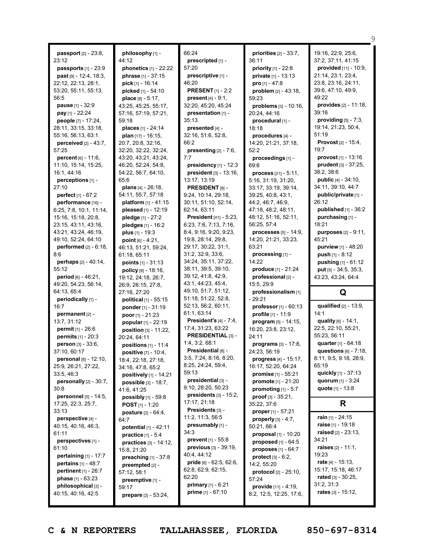| <b>passport</b> $[2] - 23:8$ ,  | philosophy [1] -                | 66:24                                      | priorities $[2] - 33:7$ ,      | 19:16, 22:9, 25:6,           |
|---------------------------------|---------------------------------|--------------------------------------------|--------------------------------|------------------------------|
| 23:12                           | 44:12                           | prescripted [1] -                          | 36:11                          | 37:2, 37:11, 41:15           |
| passports [1] - 23:9            | <b>phonetics</b> $[1] - 22:22$  | 57:20                                      | <b>priority</b> $[1]$ - 22:8   | provided [11] - 10:9,        |
| <b>past</b> $[9] - 12:4, 18:3,$ | <b>phrase</b> [1] - 37:15       | prescriptive [1] -                         | private [1] - 13:13            | 21:14, 23:1, 23:4,           |
| 22:12, 22:13, 28:1,             | pick [1] - 16:14                | 46:20                                      | pro $[1] - 47.8$               | 23:8, 23:16, 24:11,          |
| 53:20, 55:11, 55:13,            | picked [1] - 54:10              | <b>PRESENT</b> [1] - 2:2                   | problem $[2] - 43:18$ ,        | 39:6, 47:10, 49:9,           |
| 56:5                            | place [8] - 5:17,               | <b>present</b> $[4] - 9:1$ ,               | 59:23                          | 49:22                        |
| <b>pause</b> [1] - 32:9         | 43:25, 45:25, 55:17,            | 32:20, 45:20, 45:24                        | problems $[3] - 10:16$ ,       | provides [2] - 11:18,        |
| pay $[1]$ - 22:24               | 57:16, 57:19, 57:21,            | presentation [1] -                         | 20:24, 44:16                   | 39:16                        |
| people [7] - 17:24,             | 59:18                           | 35:13                                      | procedural [1] -               | providing $[5]$ - 7:3,       |
| 28:11, 33:15, 33:18,            | places [1] - 24:14              | presented [4] -                            | 18:18                          | 19:14, 21:23, 50:4,          |
| 55:16, 56:13, 63:1              | plan $[17] - 16:15$ ,           | 32:16, 51:6, 52:8,                         |                                | 51:19                        |
| perceived [2] - 43:7,           | 20:7, 20:8, 32:16,              | 66:2                                       | procedures [4] -               | Provost [2] - 15:4,          |
| 57:25                           | 32:20, 32:22, 32:24,            | presenting $[2] - 7:6$ ,                   | 14:20, 21:21, 37:18,<br>52:2   | 19:7                         |
| <b>percent</b> $[6] - 11:6$     | 43:20, 43:21, 43:24,            | 7:7                                        |                                | provost [1] - 13:16          |
|                                 |                                 |                                            | proceedings [1] -              | prudent [3] - 37:25,         |
| 11:10, 15:14, 15:25,            | 46:20, 52:24, 54:8,             | presidency $[1]$ - 12:3                    | 69:6                           | 38:2, 38:6                   |
| 16:1, 44:16                     | 54:22, 56:7, 64:10,             | president $[3]$ - 13:16,                   | <b>process</b> $[21] - 5:11$ , |                              |
| perceptions [1] -               | 65:6                            | 13:17, 13:19                               | 5:16, 31:19, 31:20,            | public [4] - 34:10,          |
| 27:10                           | <b>plans</b> $[4] - 26:18$ ,    | PRESIDENT [8] -                            | 33:17, 33:19, 39:14,           | 34:11, 39:10, 44:7           |
| perfect [1] - 67:2              | 54:11, 55:7, 57:18              | 9:24, 10:14, 29:18,                        | 39:25, 40:8, 43:1,             | public/private [1] -         |
| performance [16] -              | platform [1] - 41:15            | 30:11, 51:10, 52:14,                       | 44:2, 46:7, 46:9,              | 26:12                        |
| 6:25, 7:8, 10:1, 11:14,         | pleased [1] - 12:19             | 62:14, 63:11                               | 47:18, 48:2, 48:11,            | published $[1]$ - 36:2       |
| 15:16, 15:18, 20:8,             | pledge [1] - 27:2               | <b>President</b> [41] - 5:23,              | 48:12, 51:16, 52:11,           | purchasing [1] -             |
| 23:15, 43:11, 43:16,            | pledges [1] - 16:2              | 6:23, 7:6, 7:13, 7:16,                     | 56:25, 57:4                    | 18:21                        |
| 43:21, 43:24, 46:19,            | plus $[1] - 19:3$               | 8:4, 9:16, 9:20, 9:23,                     | processes [5] - 14:9,          | purposes [2] - 9:11,         |
| 49:10, 52:24, 64:10             | point $[6] - 4:21$ ,            | 19:8, 28:14, 29:8,                         | 14:20, 21:21, 33:23,           | 45:21                        |
| performed [2] - 6:18,           | 46:13, 51:21, 59:24,            | 29:17, 30:22, 31:1,                        | 63:21                          | purview [1] - 48:20          |
| 8:6                             | 61:18, 65:11                    | 31:2, 32:9, 33:6,                          | processing [1] -               | <b>push</b> $[1] - 8:12$     |
| <b>perhaps</b> [2] - 40:14,     | points [1] - 31:13              | 34:24, 35:11, 37:22,                       | 14:22                          | pushing [1] - 61:12          |
| 55:12                           | policy [9] - 18:16,             | 38:11, 39:5, 39:10,                        | produce [1] - 21:24            | put [5] - 34:5, 35:3,        |
| <b>period</b> $[6] - 46:21$ ,   | 19:12, 24:18, 26:7,             | 39:12, 41:8, 42:9,                         | professional [2] -             | 43:23, 43:24, 64:4           |
| 49:20, 54:23, 56:14,            | 26:9, 26:15, 27:8,              | 43:1, 44:23, 45:4,                         | 15:5, 29:9                     |                              |
| 64:13, 65:4                     | 27:16, 27:20                    | 49:10, 51:7, 51:12,                        | professionalism [1]            | Q                            |
| periodically [1] -              | political [1] - 55:15           | 51:18, 51:22, 52:8,                        | - 29:21                        |                              |
| 16:7                            | ponder [1] - 31:19              | 52:13, 56:2, 60:11,                        | professor [1] - 60:13          | qualified [2] - 13:9,        |
| permanent [2] -                 | poor $[1] - 21:23$              | 61:1, 63:14                                | profile [1] - 11:9             | 14:1                         |
| 13:7, 31:12                     | popular [1] - 22:19             | <b>President's <math>[4] - 7:4</math>,</b> | program $[5] - 14:15$ ,        | quality [6] - 14:1,          |
| permit [1] - 26:6               | <b>position</b> $[3] - 11:22$ , | 17:4, 31:23, 63:22                         | 16:20, 23:8, 23:12,            | 22:5, 22:10, 55:21,          |
| <b>permits</b> $[1] - 20:3$     | 20:24, 64:11                    | PRESIDENTIAL [3] -                         | 24:11                          | 55:23, 56:11                 |
| person [3] - 33:6,              | positions [1] - 11:4            | 1:4, 3:2, 68:1                             | <b>programs</b> $[3] - 17:8$ , | quarter [1] - 64:18          |
| 37:10.60:17                     | positive [7] - 10:4,            | Presidential [8] -                         | 24:23, 56:19                   | questions $[6]$ - 7:18,      |
| personal [6] - 12:10,           | 18:4, 22:18, 27:18,             | 3:5, 7:24, 8:16, 8:20,                     | progress $[4] - 15:17$ ,       | 8:11, 9:5, 9:18, 28:9,       |
| 25:9, 26:21, 27:22,             | 34:16, 47:8, 65:2               | 8:25, 24:24, 59:4,                         | 16:17, 52:20, 64:24            | 65:19                        |
| 33:5, 46:3                      | positively [1] - 14:21          | 59:13                                      | promise [1] - 55:21            | quickly [1] - 37:13          |
| personally $[2] - 30:7$ ,       | possible [3] - 18:7,            | presidential [3] -                         | promote [1] - 21:20            | quorum $[1] - 3:24$          |
| 30:8                            | 41:6, 41:25                     | 9:10, 28:20, 50:23                         | promoting $[1] - 5:7$          | quote [1] - 13:8             |
| personnel [5] - 14:5,           | possibly [1] - 59:8             | presidents $[3] - 15:2$ ,                  | $proof [3] - 35:21,$           |                              |
| 17:25, 22:3, 25:7,              | <b>POST</b> $[1]$ - 1:20        | 17:17, 21:18                               | 35:22, 37:6                    | R                            |
| 33:13                           | <b>posture</b> [2] - 64:4,      | Presidents [3] -                           | proper [1] - 57:21             |                              |
| perspective [4] -               | 64:7                            | 11:2, 11:3, 56:5                           | properly $[3] - 4:7$ ,         | <b>rain</b> $[1]$ - 24:15    |
| 40:15, 40:16, 46:3,             | potential $[1] - 42:11$         | presumably [1] -                           | 50:21, 66:4                    | <b>raise</b> [1] - 19:18     |
| 61:11                           | practice [1] - 5:4              | 34:3                                       | proposal $[1] - 10:20$         | raised [2] - 23:13,          |
| perspectives [1] -              | practices [3] - 14:12,          | <b>prevent</b> $[1] - 55:8$                | proposed [1] - 64:5            | 34:21                        |
| 61:10                           | 15:8, 21:20                     | <b>previous</b> $[3] - 39:19$ ,            | proposes $[1]$ - $64:7$        | <b>raises</b> $[2] - 11:1$ , |
| pertaining $[1]$ - 17:7         | preaching $[1] - 37:8$          | 40:4, 44:12                                | <b>protect</b> $[3] - 6:2$ ,   | 19:23                        |
| <b>pertains</b> $[1] - 48:7$    | preempted [2] -                 | <b>pride</b> [6] $-62:5, 62:6,$            | 14:2, 55:20                    | rate $[4] - 15:13$ ,         |
| pertinent $[1]$ - 26:7          | 57:12, 58:1                     | 62:8, 62:9, 62:15,                         | <b>protocol</b> [2] - 25:10,   | 15:17, 15:18, 46:17          |
| phase [1] - 63:23               |                                 | 62:20                                      | 57:24                          | rated $[3] - 30:25$ ,        |
| philosophical [3] -             | preemptive [1] -                | <b>primary</b> $[1] - 6:21$                | provide [11] - 4:19,           | 31:2, 31:3                   |
| 40:15, 40:16, 42:5              | 59:17                           | prime [1] - 67:10                          | 8:2, 12:5, 12:25, 17:6,        | rates $[3] - 15:12$ ,        |
|                                 | prepare [2] - 53:24,            |                                            |                                |                              |

9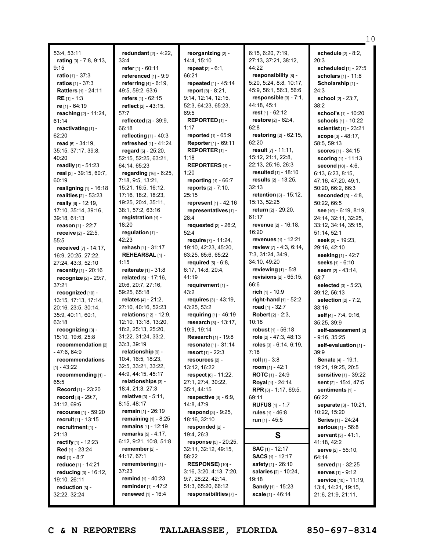53:4, 53:11 **rating** [3] - 7:8, 9:13, 9:15 **ratio** [1] - 37:3 **ratios** [1] - 37:3 **Rattlers** [1] - 24:11 **RE** [1] - 1:3 **re** [1] - 64:19 **reaching** [2] - 11:24, 61:14 **reactivating** [1] - 62:20 **read** [5] - 34:19, 35:15, 37:17, 39:8, 40:20 **readily** [1] - 51:23 **real** [3] - 39:15, 60:7, 60:19 **realigning** [1] - 16:18 **realities** [2] - 53:23 **really** [6] - 12:19, 17:10, 35:14, 39:16, 39:18, 61:13 **reason** [1] - 22:7 **receive** [2] - 22:5, 55:5 **received** [7] - 14:17, 16:9, 20:25, 27:22, 27:24, 43:3, 52:10 **recently** [1] - 20:16 **recognize** [2] - 29:7, 37:21 **recognized** [10] - 13:15, 17:13, 17:14, 20:16, 23:5, 30:14, 35:9, 40:11, 60:1, 63:18 **recognizing** [3] - 15:10, 19:6, 25:8 **recommendation** [2] - 47:6, 64:9 **recommendations** [1] - 43:22 **recommending** [1] - 65:5 **Record** [1] - 23:20 **record** [3] - 29:7, 31:12, 69:6 **recourse** [1] - 59:20 **recruit** [1] - 13:15 **recruitment** [1] - 21:13 **rectify** [1] - 12:23 **Red** [1] - 23:24 **red** [1] - 8:7 **reduce** [1] - 14:21 **reducing** [3] - 16:12, 19:10, 26:11 **reduction** [3] - 32:22, 32:24

**redundant** [2] - 4:22, 33:4 **refer** [1] - 60:11 **referenced** [1] - 9:9 **referring** [4] - 6:19, 49:5, 59:2, 63:6 **refers** [1] - 62:15 **reflect** [2] - 43:15, 57:7 **reflected** [2] - 39:9, 66:18 **reflecting** [1] - 40:3 **refreshed** [1] - 41:24 **regard** [6] - 25:20, 52:15, 52:25, 63:21, 64:14, 65:23 **regarding** [16] - 6:25, 7:18, 9:5, 13:21, 15:21, 16:5, 16:12, 17:16, 18:2, 18:23, 19:25, 20:4, 35:11, 38:1, 57:2, 63:16 **registration** [1] - 18:20 **regulation** [1] - 42:23 **rehash** [1] - 31:17 **REHEARSAL** [1] - 1:15 **reiterate** [1] - 31:8 **related** [6] - 17:16, 20:6, 20:7, 27:16, 59:25, 65:18 **relates** [4] - 21:2, 27:10, 40:16, 52:23 **relations** [12] - 12:9, 12:10, 13:18, 13:20, 18:2, 25:13, 25:20, 31:22, 31:24, 33:2, 33:3, 39:19 **relationship** [9] - 10:4, 16:5, 18:23, 32:5, 33:21, 33:22, 44:9, 44:15, 45:17 **relationships** [3] - 18:4, 21:3, 27:3 **relative** [3] - 5:11, 8:15, 48:17 **remain** [1] - 26:19 **remaining** [1] - 8:25 **remains** [1] - 12:19 **remarks** [5] - 4:17, 6:12, 9:21, 10:8, 51:8 **remember** [2] - 41:17, 67:1 **remembering** [1] - 37:23 **remind** [1] - 40:23 **reminder** [1] - 47:2 **renewed** [1] - 16:4

**reorganizing** [2] - 14:4, 15:10 **repeat** [2] - 6:1, 66:21 **repeated** [1] - 45:14 **report** [8] - 8:21, 9:14, 12:14, 12:15, 52:3, 64:23, 65:23, 69:5 **REPORTED** [1] - 1:17 **reported** [1] - 65:9 **Reporter** [1] - 69:11 **REPORTER** [1] - 1:18 **REPORTERS** [1] - 1:20 **reporting** [1] - 66:7 **reports** [2] - 7:10, 25:15 **represent** [1] - 42:16 **representatives** [1] - 28:4 **requested** [2] - 26:2, 52:4 **require** [7] - 11:24, 19:10, 42:23, 45:20, 63:25, 65:6, 65:22 **required** [5] - 6:8, 6:17, 14:8, 20:4, 41:19 **requirement** [1] -  $43.2$ **requires** [3] - 43:19, 43:25, 53:2 **requiring** [1] - 46:19 **research** [3] - 13:17, 19:9, 19:14 **Research** [1] - 19:8 **resonate** [1] - 31:14 **resort** [1] - 22:3 **resources** [2] - 13:12, 16:22 **respect** [6] - 11:22, 27:1, 27:4, 30:22, 35:1, 44:15 **respective** [3] - 6:9, 14:8, 47:9 **respond** [3] - 9:25, 18:16, 32:10 **responded** [2] - 19:4, 26:3 **response** [5] - 20:25, 32:11, 32:12, 49:15, 58:22 **RESPONSE)** [10] -3:16, 3:20, 4:13, 7:20, 9:7, 28:22, 42:14, 51:3, 65:20, 66:12 **responsibilities** [7] - 6:15, 6:20, 7:19, 27:13, 37:21, 38:12, 44:22 **responsibility** [8] - 5:20, 5:24, 8:8, 10:17, 45:9, 56:1, 56:3, 56:6 **responsible** [3] - 7:1, 44:18, 45:1 **rest** [1] - 62:12 **restore** [2] - 62:4, 62:8 **restoring** [2] - 62:15, 62:20 **result** [7] - 11:11, 15:12, 21:1, 22:8, 22:13, 25:16, 26:3 **resulted** [1] - 18:10 **results** [2] - 13:25, 32:13 **retention** [3] - 15:12, 15:13, 52:25 **return** [2] - 29:20, 61:17 **revenue** [2] - 16:18, 16:20 **revenues** [1] - 12:21 **review** [7] - 4:3, 6:14, 7:3, 31:24, 34:9, 34:10, 49:20 **reviewing** [1] - 5:8 **revisions** [2] - 65:15, 66:6 **rich** [1] - 10:9 **right-hand** [1] - 52:2 **road** [1] - 32:7 **Robert** [2] - 2:3, 10:18 **robust** [1] - 56:18 **role** [2] - 47:3, 48:13 **roles** [3] - 6:14, 6:19,  $7.18$ **roll** [1] - 3:8 **room** [1] - 42:1 **ROTC** [1] - 24:9 **Royal** [1] - 24:14 **RPR** [3] - 1:17, 69:5, 69:11 **RUFUS** [1] - 1:7 **rules** [1] - 46:8 **run** [1] - 45:5 **S SAC** [1] - 12:17 **SACS** [1] - 12:17 **safety** [1] - 26:10 **salaries** [2] - 10:24, 19:18

**Sandy** [1] - 15:23 **scale** [1] - 46:14

**schedule** [2] - 8:2, 20:3 **scheduled** [1] - 27:5 **scholars** [1] - 11:8 **Scholarship** [1] - 24:3 **school** [2] - 23:7, 38:2 **school's** [1] - 10:20 **schools** [1] - 10:22 **scientist** [1] - 23:21 **scope** [3] - 48:17, 58:5, 59:13 **scores** [1] - 34:15 **scoring** [1] - 11:13 **second** [10] - 4:6, 6:13, 6:23, 8:15, 47:16, 47:20, 49:1, 50:20, 66:2, 66:3 **seconded** [3] - 4:8, 50:22, 66:5 **see** [10] - 6:19, 8:19, 24:14, 32:11, 32:25, 33:12, 34:14, 35:15, 51:14, 52:1 **seek** [3] - 19:23, 29:16, 42:10 **seeking** [1] - 42:7 **seeks** [1] - 6:10 **seem** [2] - 43:14, 63:7 **selected** [3] - 5:23, 39:12, 56:13 **selection** [2] - 7:2, 33:16 **self** [4] - 7:4, 9:16, 35:25, 39:9 **self-assessment** [2] - 9:16, 35:25 **self-evaluation** [1] - 39:9 **Senate** [4] - 19:1, 19:21, 19:25, 20:5 **sensitive** [1] - 39:22 **sent** [2] - 15:4, 47:5 **sentiments** [1] - 66:22 **separate** [3] - 10:21, 10:22, 15:20 **Series** [1] - 24:24 **serious** [1] - 56:8 **servant** [3] - 41:1, 41:18, 42:2 **serve** [2] - 55:10, 64:14 **served** [1] - 32:25 **serves** [1] - 9:12 **service** [10] - 11:19, 13:4, 14:21, 19:15, 21:6, 21:9, 21:11,

10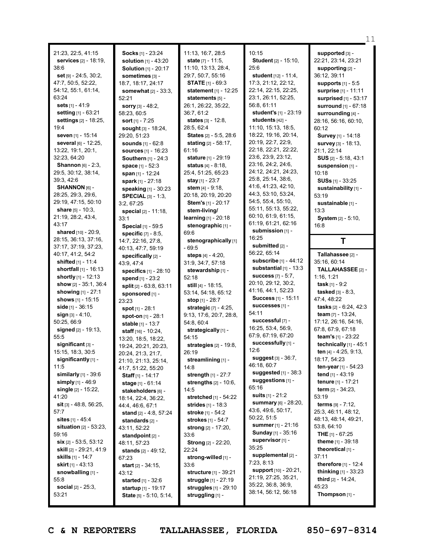|                                           |                                               |                                       |                                            | 11                                        |
|-------------------------------------------|-----------------------------------------------|---------------------------------------|--------------------------------------------|-------------------------------------------|
| 21:23, 22:5, 41:15                        | Socks [1] - 23:24                             | 11:13, 16:7, 28:5                     | 10:15                                      | supported [3] -                           |
| <b>services</b> [2] - 18:19,              | <b>solution</b> [1] - 43:20                   | state [7] - 11:5,                     | Student [2] - 15:10,                       | 22:21, 23:14, 23:21                       |
| 38:6                                      | <b>Solution [1] - 20:17</b>                   | 11:10, 13:13, 28:4,                   | 25:6                                       | supporting $[2]$ -                        |
| <b>set</b> $[9] - 24:5$ , $30:2$ ,        | sometimes [3] -                               | 29:7, 50:7, 55:16                     | student $[12] - 11:4$ ,                    | 36:12, 39:11                              |
| 47:7, 50:5, 52:22,                        | 18:7, 18:17, 24:17                            | <b>STATE</b> $[1] - 69:3$             | 17:3, 21:12, 22:12,                        | <b>supports</b> $[1] - 5:5$               |
| 54:12, 55:1, 61:14,                       | somewhat [2] - 33:3,                          | <b>statement</b> $[1] - 12:25$        | 22:14, 22:15, 22:25,                       | surprise [1] - 11:11                      |
| 63:24                                     | 52:21                                         | statements [5] -                      | 23:1, 26:11, 52:25,                        | surprised [1] - 53:17                     |
| sets [1] - 41:9                           | <b>sorry</b> $[3] - 48:2$ ,                   | 26:1, 26:22, 35:22,                   | 56:8, 61:11                                | <b>surround</b> [1] - 67:18               |
| setting [1] - 63:21                       | 58:23, 60:5                                   | 36:7, 61:2                            | student's [1] - 23:19                      | surrounding [4] -                         |
| settings [2] - 18:25,                     | sort $[1]$ - 7:25                             | states [3] - 12:8.                    | students [42] -                            | 28:16, 56:16, 60:10,                      |
| 19:4                                      | <b>sought</b> [3] - 18:24,                    | 28:5, 62:4                            | 11:10, 15:13, 18:5,                        | 60:12                                     |
| seven [1] - 15:14                         | 29:20, 51:23                                  | States [2] - 5:5, 28:6                | 18:22, 19:16, 20:14,                       | Survey [1] - 14:18                        |
| several [6] - 12:25,                      | <b>sounds</b> [1] - 62:8                      | stating [2] - 58:17,                  | 20:19, 22:7, 22:9,                         | survey [3] - 18:13,                       |
| 13:22, 19:1, 20:1,                        | sources [1] - 16:23                           | 61:16                                 | 22:18, 22:21, 22:22,                       | 21:1, 22:14                               |
| 32:23, 64:20                              | <b>Southern</b> $[1]$ - 24:3                  | <b>stature</b> [1] - 29:19            | 23:6, 23:9, 23:12,                         | $SUS [2] - 5:18, 43:1$                    |
| <b>Shannon</b> $[6] - 2:3$ ,              | space $[1] - 52:3$                            | <b>status</b> $[4] - 8:18$            | 23:16, 24:2, 24:6,                         | suspension $[1]$ -                        |
| 29:5, 30:12, 38:14,                       | span [1] - 12:24                              | 25:4, 51:25, 65:23                    | 24:12, 24:21, 24:23,                       | 10:18                                     |
| 39:3, 42:6                                | spark [1] - 27:18                             | <b>stay</b> $[1] - 23:7$              | 25:8, 25:14, 38:6,                         | <b>SUSs</b> $[1]$ - 33:25                 |
| SHANNON [6] -                             | speaking [1] - 30:23                          | stem $[4] - 9:18$ ,                   | 41:6, 41:23, 42:10,                        | sustainability [1] -                      |
| 28:25, 29:3, 29:6,                        | <b>SPECIAL</b> [3] - 1:3,                     | 20:18, 20:19, 20:20                   | 44:3, 53:10, 53:24,                        | 53:19                                     |
| 29:19, 47:15, 50:10                       | 3:2, 67:25                                    | <b>Stem's</b> $[1]$ - 20:17           | 54:5, 55:4, 55:10,<br>55:11, 55:13, 55:22, | sustainable [1] -                         |
| share $[5] - 10:3$ ,                      | special [2] - 11:18,                          | stem-living/                          | 60:10, 61:9, 61:15,                        | 13:3                                      |
| 21:19, 28:2, 43:4,<br>43:17               | 33:1                                          | learning [1] - 20:18                  | 61:19, 61:21, 62:16                        | System [2] - 5:10,                        |
| shared [10] - 20:9.                       | Special [1] - 59:5                            | stenographic [1] -                    | submission [1] -                           | 16:8                                      |
| 28:15, 36:13, 37:16,                      | <b>specific</b> $[7] - 8:5$ ,                 | 69:6<br>stenographically [1]          | 16:25                                      | Τ                                         |
| 37:17, 37:19, 37:23,                      | 14:7, 22:16, 27:8,<br>40:13, 47:7, 59:19      | - 69:5                                | <b>submitted</b> [2] -                     |                                           |
| 40:17, 41:2, 54:2                         | specifically [2] -                            | steps $[4] - 4:20$ ,                  | 56:22, 65:14                               | Tallahassee [2] -                         |
| shifted [1] - 11:4                        | 43:9, 47:4                                    | 31:9, 34:7, 57:18                     | subscribe [1] - 44:12                      | 35:16, 60:14                              |
| shortfall $[1] - 16:13$                   | specifics [1] - 28:10                         | stewardship [1] -                     | substantial $[1]$ - 13:3                   | TALLAHASSEE [2] -                         |
| <b>shortly</b> [1] - 12:13                | spend [1] - 23:2                              | 52:18                                 | <b>success</b> $[7] - 5:7$ ,               | 1:16, 1:21                                |
| show [2] - 35:1, 36:4                     | split $[2] - 63:8, 63:11$                     | <b>still</b> [4] - 18:15,             | 20:10, 29:12, 30:2,                        | task $[1] - 9:2$                          |
| showing [1] - 27:1                        | sponsored [1] -                               | 53:14, 54:18, 65:12                   | 41:16, 44:1, 52:23                         | <b>tasked</b> $[3] - 8:3$ ,               |
| <b>shows</b> [1] - 15:15                  | 23:23                                         | stop $[1] - 28:7$                     | <b>Success</b> [1] - 15:11                 | 47:4, 48:22                               |
| side $[1] - 36:15$                        | spot $[1] - 28:1$                             | strategic [7] - 4:25,                 | SUCCeSSeS [1] -<br>54:11                   | tasks [2] - 6:24, 42:3                    |
| $sign_{[3]} - 4:10,$                      | spot-on [1] - 28:1                            | 9:13, 17:6, 20:7, 28:8,               | successful [7] -                           | <b>team</b> $[7] - 13:24$ ,               |
| 50:25, 66:9<br>signed $[2] - 19:13$ ,     | stable [1] - 13:7                             | 54:8, 60:4                            | 16:25, 53:4, 56:9,                         | 17:12, 26:16, 54:16,<br>67:8, 67:9, 67:18 |
| 55:5                                      | staff [16] - 10:24,                           | strategically [1] -<br>54:15          | 67:9, 67:19, 67:20                         | team's [1] - 23:22                        |
| significant [3] -                         | 13:20, 18:5, 18:22,                           | strategies [2] - 19:8,                | successfully [1] -                         | technically [1] - 45:1                    |
| 15:15, 18:3, 30:5                         | 19:24, 20:21, 20:23,<br>20:24, 21:3, 21:7,    | 26:19                                 | 12:6                                       | ten [4] - 4:25, 9:13,                     |
| significantly [1] -                       | 21:10, 21:13, 25:14,                          | streamlining [1] -                    | suggest [3] - 36:7,                        | 18:17, 54:23                              |
| 11:5                                      | 41:7, 51:22, 55:20                            | 14:8                                  | 46:18, 60:7                                | ten-year $[1]$ - 54:23                    |
| similarly $[1]$ - 39:6                    | <b>Staff</b> [1] - 14:17                      | strength [1] - 27:7                   | suggested $[1]$ - 38:3                     | tend $[1]$ - 43:19                        |
| simply $[1] - 46.9$                       | stage [1] - 61:14                             | strengths $[2] - 10:6$ ,              | suggestions [1] -                          | <b>tenure</b> [1] - 17:21                 |
| single $[2] - 15:22$ ,                    | stakeholders [6] -                            | 14:5                                  | 65:16                                      | <b>term</b> $[2] - 34:23$ ,               |
| 41:20                                     | 18:14, 22:4, 36:22,                           | stretched [1] - 54:22                 | <b>suits</b> $[1] - 21:2$                  | 53:19                                     |
| <b>sit</b> [3] $-48:8, 56:25,$            | 44:4, 46:6, 67:1                              | <b>strides</b> $[1] - 18:3$           | summary [6] - 28:20,<br>43:6, 49:6, 50:17, | terms [9] - 7:12,                         |
| 57:7                                      | stand [2] - 4:8, 57:24                        | <b>stroke</b> [1] - 54:2              | 50:22, 51:5                                | 25:3, 46:11, 48:12,                       |
| sites [1] - 45:4                          | standards $[2]$ -                             | <b>strokes</b> [1] - 54:7             | summer [1] - 21:16                         | 48:13, 48:14, 49:21,<br>53:8, 64:10       |
| <b>situation</b> $[2] - 53:23$ ,<br>59:16 | 43:11, 52:22                                  | <b>strong</b> $[2] - 17:20$ ,<br>33:6 | <b>Sunday</b> [1] - 35:16                  | <b>THE</b> $[1]$ - 67:25                  |
| $\sin$ [2] - 53:5, 53:12                  | standpoint $[2]$ -                            | <b>Strong</b> [2] - 22:20,            | supervisor [1] -                           | theme [1] - 39:18                         |
| skill [2] - 29:21, 41:9                   | 48:11, 57:23<br><b>stands</b> $[2] - 49:12$ , | 22:24                                 | 35:25                                      | theoretical [1] -                         |
| <b>skills</b> [1] - 14:7                  | 67:23                                         | strong-willed [1] -                   | supplemental [2] -                         | 37:11                                     |
| <b>skirt</b> $[1]$ - 43:13                | <b>start</b> $[2] - 34:15$ ,                  | 33:6                                  | 7:23, 8:13                                 | <b>therefore</b> $[1] - 12:4$             |
| snowballing [1] -                         | 43:12                                         | <b>structure</b> [1] - 39:21          | support [10] - 20:21,                      | <b>thinking</b> $[1]$ - 33:23             |
| 55:8                                      | started [1] - 32:6                            | struggle [1] - 27:19                  | 21:19, 27:25, 35:21,                       | third $[2] - 14:24$ ,                     |
| <b>social</b> $[2] - 25:3$ ,              | startup [1] - 19:17                           | struggles [1] - 29:10                 | 35:22, 36:8, 36:9,                         | 45:23                                     |
| 53:21                                     | State [5] - 5:10, 5:14,                       | struggling [1] -                      | 38:14, 56:12, 56:18                        | Thompson $[1]$ -                          |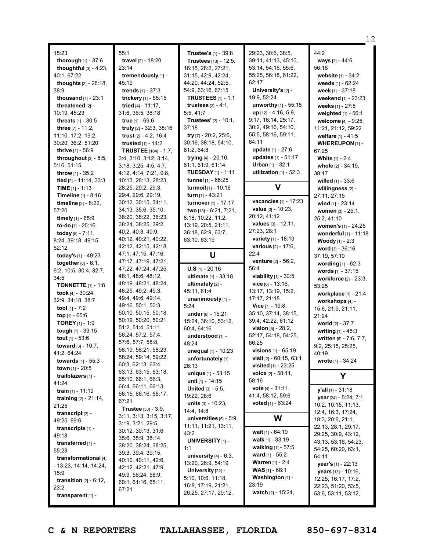|                                                                                                                                                                                                                                                                                                                                                                                                                                                                                                                                                                                                                                                                                                                                                                                                                                                                                                                                                                                                                                                                                                                           |                                                                                                                                                                                                                                                                                                                                                                                                                                                                                                                                                                                                                                                                                                                                                                                                                                                                                                                                                                                                                                                                                                                                                   |                                                                                                                                                                                                                                                                                                                                                                                                                                                                                                                                                                                                                                                                                                                                                                                                                                                                                                                                                                                                                        |                                                                                                                                                                                                                                                                                                                                                                                                                                                                                                                                                                                                                                                                                                                                                                                                                                                                                                                                                                                                                                                                                                    | 12                                                                                                                                                                                                                                                                                                                                                                                                                                                                                                                                                                                                                                                                                                                                                                                                                                                                                                                                                              |
|---------------------------------------------------------------------------------------------------------------------------------------------------------------------------------------------------------------------------------------------------------------------------------------------------------------------------------------------------------------------------------------------------------------------------------------------------------------------------------------------------------------------------------------------------------------------------------------------------------------------------------------------------------------------------------------------------------------------------------------------------------------------------------------------------------------------------------------------------------------------------------------------------------------------------------------------------------------------------------------------------------------------------------------------------------------------------------------------------------------------------|---------------------------------------------------------------------------------------------------------------------------------------------------------------------------------------------------------------------------------------------------------------------------------------------------------------------------------------------------------------------------------------------------------------------------------------------------------------------------------------------------------------------------------------------------------------------------------------------------------------------------------------------------------------------------------------------------------------------------------------------------------------------------------------------------------------------------------------------------------------------------------------------------------------------------------------------------------------------------------------------------------------------------------------------------------------------------------------------------------------------------------------------------|------------------------------------------------------------------------------------------------------------------------------------------------------------------------------------------------------------------------------------------------------------------------------------------------------------------------------------------------------------------------------------------------------------------------------------------------------------------------------------------------------------------------------------------------------------------------------------------------------------------------------------------------------------------------------------------------------------------------------------------------------------------------------------------------------------------------------------------------------------------------------------------------------------------------------------------------------------------------------------------------------------------------|----------------------------------------------------------------------------------------------------------------------------------------------------------------------------------------------------------------------------------------------------------------------------------------------------------------------------------------------------------------------------------------------------------------------------------------------------------------------------------------------------------------------------------------------------------------------------------------------------------------------------------------------------------------------------------------------------------------------------------------------------------------------------------------------------------------------------------------------------------------------------------------------------------------------------------------------------------------------------------------------------------------------------------------------------------------------------------------------------|-----------------------------------------------------------------------------------------------------------------------------------------------------------------------------------------------------------------------------------------------------------------------------------------------------------------------------------------------------------------------------------------------------------------------------------------------------------------------------------------------------------------------------------------------------------------------------------------------------------------------------------------------------------------------------------------------------------------------------------------------------------------------------------------------------------------------------------------------------------------------------------------------------------------------------------------------------------------|
| 15:23<br>thorough [1] - 37:6<br>thoughtful $[3] - 4:23$ ,<br>40:1, 67:22<br><b>thoughts</b> $[2] - 26:18$ ,<br>38:9<br><b>thousand</b> $[1] - 23:1$<br>threatened [2] -<br>10:19, 45:23<br><b>threats</b> $[1] - 30:5$<br>three $[7] - 11:2$ ,<br>11:10, 17:2, 19:2,<br>30:20, 36:2, 51:20<br><b>thrive</b> $[1] - 56.9$<br>throughout $[3]$ - 5:5,<br>5:16, 51:15<br><b>throw</b> $[1] - 35:2$<br>tied $[2] - 11:14, 33:3$<br><b>TIME</b> $[1]$ - 1:13<br>Timeline [1] - 8:16<br><b>timeline</b> $[2] - 8:22$<br>57:20<br>timely $[1] - 65:9$<br>to-do [1] - 25:16<br>today $[5] - 7:11$ ,<br>8:24, 39:18, 49:15,<br>52:12<br>today's [1] - 49:23<br>together $[6] - 6:1$ ,<br>6:2, 10:5, 30:4, 32:7,<br>34:5<br><b>TONNETTE</b> $[1] - 1:8$<br>took $[4] - 30:24$ ,<br>32:9, 34:18, 38:7<br>tool $[1] - 7:2$<br>top $[1] - 65:6$<br><b>TOREY</b> [1] - 1:9<br>tough [1] - 39:15<br>tout $[1] - 53:6$<br>toward [3] - 10:7,<br>41:2, 64:24<br>towards $[1] - 55:3$<br><b>town</b> $[1] - 20:5$<br>trailblazers [1] -<br>41:24<br>train $[1] - 11:19$<br>training $[2] - 21:14$ ,<br>21:25<br>transcript <sub>[2]</sub> - | 55:1<br>travel [2] - 18:20,<br>23:14<br>tremendously [1] -<br>45:19<br><b>trends</b> $[1] - 37:3$<br>trickery [1] - 55:15<br>tried [4] - 11:17,<br>31:6, 36:5, 38:18<br><b>true</b> $[1] - 69:6$<br>truly [2] - 32:3, 38:16<br>trust [2] - 4:2, 16:4<br>trusted $[1] - 14:2$<br><b>TRUSTEE</b> [104] - 1:7,<br>3:4, 3:10, 3:12, 3:14,<br>3:18, 3:25, 4:5, 4:7,<br>4:12, 4:14, 7:21, 9:8,<br>10:13, 28:13, 28:23,<br>28:25, 29:2, 29:3,<br>29:4, 29:6, 29:19,<br>30:12, 30:15, 34:11,<br>34:13, 35:6, 35:10,<br>38:20, 38:22, 38:23,<br>38:24, 38:25, 39:2,<br>40:2, 40:3, 40:9,<br>40:12, 40:21, 40:22,<br>42:12, 42:15, 42:18,<br>47:1, 47:15, 47:16,<br>47:17, 47:19, 47:21,<br>47:22, 47:24, 47:25,<br>48:1, 48:6, 48:12,<br>48:19, 48:21, 48:24,<br>48:25, 49:2, 49:3,<br>49:4, 49:6, 49:14,<br>49:16, 50:1, 50:3,<br>50:10, 50:15, 50:18,<br>50:19, 50:20, 50:21,<br>51:2, 51:4, 51:11,<br>56:24, 57:2, 57:4,<br>57:6, 57:7, 58:8,<br>58:19, 58:21, 58:23,<br>58:24, 59:14, 59:22,<br>60:3, 62:13, 63:4,<br>63:13, 63:15, 63:18,<br>65:10, 66:1, 66:3,<br>66:4, 66:11, 66:13,<br>66:15, 66:16, 66:17,<br>67:21<br><b>Trustee</b> [33] - 3:9, | <b>Trustee's</b> [1] - 39:8<br>Trustees [13] - 12:5,<br>16:15, 26:2, 27:21,<br>31:15, 42:9, 42:24,<br>44:20, 44:24, 52:5,<br>54:9, 63:16, 67:15<br><b>TRUSTEES</b> $[1] - 1:1$<br>trustees $[3] - 4:1$ ,<br>5:5, 41:7<br><b>Trustees'</b> [2] - 10:1,<br>37:18<br>try [7] - 20:2, 25:6,<br>30:16, 38:18, 54:10,<br>61:2, 64:8<br>trying [4] - 20:10,<br>61:1, 61:9, 61:14<br><b>TUESDAY</b> $[1]$ - 1:11<br>tunnel [1] - 66:25<br>turmoil [1] - 10:16<br>turn [1] - 43:21<br>turnover [1] - 17:17<br><b>two</b> $[13] - 6:21, 7:21,$<br>8:18, 10:22, 11:2,<br>13:19, 20:5, 21:11,<br>36:18, 62:9, 63:7,<br>63:10, 63:19<br>U<br>$U.S$ [1] - 20:16<br>ultimate [1] - 33:18<br>ultimately [2] -<br>45:11, 61:4<br>unanimously [1] -<br>5:24<br>under [6] - 15:21,<br>15:24, 36:10, 53:12,<br>60:4, 64:16<br>understood [1] -<br>48:24<br>unequal [1] - 10:23<br>unfortunately [1] -<br>26:13<br>unique [1] - 53:15<br><b>unit</b> [1] - 14:15<br>United [3] - 5:5,<br>19:22, 28:6<br>units $[3] - 10:23$ ,<br>14:4, 14:8 | 29:23, 30:6, 38:5,<br>39:11, 41:13, 45:10,<br>53:14, 54:16, 55:6,<br>55:25, 56:18, 61:22,<br>62:17<br>University's [2] -<br>19:9, 52:24<br>unworthy [1] - 55:15<br>up [12] - 4:16, 5:9,<br>9:17, 16:14, 25:17,<br>30:2, 49:16, 54:10,<br>55:5, 58:16, 59:11,<br>64:11<br><b>update</b> $[1] - 27:6$<br>updates [1] - 51:17<br><b>Urban</b> $[1] - 32:1$<br>utilization $[1]$ - 52:3<br>V<br>vacancies [1] - 17:23<br><b>value</b> $[3] - 10:23$ ,<br>20:12, 41:12<br><b>values</b> $[3] - 12:11$ ,<br>27:23, 28:1<br>variety [1] - 18:19<br><b>various</b> $[2] - 17:6$ ,<br>22:4<br><b>venture</b> [2] - 56:2,<br>56:4<br><b>viability</b> $[1]$ - 30:5<br>$vice$ [6] - 13:16,<br>13:17, 13:19, 15:2,<br>17:17, 21:18<br><b>Vice</b> $[7] - 19.8$ ,<br>35:10, 37:14, 38:15,<br>39:4, 42:22, 61:12<br><b>vision</b> $[5] - 28:2$ ,<br>52:17, 54:18, 54:25,<br>66:25<br><b>visions</b> $[1] - 65:19$<br><b>visit</b> $[2] - 60:15, 63:1$<br><b>visited</b> $[1] - 23:25$<br><b>voice</b> $[2] - 58:11$ ,<br>58:16<br><b>vote</b> $[4] - 31:11$ ,<br>41:4, 58:12, 59:6<br><b>voted</b> $[1] - 63:24$ | 44:2<br>ways [2] - 44:6,<br>56:18<br>website [1] - 34:2<br>weeds $[1] - 62:24$<br>week [1] - 37:18<br>weekend [1] - 23:23<br>weeks [1] - 27:5<br>weighted [1] - 56:1<br>welcome [4] - 9:25,<br>11:21, 21:12, 59:22<br>welfare [1] - 41:5<br>WHEREUPON [1] -<br>67:25<br><b>White [1] - 2:4</b><br>whole [2] - 34:19,<br>38:17<br>willed $[1] - 33:6$<br>willingness [2] -<br>27:11, 27:15<br>wind [1] - 23:14<br>women [3] - 25:1,<br>25:2, 41:10<br>women's $[1] - 24:25$<br>wonderful [1] - 11:18<br><b>Woody</b> [1] - 2:3<br>word $[3] - 36:16$ ,<br>37:19, 57:10<br>wording [1] - 62:3<br>words [1] - 37:15<br>workforce [2] - 23:3,<br>53:25<br>workplace [1] - 21:4<br>workshops [4] -<br>15:6, 21:9, 21:11,<br>21:24<br><b>world</b> $[2] - 37:7$<br>writing [1] - 45:3<br>written [6] - 7:6, 7:7,<br>9:2, 25:15, 25:25,<br>40:19<br>wrote [1] - 34:24<br>Υ<br>y'all [1] - 31:18<br>year [24] - 5:24, 7:1,<br>10:2, 10:15, 11:13,<br>12:4, 16:3, 17:24, |
| 49:25, 69:6<br>transcripts $[1]$ -<br>49:18<br>transferred [1] -<br>55:23<br>transformational [4]<br>$-13:23, 14:14, 14:24,$<br>15:9<br>transition $[2] - 6:12$ ,<br>23:2<br>transparent [1] -                                                                                                                                                                                                                                                                                                                                                                                                                                                                                                                                                                                                                                                                                                                                                                                                                                                                                                                            | 3:11, 3:13, 3:15, 3:17,<br>3:19, 3:21, 29:5,<br>30:12, 30:13, 31:6,<br>35:6, 35:9, 38:14,<br>38:20, 38:24, 38:25,<br>39:3, 39:4, 39:15,<br>40:10, 40:11, 42:6,<br>42:12, 42:21, 47:9,<br>49:9, 56:24, 58:9,<br>60:1, 61:16, 65:11,<br>67:21                                                                                                                                                                                                                                                                                                                                                                                                                                                                                                                                                                                                                                                                                                                                                                                                                                                                                                       | universities $[5]$ - $5:9$ ,<br>11:11, 11:21, 13:11,<br>43:2<br><b>UNIVERSITY</b> [1] -<br>1:1<br>university $[4] - 6:3$ ,<br>13:20, 26:9, 54:19<br>University [22] -<br>5:10, 10:6, 11:18,<br>16:8, 17:19, 21:21,<br>26:25, 27:17, 29:12,                                                                                                                                                                                                                                                                                                                                                                                                                                                                                                                                                                                                                                                                                                                                                                             | W<br>wait [1] - 64:19<br>walk $[1]$ - 33:19<br>walking [1] - 57:5<br><b>ward</b> $[1] - 55:2$<br><b>Warren</b> [1] - 2:4<br><b>WAS</b> $[1] - 68:1$<br>Washington [1] -<br>23:19<br>watch $[2] - 15:24$ ,                                                                                                                                                                                                                                                                                                                                                                                                                                                                                                                                                                                                                                                                                                                                                                                                                                                                                          | 18:3, 20:6, 21:1,<br>22:13, 28:1, 29:17,<br>29:25, 30:9, 43:12,<br>43:13, 53:16, 54:23,<br>54:25, 60:20, 63:1,<br>64:11<br>year's [1] - 22:13<br>years [13] - 10:16,<br>12:25, 16:17, 17:2,<br>22:23, 51:20, 53:5,<br>53:6, 53:11, 53:12,                                                                                                                                                                                                                                                                                                                                                                                                                                                                                                                                                                                                                                                                                                                       |